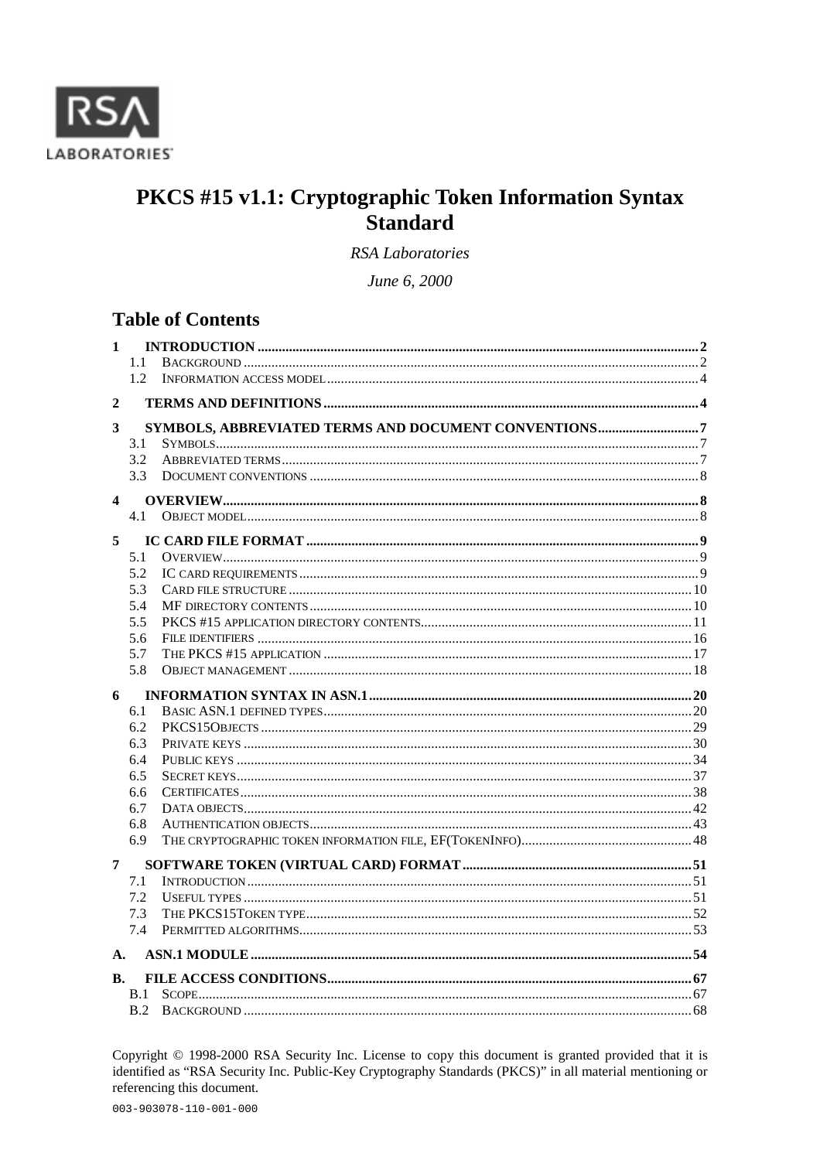

# PKCS #15 v1.1: Cryptographic Token Information Syntax Standard

**RSA** Laboratories

June 6, 2000

# **Table of Contents**

| $\mathbf{1}$            |            |                                                      |  |
|-------------------------|------------|------------------------------------------------------|--|
|                         | 1.1        |                                                      |  |
|                         | 1.2        |                                                      |  |
| $\mathbf{2}$            |            |                                                      |  |
| 3                       |            | SYMBOLS, ABBREVIATED TERMS AND DOCUMENT CONVENTIONS7 |  |
|                         | 3.1        |                                                      |  |
|                         | 3.2        |                                                      |  |
|                         | 3.3        |                                                      |  |
| $\overline{\mathbf{4}}$ |            |                                                      |  |
|                         | 4.1        |                                                      |  |
|                         |            |                                                      |  |
| 5                       |            |                                                      |  |
|                         | 5.1        |                                                      |  |
|                         | 5.2        |                                                      |  |
|                         | 5.3        |                                                      |  |
|                         | 5.4        |                                                      |  |
|                         | 5.5        |                                                      |  |
|                         | 5.6        |                                                      |  |
|                         | 5.7        |                                                      |  |
|                         | 5.8        |                                                      |  |
| 6                       |            |                                                      |  |
|                         | 6.1        |                                                      |  |
|                         | 6.2        |                                                      |  |
|                         |            |                                                      |  |
|                         | 6.3        |                                                      |  |
|                         | 6.4        |                                                      |  |
|                         | 6.5        |                                                      |  |
|                         | 6.6        |                                                      |  |
|                         | 6.7        |                                                      |  |
|                         | 6.8        |                                                      |  |
|                         | 6.9        |                                                      |  |
| 7                       |            |                                                      |  |
|                         | 7.1        |                                                      |  |
|                         | 7.2        |                                                      |  |
|                         | 7.3        |                                                      |  |
|                         | 7.4        |                                                      |  |
| $\mathbf{A}$ .          |            |                                                      |  |
|                         |            |                                                      |  |
| <b>B.</b>               |            |                                                      |  |
|                         | B.1<br>B.2 |                                                      |  |

Copyright © 1998-2000 RSA Security Inc. License to copy this document is granted provided that it is identified as "RSA Security Inc. Public-Key Cryptography Standards (PKCS)" in all material mentioning or referencing this document.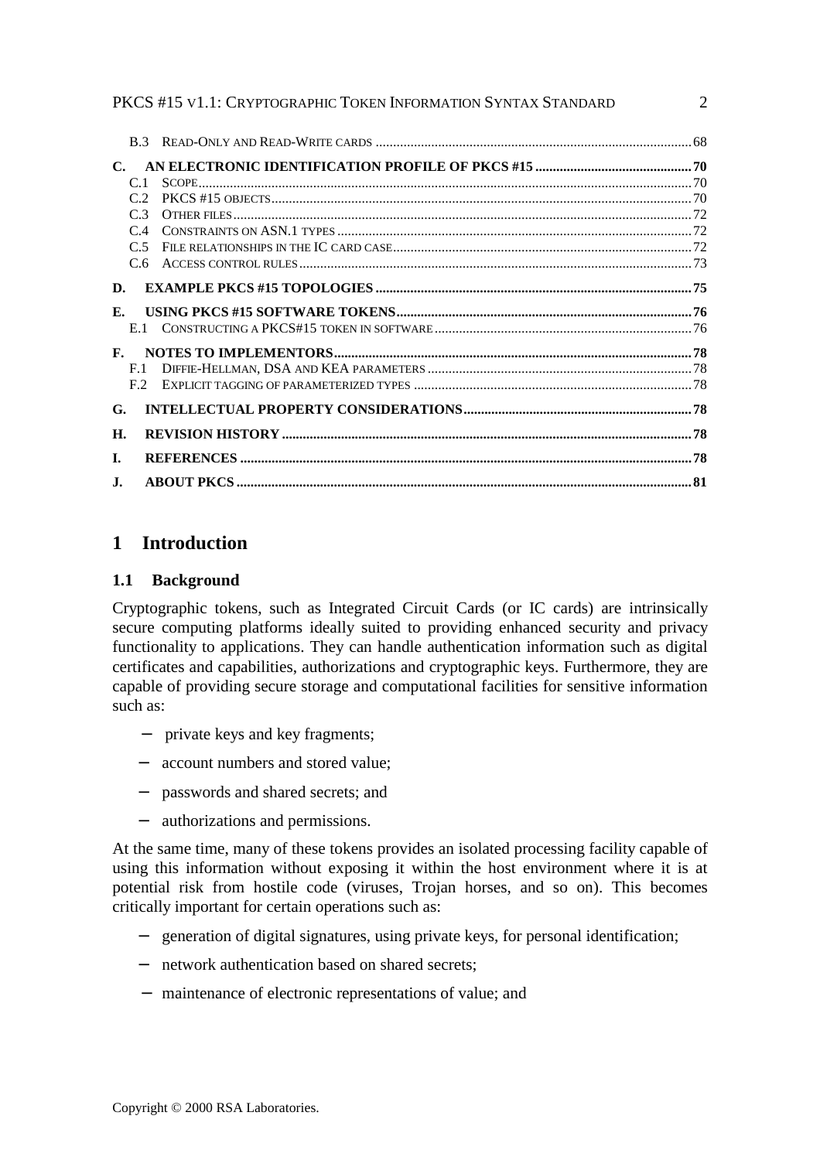PKCS #15 v1.1: CRYPTOGRAPHIC TOKEN INFORMATION SYNTAX STANDARD 2

| R <sub>3</sub> |    |     |
|----------------|----|-----|
|                |    |     |
| C <sub>1</sub> |    |     |
| $\mathcal{C}$  |    |     |
| C <sub>3</sub> |    |     |
| C.4            |    |     |
| C <sub>5</sub> |    |     |
| C <sub>6</sub> |    |     |
| D.             |    |     |
| Е.             |    |     |
|                | E1 |     |
| $\mathbf{F}$ . |    |     |
| F <sub>1</sub> |    |     |
| F <sub>2</sub> |    |     |
| G.             |    |     |
| Н.             |    |     |
| L.             |    | .78 |
| <b>J.</b>      |    |     |

# **1 Introduction**

## **1.1 Background**

Cryptographic tokens, such as Integrated Circuit Cards (or IC cards) are intrinsically secure computing platforms ideally suited to providing enhanced security and privacy functionality to applications. They can handle authentication information such as digital certificates and capabilities, authorizations and cryptographic keys. Furthermore, they are capable of providing secure storage and computational facilities for sensitive information such as:

- − private keys and key fragments;
- − account numbers and stored value;
- − passwords and shared secrets; and
- − authorizations and permissions.

At the same time, many of these tokens provides an isolated processing facility capable of using this information without exposing it within the host environment where it is at potential risk from hostile code (viruses, Trojan horses, and so on). This becomes critically important for certain operations such as:

- − generation of digital signatures, using private keys, for personal identification;
- − network authentication based on shared secrets;
- − maintenance of electronic representations of value; and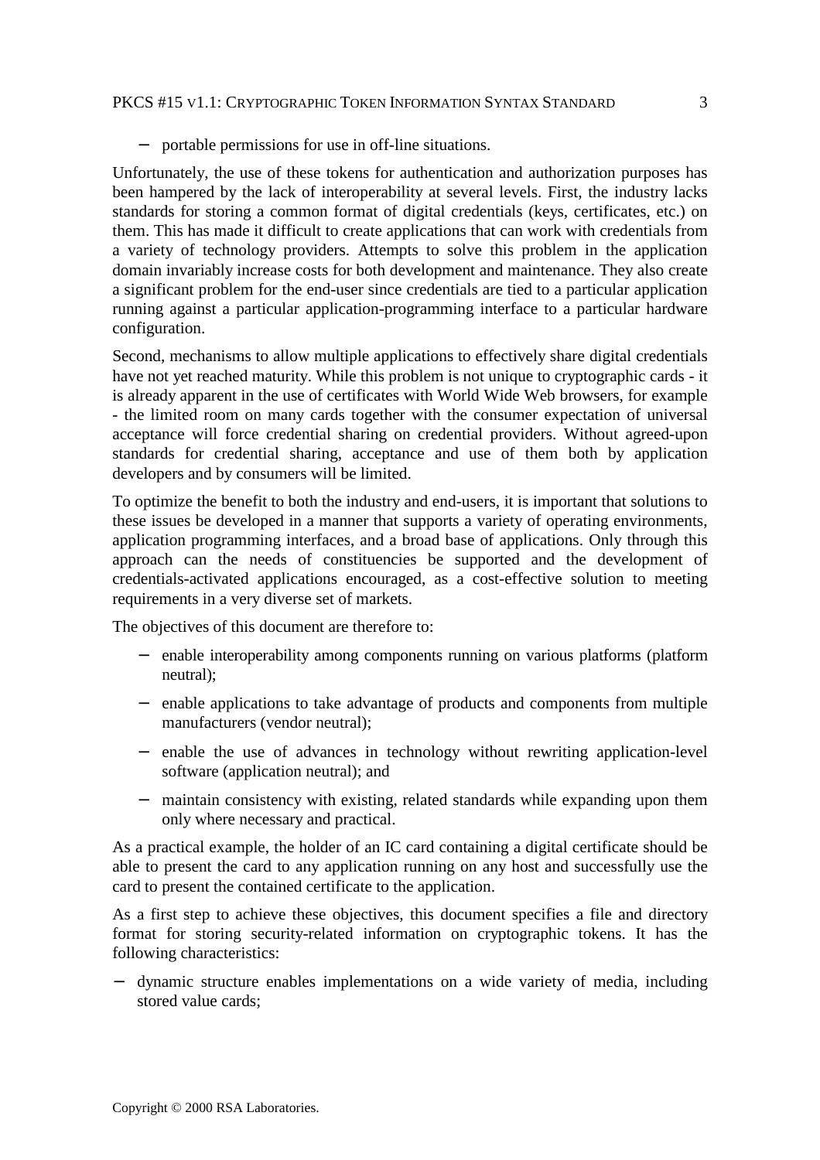#### PKCS #15 v1.1: CRYPTOGRAPHIC TOKEN INFORMATION SYNTAX STANDARD 3

− portable permissions for use in off-line situations.

Unfortunately, the use of these tokens for authentication and authorization purposes has been hampered by the lack of interoperability at several levels. First, the industry lacks standards for storing a common format of digital credentials (keys, certificates, etc.) on them. This has made it difficult to create applications that can work with credentials from a variety of technology providers. Attempts to solve this problem in the application domain invariably increase costs for both development and maintenance. They also create a significant problem for the end-user since credentials are tied to a particular application running against a particular application-programming interface to a particular hardware configuration.

Second, mechanisms to allow multiple applications to effectively share digital credentials have not yet reached maturity. While this problem is not unique to cryptographic cards - it is already apparent in the use of certificates with World Wide Web browsers, for example - the limited room on many cards together with the consumer expectation of universal acceptance will force credential sharing on credential providers. Without agreed-upon standards for credential sharing, acceptance and use of them both by application developers and by consumers will be limited.

To optimize the benefit to both the industry and end-users, it is important that solutions to these issues be developed in a manner that supports a variety of operating environments, application programming interfaces, and a broad base of applications. Only through this approach can the needs of constituencies be supported and the development of credentials-activated applications encouraged, as a cost-effective solution to meeting requirements in a very diverse set of markets.

The objectives of this document are therefore to:

- enable interoperability among components running on various platforms (platform neutral);
- − enable applications to take advantage of products and components from multiple manufacturers (vendor neutral);
- − enable the use of advances in technology without rewriting application-level software (application neutral); and
- − maintain consistency with existing, related standards while expanding upon them only where necessary and practical.

As a practical example, the holder of an IC card containing a digital certificate should be able to present the card to any application running on any host and successfully use the card to present the contained certificate to the application.

As a first step to achieve these objectives, this document specifies a file and directory format for storing security-related information on cryptographic tokens. It has the following characteristics:

− dynamic structure enables implementations on a wide variety of media, including stored value cards;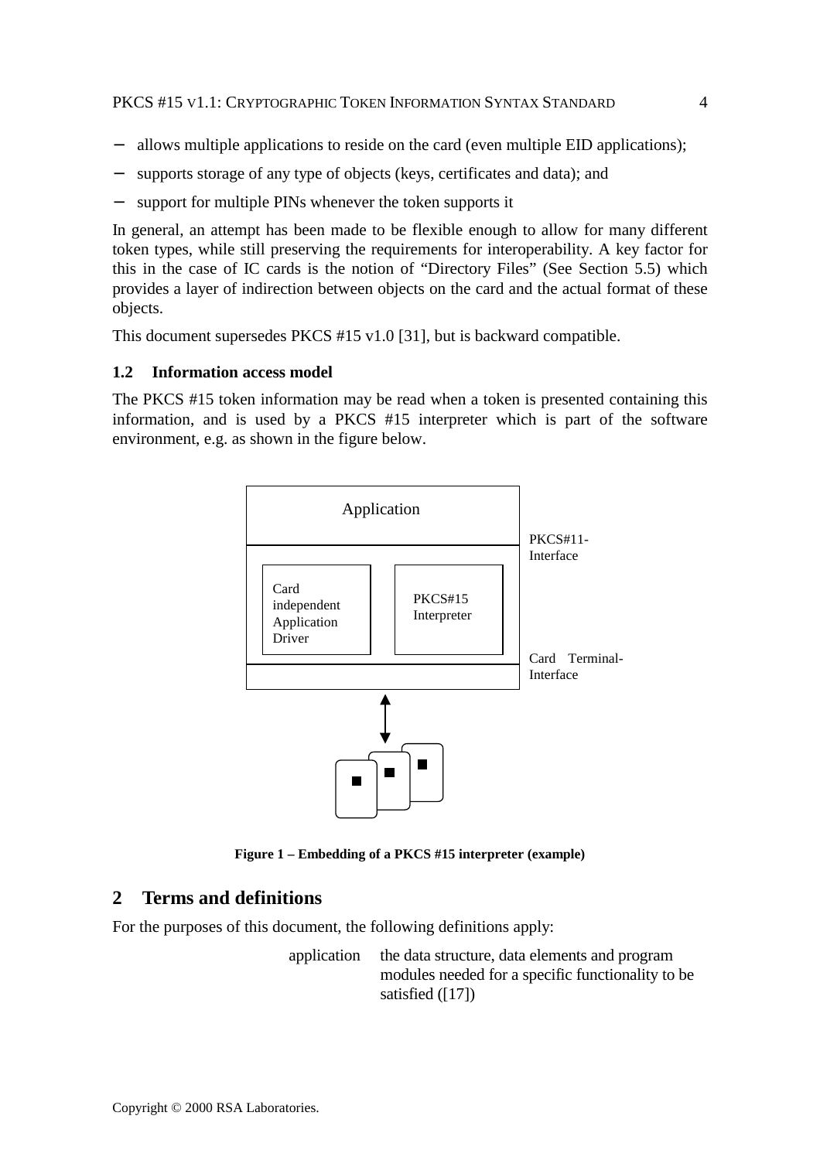- − allows multiple applications to reside on the card (even multiple EID applications);
- supports storage of any type of objects (keys, certificates and data); and
- − support for multiple PINs whenever the token supports it

In general, an attempt has been made to be flexible enough to allow for many different token types, while still preserving the requirements for interoperability. A key factor for this in the case of IC cards is the notion of "Directory Files" (See Section 5.5) which provides a layer of indirection between objects on the card and the actual format of these objects.

This document supersedes PKCS #15 v1.0 [31], but is backward compatible.

#### **1.2 Information access model**

The PKCS #15 token information may be read when a token is presented containing this information, and is used by a PKCS #15 interpreter which is part of the software environment, e.g. as shown in the figure below.



**Figure 1 – Embedding of a PKCS #15 interpreter (example)**

# **2 Terms and definitions**

For the purposes of this document, the following definitions apply:

application the data structure, data elements and program modules needed for a specific functionality to be satisfied ([17])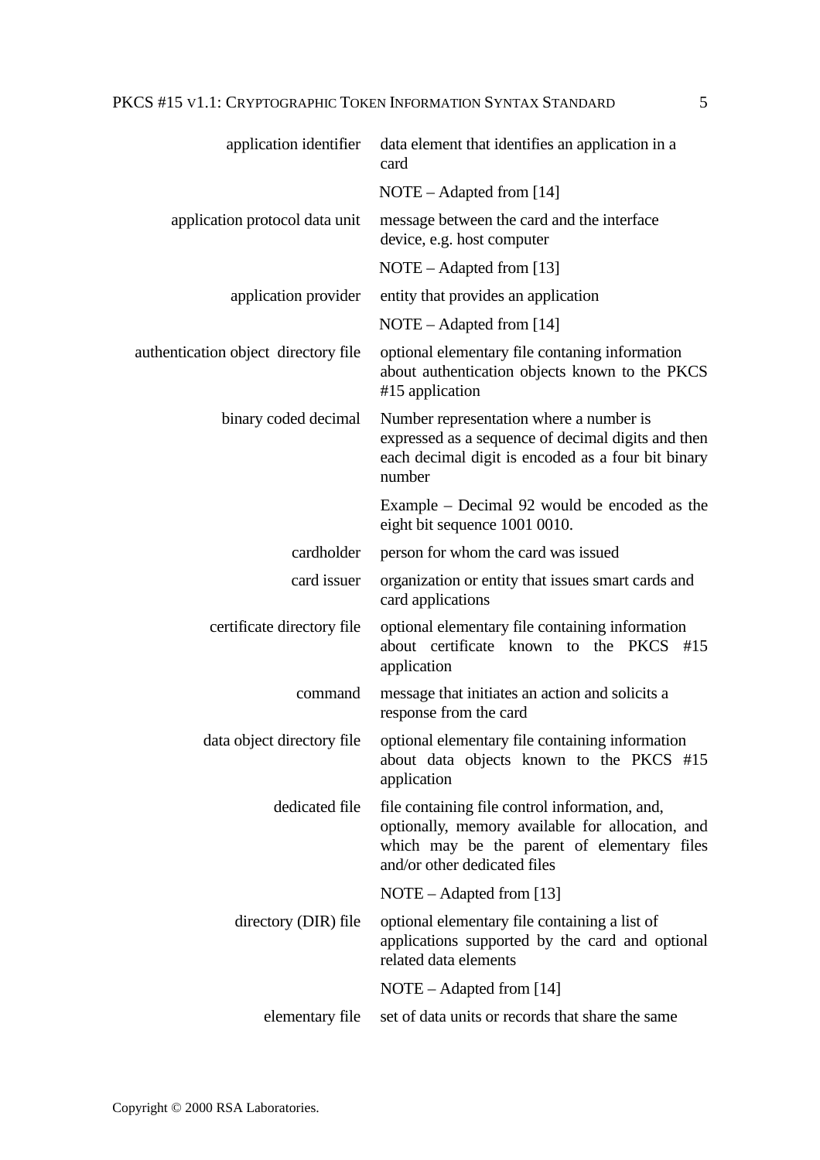| application identifier               | data element that identifies an application in a<br>card                                                                                                                          |
|--------------------------------------|-----------------------------------------------------------------------------------------------------------------------------------------------------------------------------------|
|                                      | $NOTE - Adapted from [14]$                                                                                                                                                        |
| application protocol data unit       | message between the card and the interface<br>device, e.g. host computer                                                                                                          |
|                                      | $NOTE - Adapted from [13]$                                                                                                                                                        |
| application provider                 | entity that provides an application                                                                                                                                               |
|                                      | NOTE - Adapted from [14]                                                                                                                                                          |
| authentication object directory file | optional elementary file contaning information<br>about authentication objects known to the PKCS<br>#15 application                                                               |
| binary coded decimal                 | Number representation where a number is<br>expressed as a sequence of decimal digits and then<br>each decimal digit is encoded as a four bit binary<br>number                     |
|                                      | Example – Decimal 92 would be encoded as the<br>eight bit sequence 1001 0010.                                                                                                     |
| cardholder                           | person for whom the card was issued                                                                                                                                               |
| card issuer                          | organization or entity that issues smart cards and<br>card applications                                                                                                           |
| certificate directory file           | optional elementary file containing information<br>about certificate known to the PKCS #15<br>application                                                                         |
| command                              | message that initiates an action and solicits a<br>response from the card                                                                                                         |
| data object directory file           | optional elementary file containing information<br>about data objects known to the PKCS #15<br>application                                                                        |
| dedicated file                       | file containing file control information, and,<br>optionally, memory available for allocation, and<br>which may be the parent of elementary files<br>and/or other dedicated files |
|                                      | $NOTE - Adapted from [13]$                                                                                                                                                        |
| directory (DIR) file                 | optional elementary file containing a list of<br>applications supported by the card and optional<br>related data elements                                                         |
|                                      | $NOTE - Adapted from [14]$                                                                                                                                                        |
| elementary file                      | set of data units or records that share the same                                                                                                                                  |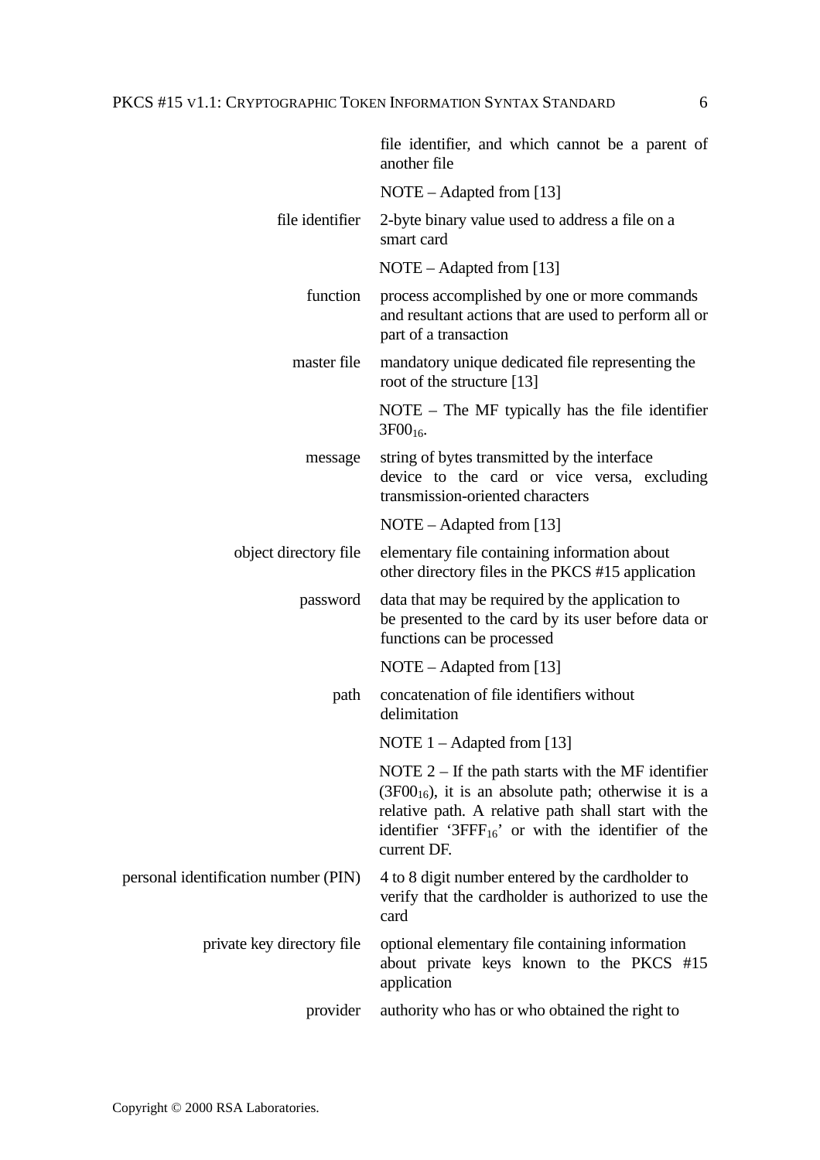|                                      | file identifier, and which cannot be a parent of<br>another file                                                                                                                                                                                 |
|--------------------------------------|--------------------------------------------------------------------------------------------------------------------------------------------------------------------------------------------------------------------------------------------------|
|                                      | $NOTE - Adapted from [13]$                                                                                                                                                                                                                       |
| file identifier                      | 2-byte binary value used to address a file on a<br>smart card                                                                                                                                                                                    |
|                                      | $NOTE - Adapted from [13]$                                                                                                                                                                                                                       |
| function                             | process accomplished by one or more commands<br>and resultant actions that are used to perform all or<br>part of a transaction                                                                                                                   |
| master file                          | mandatory unique dedicated file representing the<br>root of the structure [13]                                                                                                                                                                   |
|                                      | NOTE $-$ The MF typically has the file identifier<br>$3F00_{16}$                                                                                                                                                                                 |
| message                              | string of bytes transmitted by the interface<br>device to the card or vice versa, excluding<br>transmission-oriented characters                                                                                                                  |
|                                      | $NOTE - Adapted from [13]$                                                                                                                                                                                                                       |
| object directory file                | elementary file containing information about<br>other directory files in the PKCS #15 application                                                                                                                                                |
| password                             | data that may be required by the application to<br>be presented to the card by its user before data or<br>functions can be processed                                                                                                             |
|                                      | $NOTE - Adapted from [13]$                                                                                                                                                                                                                       |
| path                                 | concatenation of file identifiers without<br>delimitation                                                                                                                                                                                        |
|                                      | NOTE $1 -$ Adapted from [13]                                                                                                                                                                                                                     |
|                                      | NOTE $2 - If$ the path starts with the MF identifier<br>$(3F0016)$ , it is an absolute path; otherwise it is a<br>relative path. A relative path shall start with the<br>identifier '3FF $F_{16}$ ' or with the identifier of the<br>current DF. |
| personal identification number (PIN) | 4 to 8 digit number entered by the cardholder to<br>verify that the cardholder is authorized to use the<br>card                                                                                                                                  |
| private key directory file           | optional elementary file containing information<br>about private keys known to the PKCS #15<br>application                                                                                                                                       |
| provider                             | authority who has or who obtained the right to                                                                                                                                                                                                   |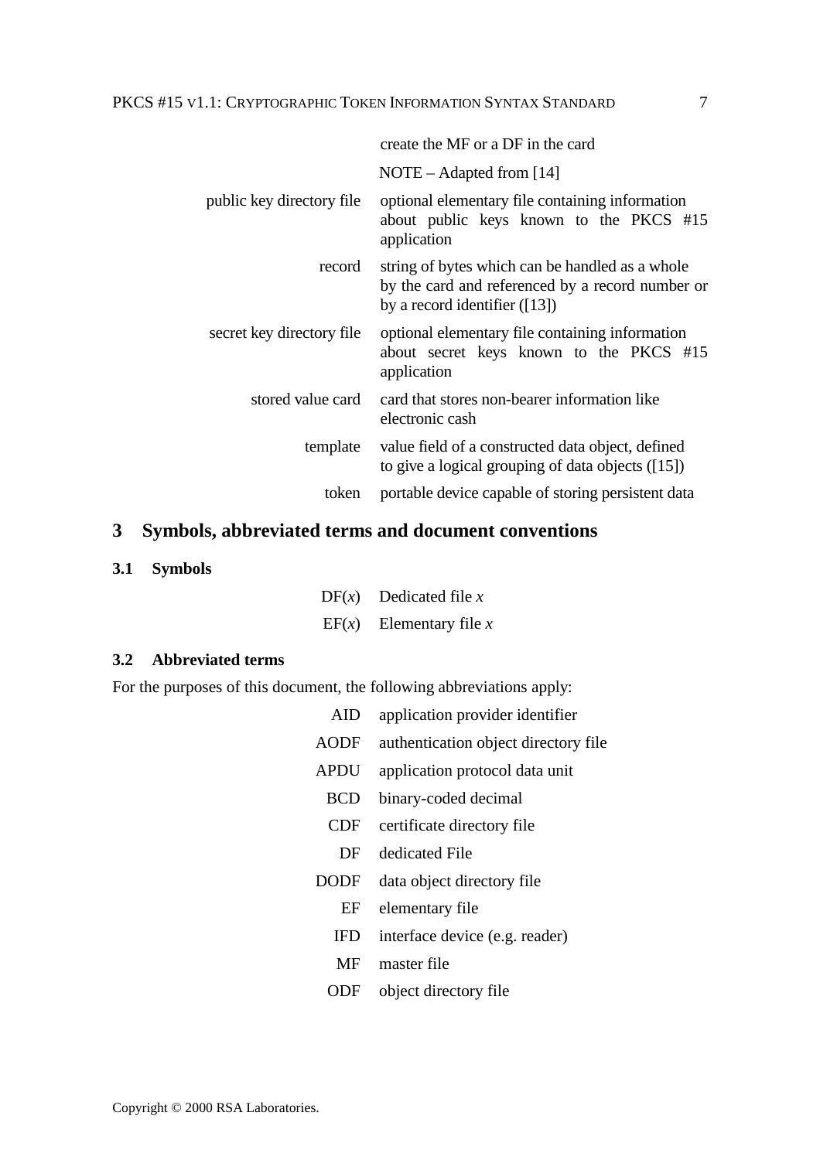|                           | create the MF or a DF in the card                                                                                                    |
|---------------------------|--------------------------------------------------------------------------------------------------------------------------------------|
|                           | $NOTE - Adapted from [14]$                                                                                                           |
| public key directory file | optional elementary file containing information<br>about public keys known to the PKCS #15<br>application                            |
| record                    | string of bytes which can be handled as a whole<br>by the card and referenced by a record number or<br>by a record identifier $(13)$ |
| secret key directory file | optional elementary file containing information<br>about secret keys known to the PKCS #15<br>application                            |
| stored value card         | card that stores non-bearer information like<br>electronic cash                                                                      |
| template                  | value field of a constructed data object, defined<br>to give a logical grouping of data objects $(15)$                               |
| token                     | portable device capable of storing persistent data                                                                                   |

# **3 Symbols, abbreviated terms and document conventions**

## **3.1 Symbols**

| $DF(x)$ Dedicated file x  |
|---------------------------|
| $EF(x)$ Elementary file x |

## **3.2 Abbreviated terms**

For the purposes of this document, the following abbreviations apply:

| <b>AID</b>  | application provider identifier      |
|-------------|--------------------------------------|
| <b>AODF</b> | authentication object directory file |
| <b>APDU</b> | application protocol data unit       |
| <b>BCD</b>  | binary-coded decimal                 |
| <b>CDF</b>  | certificate directory file           |
| DF          | dedicated File                       |
| DODF        | data object directory file           |
| EF          | elementary file                      |
| <b>IFD</b>  | interface device (e.g. reader)       |
| MF          | master file                          |
|             |                                      |

ODF object directory file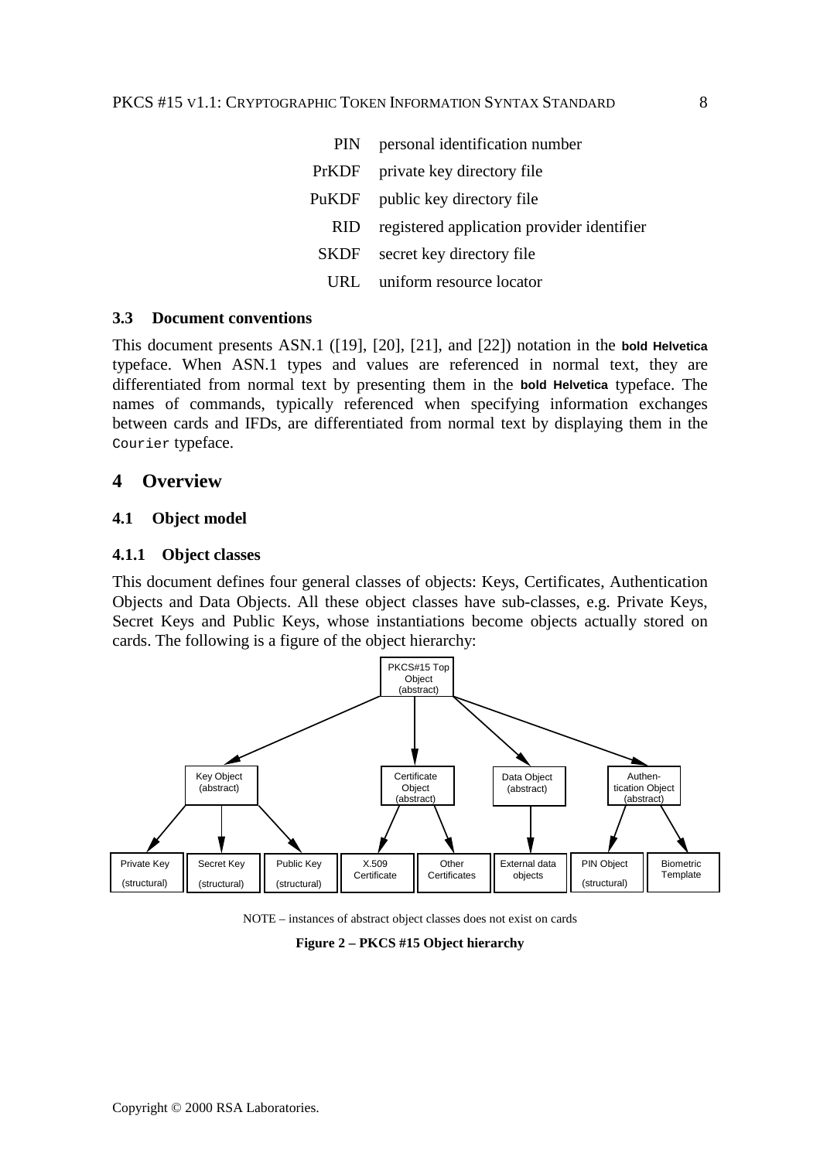| PIN -       | personal identification number             |
|-------------|--------------------------------------------|
| PrKDF       | private key directory file                 |
| PuKDF       | public key directory file                  |
| <b>RID</b>  | registered application provider identifier |
| <b>SKDF</b> | secret key directory file                  |
| LIRT.       | uniform resource locator                   |

#### **3.3 Document conventions**

This document presents ASN.1 ([19], [20], [21], and [22]) notation in the **bold Helvetica** typeface. When ASN.1 types and values are referenced in normal text, they are differentiated from normal text by presenting them in the **bold Helvetica** typeface. The names of commands, typically referenced when specifying information exchanges between cards and IFDs, are differentiated from normal text by displaying them in the Courier typeface.

#### **4 Overview**

#### **4.1 Object model**

#### **4.1.1 Object classes**

This document defines four general classes of objects: Keys, Certificates, Authentication Objects and Data Objects. All these object classes have sub-classes, e.g. Private Keys, Secret Keys and Public Keys, whose instantiations become objects actually stored on cards. The following is a figure of the object hierarchy:



NOTE – instances of abstract object classes does not exist on cards

**Figure 2 – PKCS #15 Object hierarchy**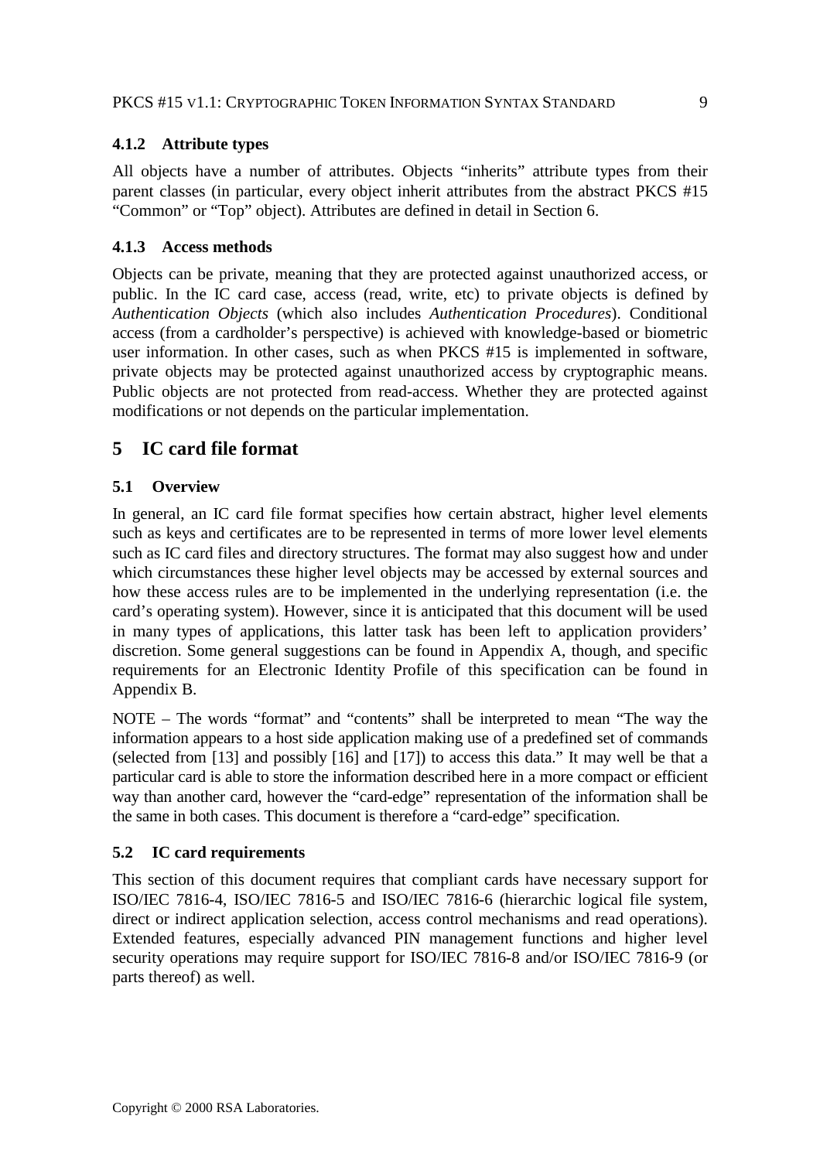## **4.1.2 Attribute types**

All objects have a number of attributes. Objects "inherits" attribute types from their parent classes (in particular, every object inherit attributes from the abstract PKCS #15 "Common" or "Top" object). Attributes are defined in detail in Section 6.

## **4.1.3 Access methods**

Objects can be private, meaning that they are protected against unauthorized access, or public. In the IC card case, access (read, write, etc) to private objects is defined by *Authentication Objects* (which also includes *Authentication Procedures*). Conditional access (from a cardholder's perspective) is achieved with knowledge-based or biometric user information. In other cases, such as when PKCS #15 is implemented in software, private objects may be protected against unauthorized access by cryptographic means. Public objects are not protected from read-access. Whether they are protected against modifications or not depends on the particular implementation.

# **5 IC card file format**

# **5.1 Overview**

In general, an IC card file format specifies how certain abstract, higher level elements such as keys and certificates are to be represented in terms of more lower level elements such as IC card files and directory structures. The format may also suggest how and under which circumstances these higher level objects may be accessed by external sources and how these access rules are to be implemented in the underlying representation (i.e. the card's operating system). However, since it is anticipated that this document will be used in many types of applications, this latter task has been left to application providers' discretion. Some general suggestions can be found in Appendix A, though, and specific requirements for an Electronic Identity Profile of this specification can be found in Appendix B.

NOTE – The words "format" and "contents" shall be interpreted to mean "The way the information appears to a host side application making use of a predefined set of commands (selected from [13] and possibly [16] and [17]) to access this data." It may well be that a particular card is able to store the information described here in a more compact or efficient way than another card, however the "card-edge" representation of the information shall be the same in both cases. This document is therefore a "card-edge" specification.

## **5.2 IC card requirements**

This section of this document requires that compliant cards have necessary support for ISO/IEC 7816-4, ISO/IEC 7816-5 and ISO/IEC 7816-6 (hierarchic logical file system, direct or indirect application selection, access control mechanisms and read operations). Extended features, especially advanced PIN management functions and higher level security operations may require support for ISO/IEC 7816-8 and/or ISO/IEC 7816-9 (or parts thereof) as well.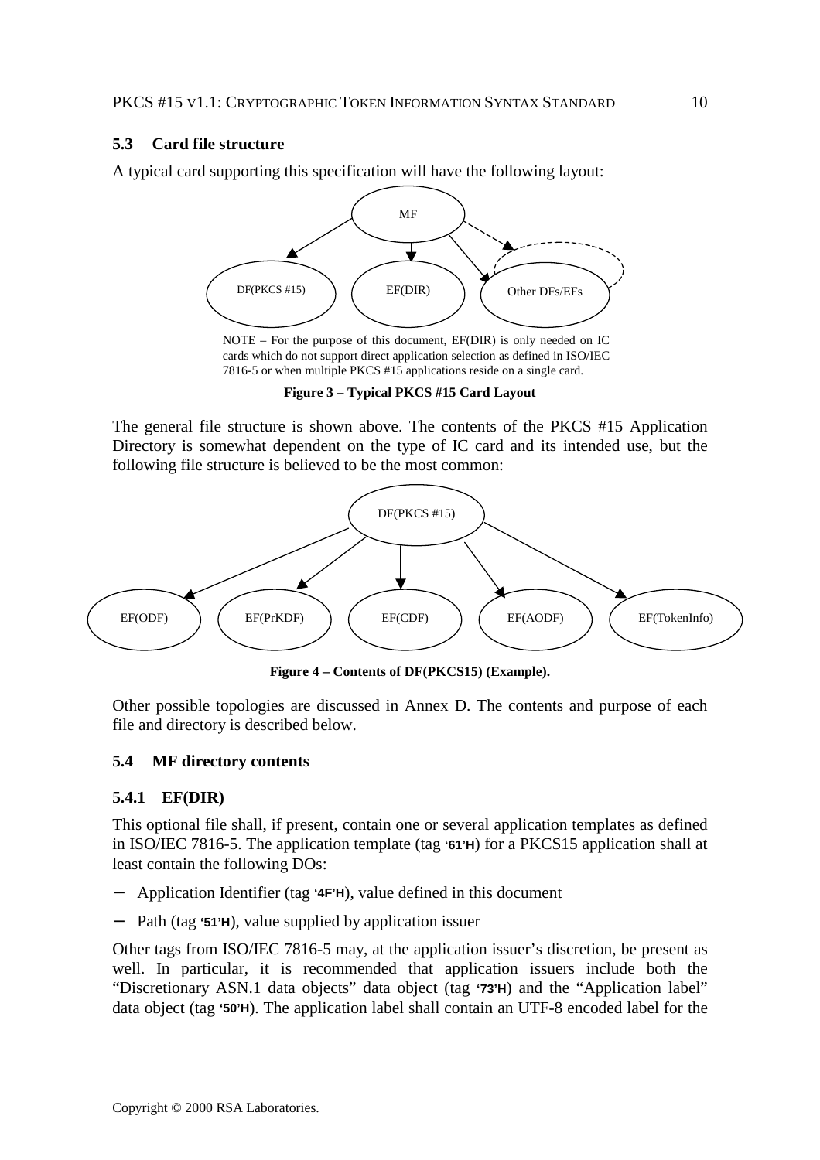## **5.3 Card file structure**

A typical card supporting this specification will have the following layout:



NOTE – For the purpose of this document, EF(DIR) is only needed on IC cards which do not support direct application selection as defined in ISO/IEC 7816-5 or when multiple PKCS #15 applications reside on a single card.

**Figure 3 – Typical PKCS #15 Card Layout**

The general file structure is shown above. The contents of the PKCS #15 Application Directory is somewhat dependent on the type of IC card and its intended use, but the following file structure is believed to be the most common:



**Figure 4 – Contents of DF(PKCS15) (Example).**

Other possible topologies are discussed in Annex D. The contents and purpose of each file and directory is described below.

## **5.4 MF directory contents**

## **5.4.1 EF(DIR)**

This optional file shall, if present, contain one or several application templates as defined in ISO/IEC 7816-5. The application template (tag **'61'H**) for a PKCS15 application shall at least contain the following DOs:

- − Application Identifier (tag **'4F'H**), value defined in this document
- − Path (tag **'51'H**), value supplied by application issuer

Other tags from ISO/IEC 7816-5 may, at the application issuer's discretion, be present as well. In particular, it is recommended that application issuers include both the "Discretionary ASN.1 data objects" data object (tag **'73'H**) and the "Application label" data object (tag **'50'H**). The application label shall contain an UTF-8 encoded label for the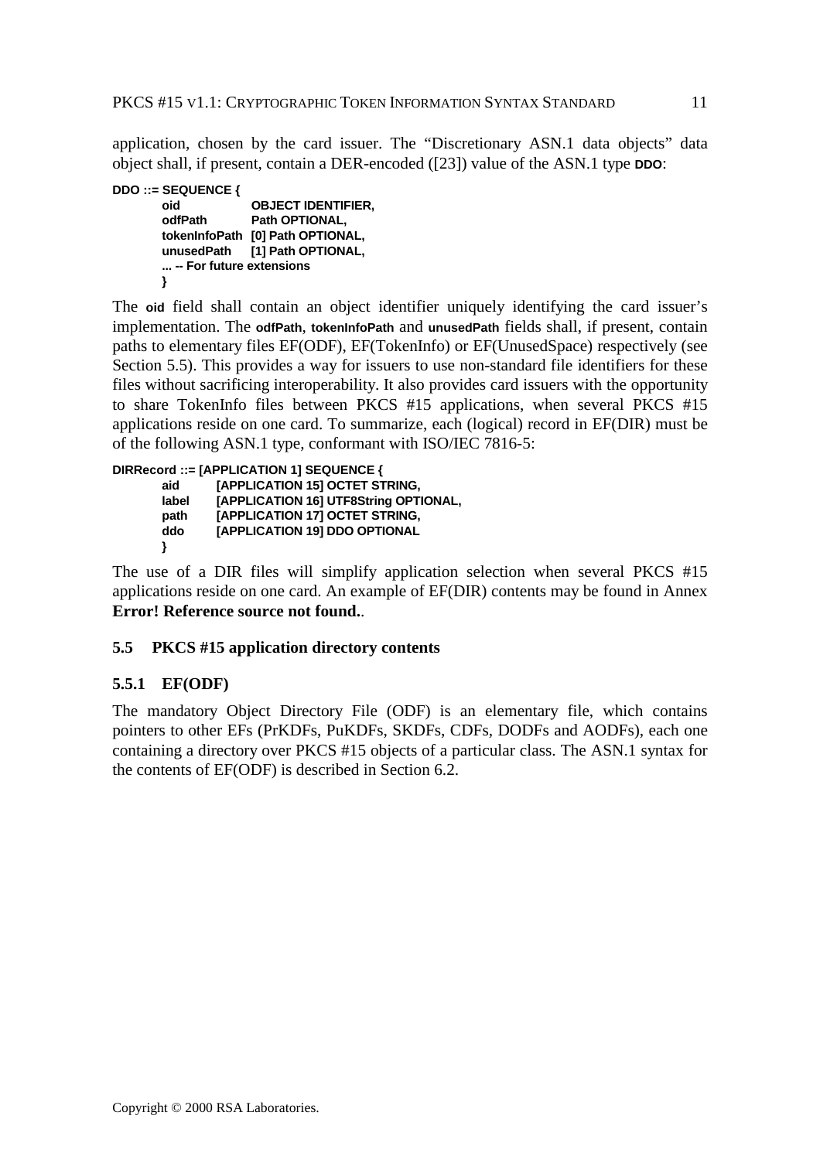application, chosen by the card issuer. The "Discretionary ASN.1 data objects" data object shall, if present, contain a DER-encoded ([23]) value of the ASN.1 type **DDO**:

```
DDO ::= SEQUENCE {
      oid OBJECT IDENTIFIER,
      odfPath Path OPTIONAL,
      tokenInfoPath [0] Path OPTIONAL,
       unusedPath [1] Path OPTIONAL,
       ... -- For future extensions
      }
```
The **oid** field shall contain an object identifier uniquely identifying the card issuer's implementation. The **odfPath**, **tokenInfoPath** and **unusedPath** fields shall, if present, contain paths to elementary files EF(ODF), EF(TokenInfo) or EF(UnusedSpace) respectively (see Section 5.5). This provides a way for issuers to use non-standard file identifiers for these files without sacrificing interoperability. It also provides card issuers with the opportunity to share TokenInfo files between PKCS #15 applications, when several PKCS #15 applications reside on one card. To summarize, each (logical) record in EF(DIR) must be of the following ASN.1 type, conformant with ISO/IEC 7816-5:

```
DIRRecord ::= [APPLICATION 1] SEQUENCE {
      aid [APPLICATION 15] OCTET STRING,
      label [APPLICATION 16] UTF8String OPTIONAL,
      path [APPLICATION 17] OCTET STRING,
      ddo [APPLICATION 19] DDO OPTIONAL
      }
```
The use of a DIR files will simplify application selection when several PKCS #15 applications reside on one card. An example of EF(DIR) contents may be found in Annex **Error! Reference source not found.**.

# **5.5 PKCS #15 application directory contents**

# **5.5.1 EF(ODF)**

The mandatory Object Directory File (ODF) is an elementary file, which contains pointers to other EFs (PrKDFs, PuKDFs, SKDFs, CDFs, DODFs and AODFs), each one containing a directory over PKCS #15 objects of a particular class. The ASN.1 syntax for the contents of EF(ODF) is described in Section 6.2.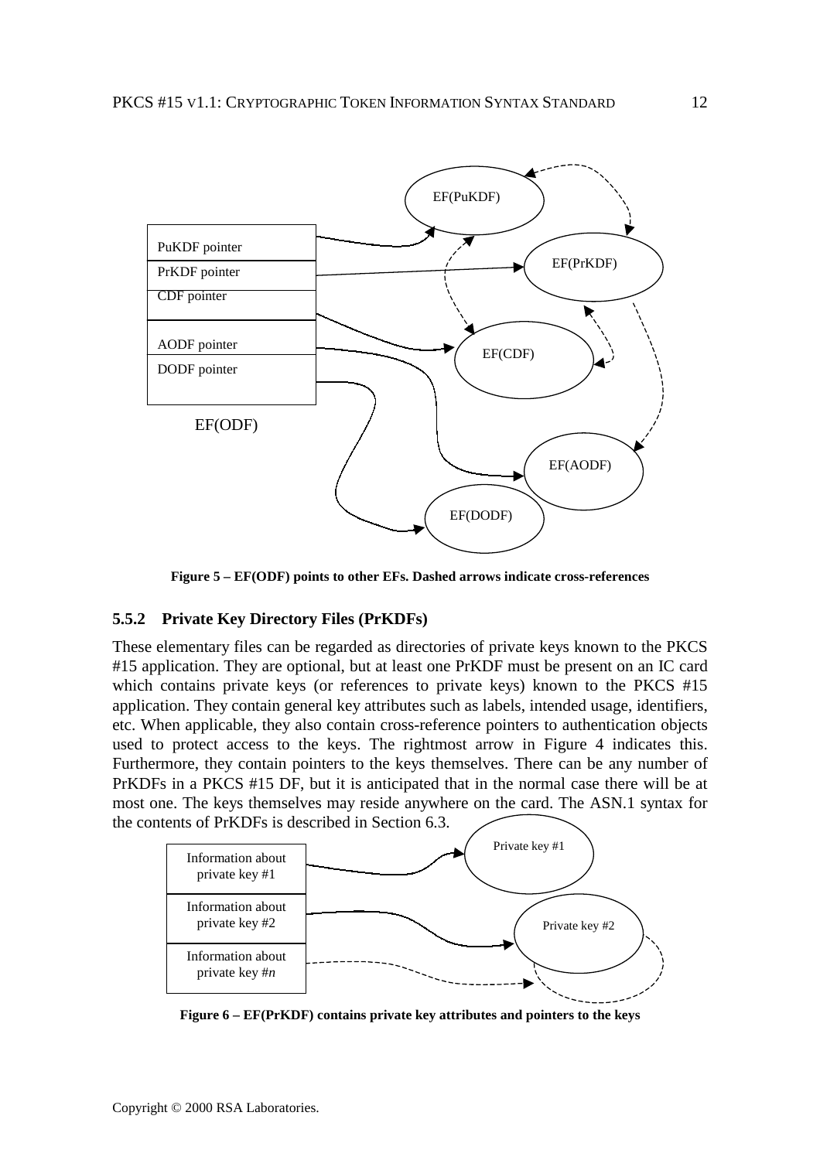

**Figure 5 – EF(ODF) points to other EFs. Dashed arrows indicate cross-references**

#### **5.5.2 Private Key Directory Files (PrKDFs)**

These elementary files can be regarded as directories of private keys known to the PKCS #15 application. They are optional, but at least one PrKDF must be present on an IC card which contains private keys (or references to private keys) known to the PKCS #15 application. They contain general key attributes such as labels, intended usage, identifiers, etc. When applicable, they also contain cross-reference pointers to authentication objects used to protect access to the keys. The rightmost arrow in Figure 4 indicates this. Furthermore, they contain pointers to the keys themselves. There can be any number of PrKDFs in a PKCS #15 DF, but it is anticipated that in the normal case there will be at most one. The keys themselves may reside anywhere on the card. The ASN.1 syntax for the contents of PrKDFs is described in Section 6.3.



**Figure 6 – EF(PrKDF) contains private key attributes and pointers to the keys**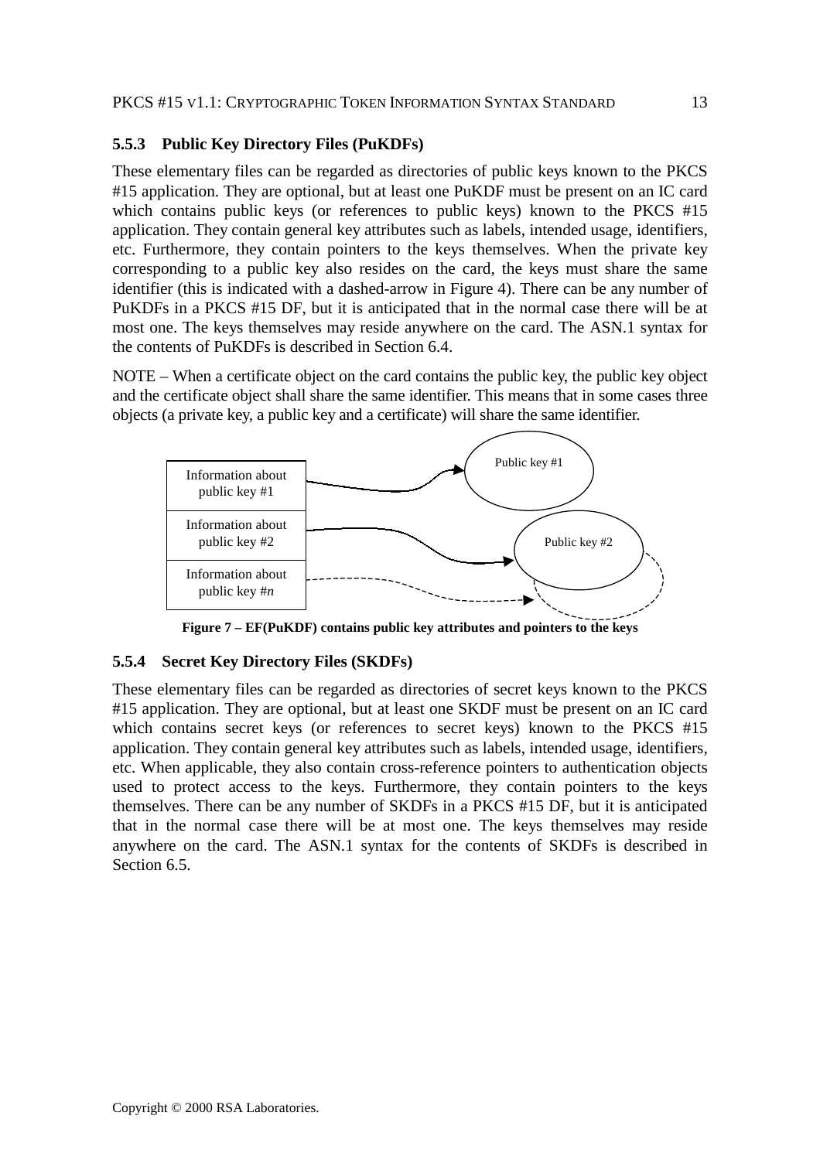## **5.5.3 Public Key Directory Files (PuKDFs)**

These elementary files can be regarded as directories of public keys known to the PKCS #15 application. They are optional, but at least one PuKDF must be present on an IC card which contains public keys (or references to public keys) known to the PKCS #15 application. They contain general key attributes such as labels, intended usage, identifiers, etc. Furthermore, they contain pointers to the keys themselves. When the private key corresponding to a public key also resides on the card, the keys must share the same identifier (this is indicated with a dashed-arrow in Figure 4). There can be any number of PuKDFs in a PKCS #15 DF, but it is anticipated that in the normal case there will be at most one. The keys themselves may reside anywhere on the card. The ASN.1 syntax for the contents of PuKDFs is described in Section 6.4.

NOTE – When a certificate object on the card contains the public key, the public key object and the certificate object shall share the same identifier. This means that in some cases three objects (a private key, a public key and a certificate) will share the same identifier.



**Figure 7 – EF(PuKDF) contains public key attributes and pointers to the keys**

# **5.5.4 Secret Key Directory Files (SKDFs)**

These elementary files can be regarded as directories of secret keys known to the PKCS #15 application. They are optional, but at least one SKDF must be present on an IC card which contains secret keys (or references to secret keys) known to the PKCS #15 application. They contain general key attributes such as labels, intended usage, identifiers, etc. When applicable, they also contain cross-reference pointers to authentication objects used to protect access to the keys. Furthermore, they contain pointers to the keys themselves. There can be any number of SKDFs in a PKCS #15 DF, but it is anticipated that in the normal case there will be at most one. The keys themselves may reside anywhere on the card. The ASN.1 syntax for the contents of SKDFs is described in Section 6.5.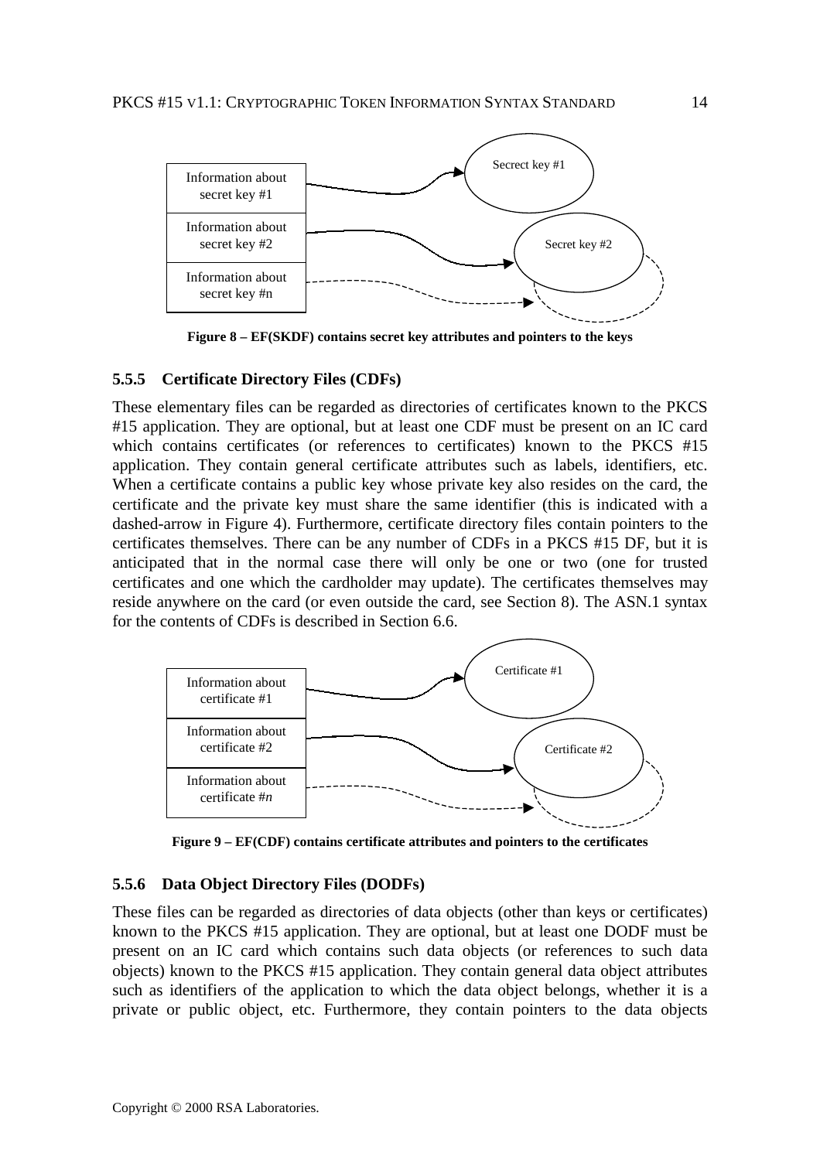

**Figure 8 – EF(SKDF) contains secret key attributes and pointers to the keys**

#### **5.5.5 Certificate Directory Files (CDFs)**

These elementary files can be regarded as directories of certificates known to the PKCS #15 application. They are optional, but at least one CDF must be present on an IC card which contains certificates (or references to certificates) known to the PKCS #15 application. They contain general certificate attributes such as labels, identifiers, etc. When a certificate contains a public key whose private key also resides on the card, the certificate and the private key must share the same identifier (this is indicated with a dashed-arrow in Figure 4). Furthermore, certificate directory files contain pointers to the certificates themselves. There can be any number of CDFs in a PKCS #15 DF, but it is anticipated that in the normal case there will only be one or two (one for trusted certificates and one which the cardholder may update). The certificates themselves may reside anywhere on the card (or even outside the card, see Section 8). The ASN.1 syntax for the contents of CDFs is described in Section 6.6.



**Figure 9 – EF(CDF) contains certificate attributes and pointers to the certificates**

## **5.5.6 Data Object Directory Files (DODFs)**

These files can be regarded as directories of data objects (other than keys or certificates) known to the PKCS #15 application. They are optional, but at least one DODF must be present on an IC card which contains such data objects (or references to such data objects) known to the PKCS #15 application. They contain general data object attributes such as identifiers of the application to which the data object belongs, whether it is a private or public object, etc. Furthermore, they contain pointers to the data objects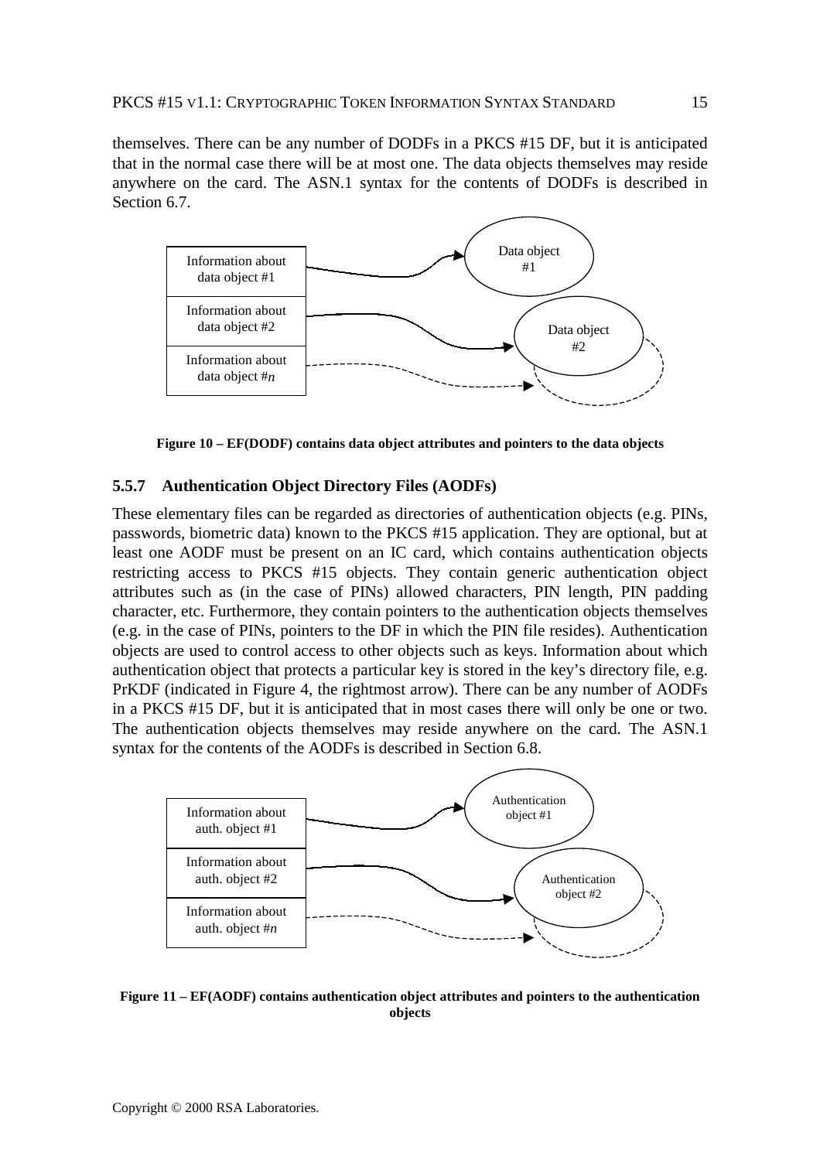themselves. There can be any number of DODFs in a PKCS #15 DF, but it is anticipated that in the normal case there will be at most one. The data objects themselves may reside anywhere on the card. The ASN.1 syntax for the contents of DODFs is described in Section 6.7.



**Figure 10 – EF(DODF) contains data object attributes and pointers to the data objects**

## **5.5.7 Authentication Object Directory Files (AODFs)**

These elementary files can be regarded as directories of authentication objects (e.g. PINs, passwords, biometric data) known to the PKCS #15 application. They are optional, but at least one AODF must be present on an IC card, which contains authentication objects restricting access to PKCS #15 objects. They contain generic authentication object attributes such as (in the case of PINs) allowed characters, PIN length, PIN padding character, etc. Furthermore, they contain pointers to the authentication objects themselves (e.g. in the case of PINs, pointers to the DF in which the PIN file resides). Authentication objects are used to control access to other objects such as keys. Information about which authentication object that protects a particular key is stored in the key's directory file, e.g. PrKDF (indicated in Figure 4, the rightmost arrow). There can be any number of AODFs in a PKCS #15 DF, but it is anticipated that in most cases there will only be one or two. The authentication objects themselves may reside anywhere on the card. The ASN.1 syntax for the contents of the AODFs is described in Section 6.8.



#### **Figure 11 – EF(AODF) contains authentication object attributes and pointers to the authentication objects**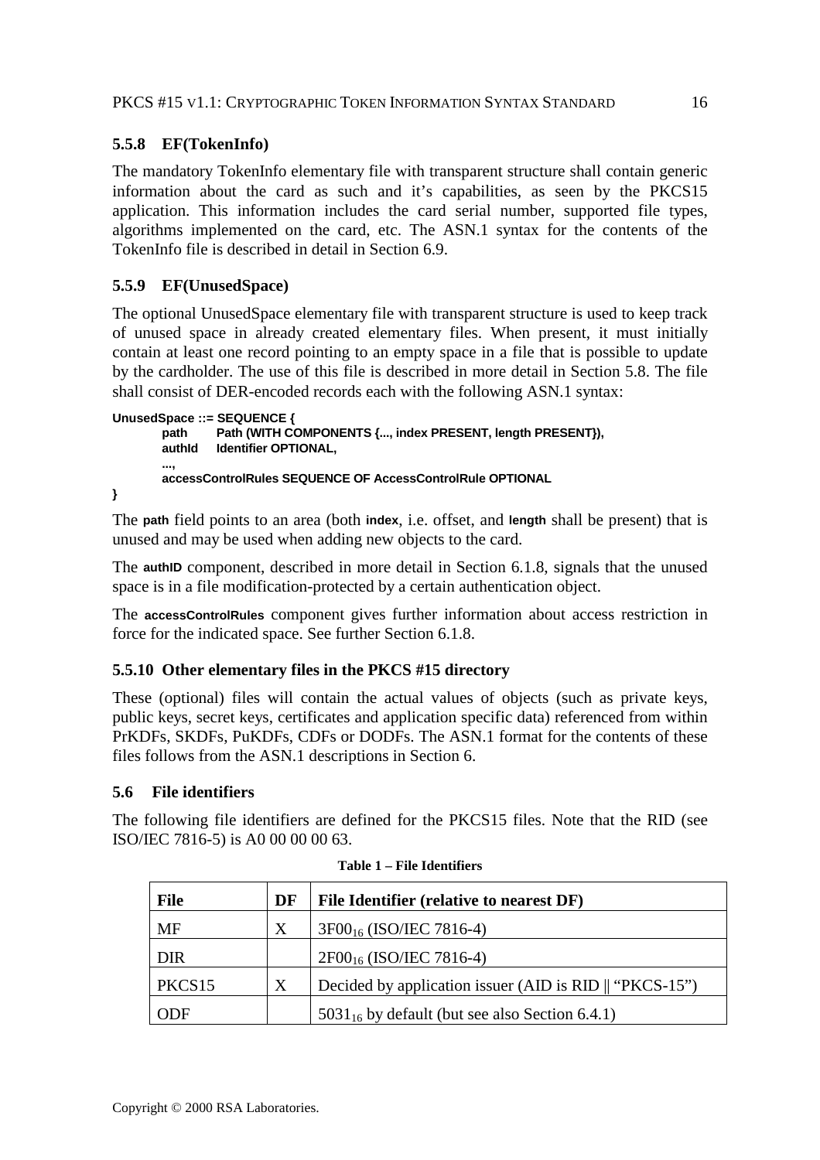# **5.5.8 EF(TokenInfo)**

The mandatory TokenInfo elementary file with transparent structure shall contain generic information about the card as such and it's capabilities, as seen by the PKCS15 application. This information includes the card serial number, supported file types, algorithms implemented on the card, etc. The ASN.1 syntax for the contents of the TokenInfo file is described in detail in Section 6.9.

# **5.5.9 EF(UnusedSpace)**

The optional UnusedSpace elementary file with transparent structure is used to keep track of unused space in already created elementary files. When present, it must initially contain at least one record pointing to an empty space in a file that is possible to update by the cardholder. The use of this file is described in more detail in Section 5.8. The file shall consist of DER-encoded records each with the following ASN.1 syntax:

```
UnusedSpace ::= SEQUENCE {
       path Path (WITH COMPONENTS {..., index PRESENT, length PRESENT}),
       authId Identifier OPTIONAL,
       ...,
       accessControlRules SEQUENCE OF AccessControlRule OPTIONAL
}
```
The **path** field points to an area (both **index**, i.e. offset, and **length** shall be present) that is unused and may be used when adding new objects to the card.

The **authID** component, described in more detail in Section 6.1.8, signals that the unused space is in a file modification-protected by a certain authentication object.

The **accessControlRules** component gives further information about access restriction in force for the indicated space. See further Section 6.1.8.

## **5.5.10 Other elementary files in the PKCS #15 directory**

These (optional) files will contain the actual values of objects (such as private keys, public keys, secret keys, certificates and application specific data) referenced from within PrKDFs, SKDFs, PuKDFs, CDFs or DODFs. The ASN.1 format for the contents of these files follows from the ASN.1 descriptions in Section 6.

## **5.6 File identifiers**

The following file identifiers are defined for the PKCS15 files. Note that the RID (see ISO/IEC 7816-5) is A0 00 00 00 63.

| <b>File</b>        | DF | File Identifier (relative to nearest DF)                |
|--------------------|----|---------------------------------------------------------|
| МF                 | X  | $3F00_{16}$ (ISO/IEC 7816-4)                            |
| <b>DIR</b>         |    | $2F00_{16}$ (ISO/IEC 7816-4)                            |
| PKCS <sub>15</sub> | X  | Decided by application issuer (AID is RID    "PKCS-15") |
| ODF.               |    | $5031_{16}$ by default (but see also Section 6.4.1)     |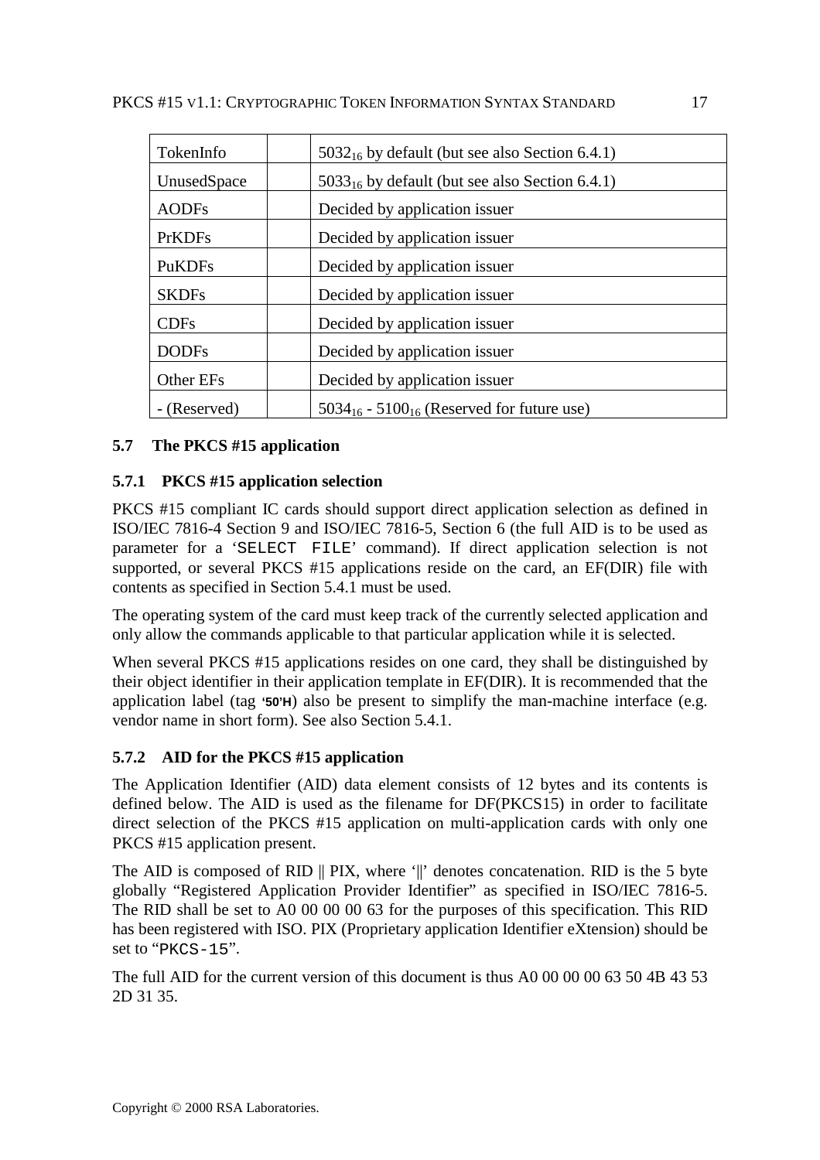| TokenInfo     | $5032_{16}$ by default (but see also Section 6.4.1) |
|---------------|-----------------------------------------------------|
| UnusedSpace   | $5033_{16}$ by default (but see also Section 6.4.1) |
| <b>AODFs</b>  | Decided by application issuer                       |
| <b>PrKDFs</b> | Decided by application issuer                       |
| <b>PuKDFs</b> | Decided by application issuer                       |
| <b>SKDFs</b>  | Decided by application issuer                       |
| CDFs          | Decided by application issuer                       |
| <b>DODFs</b>  | Decided by application issuer                       |
| Other EFs     | Decided by application issuer                       |
| - (Reserved)  | $5034_{16}$ - $5100_{16}$ (Reserved for future use) |

# **5.7 The PKCS #15 application**

## **5.7.1 PKCS #15 application selection**

PKCS #15 compliant IC cards should support direct application selection as defined in ISO/IEC 7816-4 Section 9 and ISO/IEC 7816-5, Section 6 (the full AID is to be used as parameter for a 'SELECT FILE' command). If direct application selection is not supported, or several PKCS #15 applications reside on the card, an EF(DIR) file with contents as specified in Section 5.4.1 must be used.

The operating system of the card must keep track of the currently selected application and only allow the commands applicable to that particular application while it is selected.

When several PKCS #15 applications resides on one card, they shall be distinguished by their object identifier in their application template in EF(DIR). It is recommended that the application label (tag **'50'H**) also be present to simplify the man-machine interface (e.g. vendor name in short form). See also Section 5.4.1.

# **5.7.2 AID for the PKCS #15 application**

The Application Identifier (AID) data element consists of 12 bytes and its contents is defined below. The AID is used as the filename for DF(PKCS15) in order to facilitate direct selection of the PKCS #15 application on multi-application cards with only one PKCS #15 application present.

The AID is composed of RID || PIX, where '||' denotes concatenation. RID is the 5 byte globally "Registered Application Provider Identifier" as specified in ISO/IEC 7816-5. The RID shall be set to A0 00 00 00 63 for the purposes of this specification. This RID has been registered with ISO. PIX (Proprietary application Identifier eXtension) should be set to "PKCS-15".

The full AID for the current version of this document is thus A0 00 00 00 63 50 4B 43 53 2D 31 35.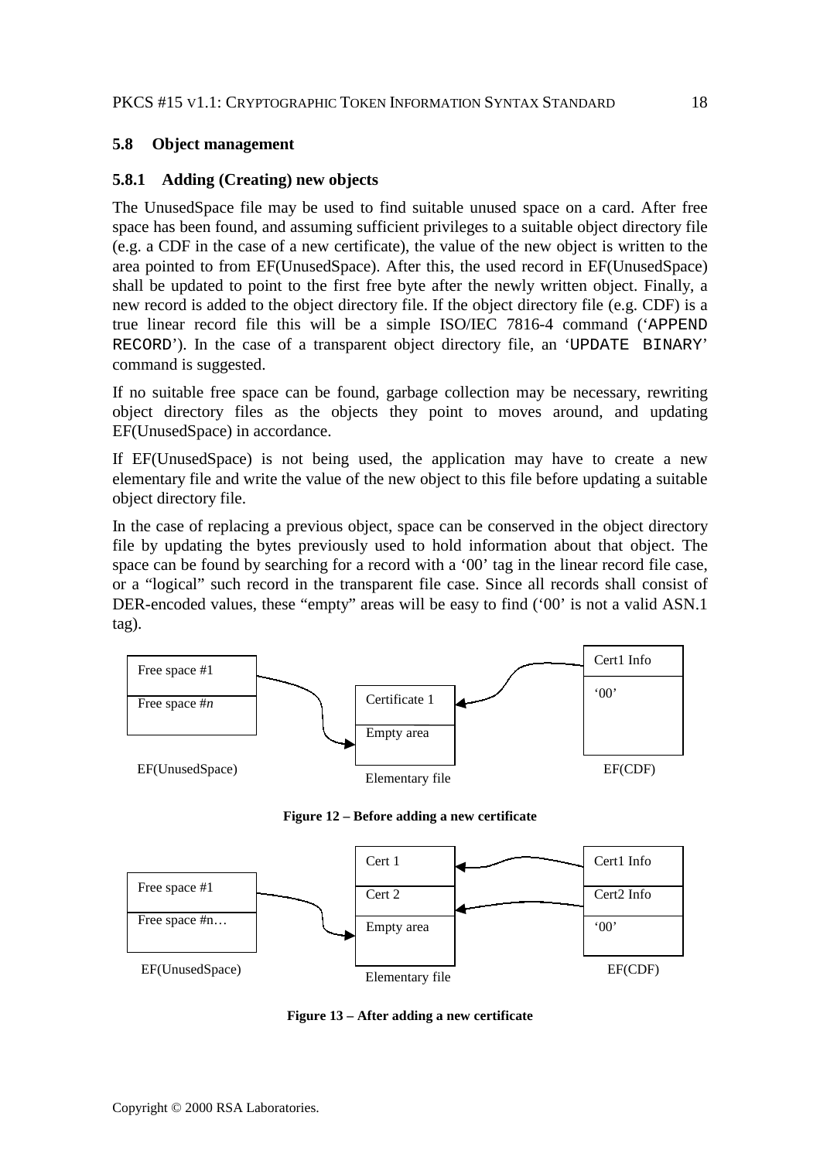#### **5.8 Object management**

#### **5.8.1 Adding (Creating) new objects**

The UnusedSpace file may be used to find suitable unused space on a card. After free space has been found, and assuming sufficient privileges to a suitable object directory file (e.g. a CDF in the case of a new certificate), the value of the new object is written to the area pointed to from EF(UnusedSpace). After this, the used record in EF(UnusedSpace) shall be updated to point to the first free byte after the newly written object. Finally, a new record is added to the object directory file. If the object directory file (e.g. CDF) is a true linear record file this will be a simple ISO/IEC 7816-4 command ('APPEND RECORD'). In the case of a transparent object directory file, an 'UPDATE BINARY' command is suggested.

If no suitable free space can be found, garbage collection may be necessary, rewriting object directory files as the objects they point to moves around, and updating EF(UnusedSpace) in accordance.

If EF(UnusedSpace) is not being used, the application may have to create a new elementary file and write the value of the new object to this file before updating a suitable object directory file.

In the case of replacing a previous object, space can be conserved in the object directory file by updating the bytes previously used to hold information about that object. The space can be found by searching for a record with a '00' tag in the linear record file case, or a "logical" such record in the transparent file case. Since all records shall consist of DER-encoded values, these "empty" areas will be easy to find ('00' is not a valid ASN.1) tag).



**Figure 12 – Before adding a new certificate**



**Figure 13 – After adding a new certificate**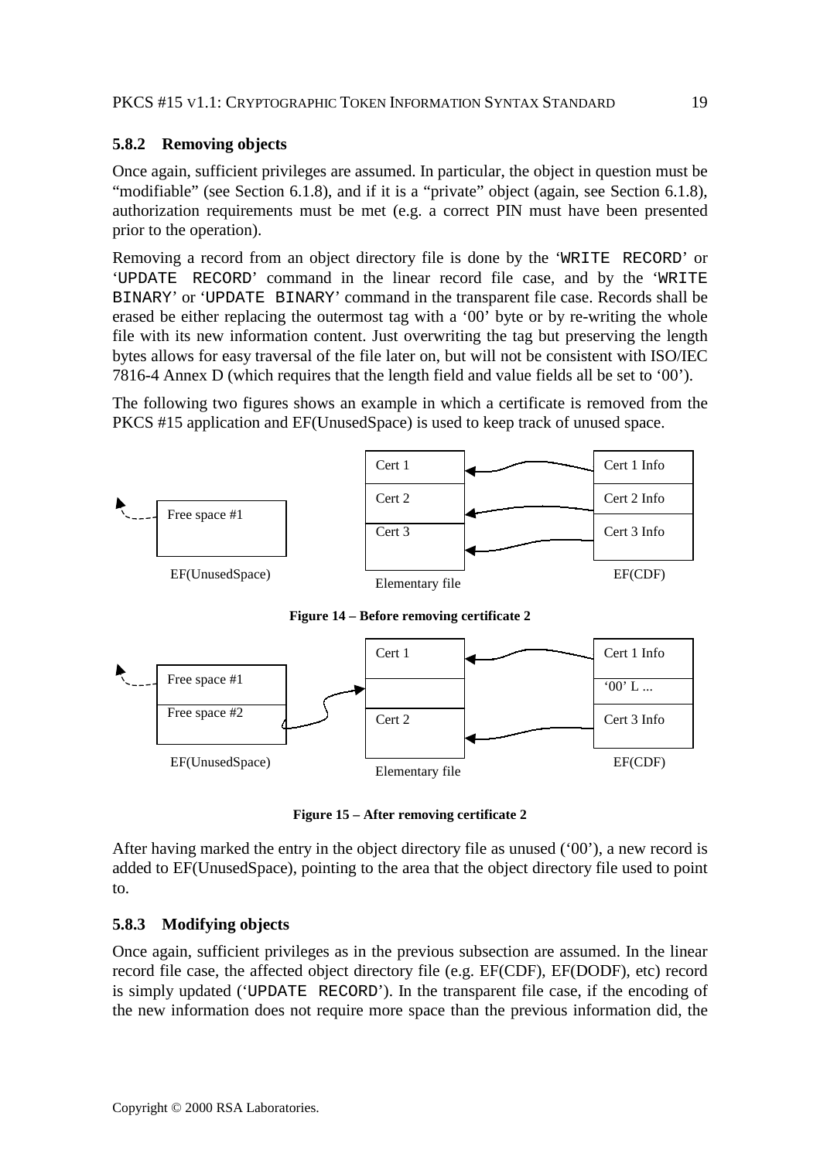## **5.8.2 Removing objects**

Once again, sufficient privileges are assumed. In particular, the object in question must be "modifiable" (see Section 6.1.8), and if it is a "private" object (again, see Section 6.1.8), authorization requirements must be met (e.g. a correct PIN must have been presented prior to the operation).

Removing a record from an object directory file is done by the 'WRITE RECORD' or 'UPDATE RECORD' command in the linear record file case, and by the 'WRITE BINARY' or 'UPDATE BINARY' command in the transparent file case. Records shall be erased be either replacing the outermost tag with a '00' byte or by re-writing the whole file with its new information content. Just overwriting the tag but preserving the length bytes allows for easy traversal of the file later on, but will not be consistent with ISO/IEC 7816-4 Annex D (which requires that the length field and value fields all be set to '00').

The following two figures shows an example in which a certificate is removed from the PKCS #15 application and EF(UnusedSpace) is used to keep track of unused space.



**Figure 15 – After removing certificate 2**

After having marked the entry in the object directory file as unused ('00'), a new record is added to EF(UnusedSpace), pointing to the area that the object directory file used to point to.

# **5.8.3 Modifying objects**

Once again, sufficient privileges as in the previous subsection are assumed. In the linear record file case, the affected object directory file (e.g. EF(CDF), EF(DODF), etc) record is simply updated ('UPDATE RECORD'). In the transparent file case, if the encoding of the new information does not require more space than the previous information did, the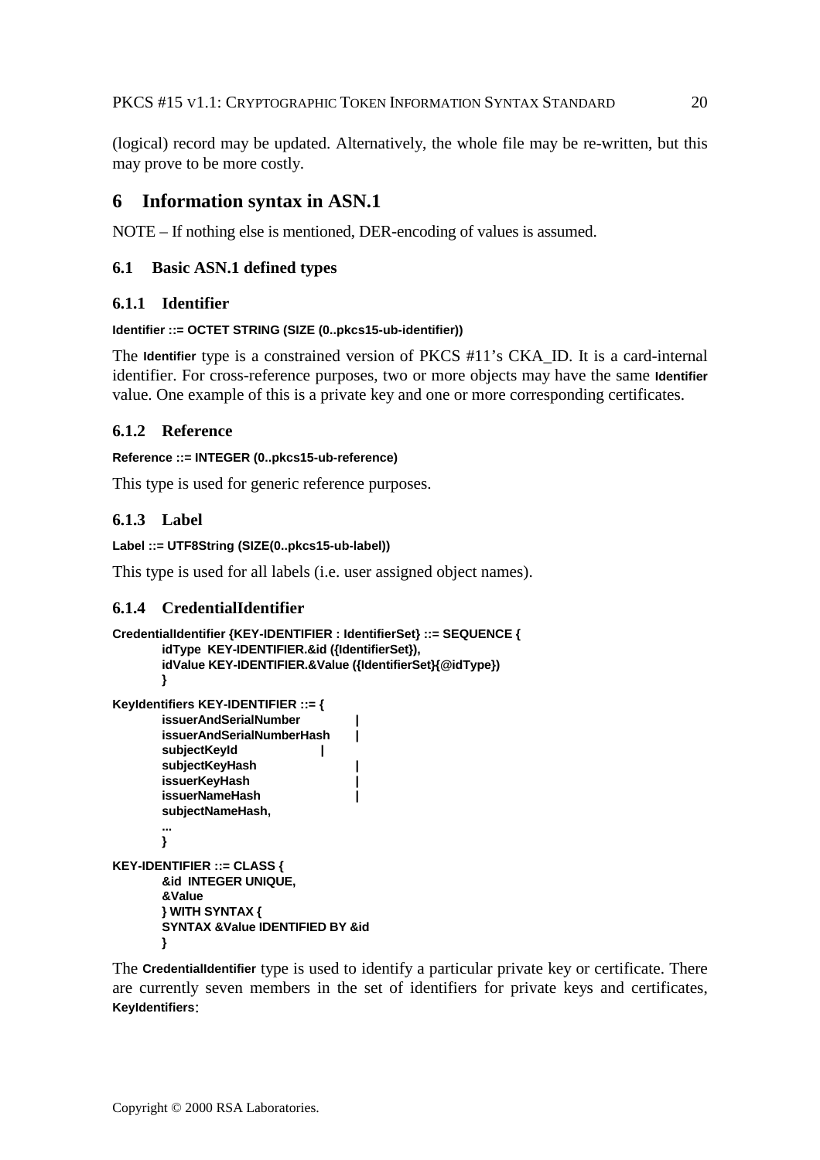PKCS #15 V1.1: CRYPTOGRAPHIC TOKEN INFORMATION SYNTAX STANDARD 20

(logical) record may be updated. Alternatively, the whole file may be re-written, but this may prove to be more costly.

# **6 Information syntax in ASN.1**

NOTE – If nothing else is mentioned, DER-encoding of values is assumed.

## **6.1 Basic ASN.1 defined types**

## **6.1.1 Identifier**

#### **Identifier ::= OCTET STRING (SIZE (0..pkcs15-ub-identifier))**

The **Identifier** type is a constrained version of PKCS #11's CKA\_ID. It is a card-internal identifier. For cross-reference purposes, two or more objects may have the same **Identifier** value. One example of this is a private key and one or more corresponding certificates.

## **6.1.2 Reference**

#### **Reference ::= INTEGER (0..pkcs15-ub-reference)**

This type is used for generic reference purposes.

# **6.1.3 Label**

#### **Label ::= UTF8String (SIZE(0..pkcs15-ub-label))**

This type is used for all labels (i.e. user assigned object names).

## **6.1.4 CredentialIdentifier**

```
CredentialIdentifier {KEY-IDENTIFIER : IdentifierSet} ::= SEQUENCE {
      idType KEY-IDENTIFIER.&id ({IdentifierSet}),
      idValue KEY-IDENTIFIER.&Value ({IdentifierSet}{@idType})
      }
KeyIdentifiers KEY-IDENTIFIER ::= {
      issuerAndSerialNumber |
      issuerAndSerialNumberHash |
      subjectKeyId |
      subjectKeyHash |
      issuerKeyHash |
      issuerNameHash |
      subjectNameHash,
       ...
      }
KEY-IDENTIFIER ::= CLASS {
      &id INTEGER UNIQUE,
      &Value
      } WITH SYNTAX {
      SYNTAX &Value IDENTIFIED BY &id
      }
```
The **CredentialIdentifier** type is used to identify a particular private key or certificate. There are currently seven members in the set of identifiers for private keys and certificates, **KeyIdentifiers**: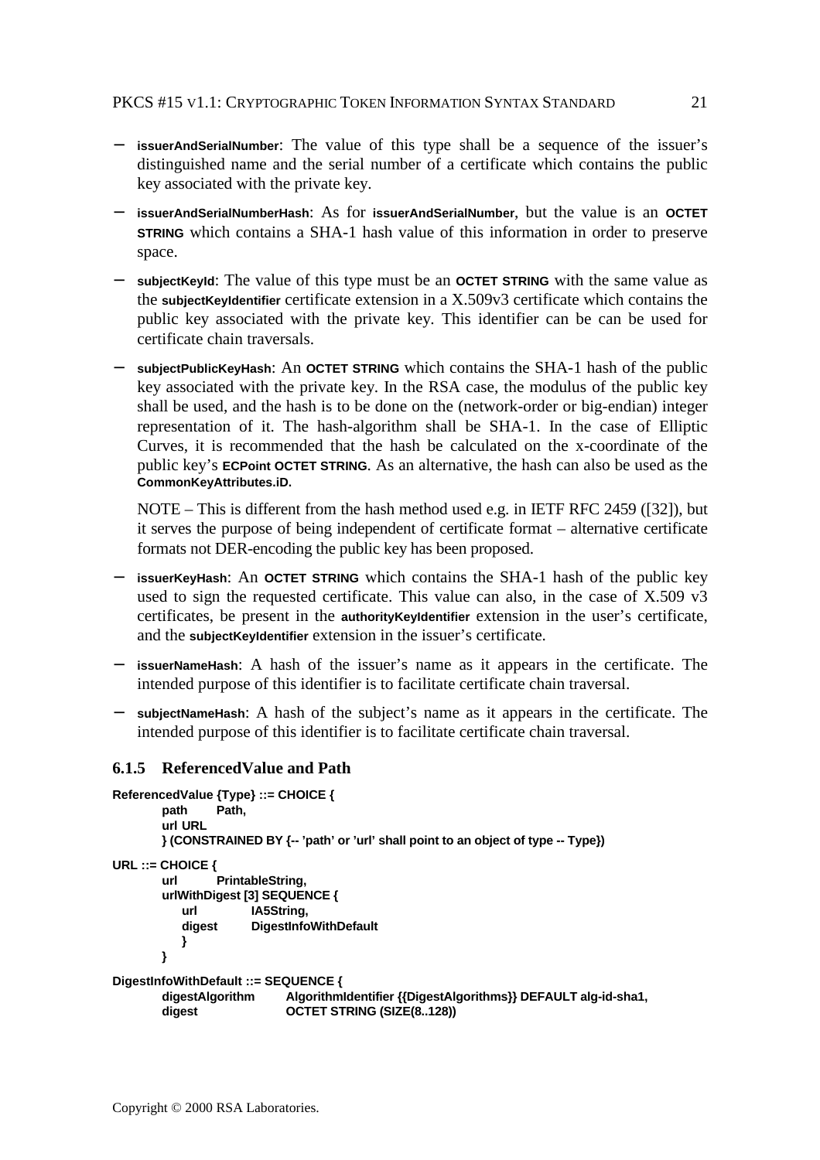- − **issuerAndSerialNumber**: The value of this type shall be a sequence of the issuer's distinguished name and the serial number of a certificate which contains the public key associated with the private key.
- − **issuerAndSerialNumberHash**: As for **issuerAndSerialNumber**, but the value is an **OCTET STRING** which contains a SHA-1 hash value of this information in order to preserve space.
- − **subjectKeyId**: The value of this type must be an **OCTET STRING** with the same value as the **subjectKeyIdentifier** certificate extension in a X.509v3 certificate which contains the public key associated with the private key. This identifier can be can be used for certificate chain traversals.
- − **subjectPublicKeyHash**: An **OCTET STRING** which contains the SHA-1 hash of the public key associated with the private key. In the RSA case, the modulus of the public key shall be used, and the hash is to be done on the (network-order or big-endian) integer representation of it. The hash-algorithm shall be SHA-1. In the case of Elliptic Curves, it is recommended that the hash be calculated on the x-coordinate of the public key's **ECPoint OCTET STRING**. As an alternative, the hash can also be used as the **CommonKeyAttributes.iD.**

NOTE – This is different from the hash method used e.g. in IETF RFC 2459 ([32]), but it serves the purpose of being independent of certificate format – alternative certificate formats not DER-encoding the public key has been proposed.

- − **issuerKeyHash**: An **OCTET STRING** which contains the SHA-1 hash of the public key used to sign the requested certificate. This value can also, in the case of X.509 v3 certificates, be present in the **authorityKeyIdentifier** extension in the user's certificate, and the **subjectKeyIdentifier** extension in the issuer's certificate.
- **issuerNameHash:** A hash of the issuer's name as it appears in the certificate. The intended purpose of this identifier is to facilitate certificate chain traversal.
- − **subjectNameHash**: A hash of the subject's name as it appears in the certificate. The intended purpose of this identifier is to facilitate certificate chain traversal.

#### **6.1.5 ReferencedValue and Path**

```
ReferencedValue {Type} ::= CHOICE {
       path Path,
       url URL
       } (CONSTRAINED BY {-- 'path' or 'url' shall point to an object of type -- Type})
URL ::= CHOICE {
       url PrintableString,
       urlWithDigest [3] SEQUENCE {
          url IA5String,
          digest DigestInfoWithDefault
          }
       }
DigestInfoWithDefault ::= SEQUENCE {
       digestAlgorithm AlgorithmIdentifier {{DigestAlgorithms}} DEFAULT alg-id-sha1,
       digest OCTET STRING (SIZE(8..128))
```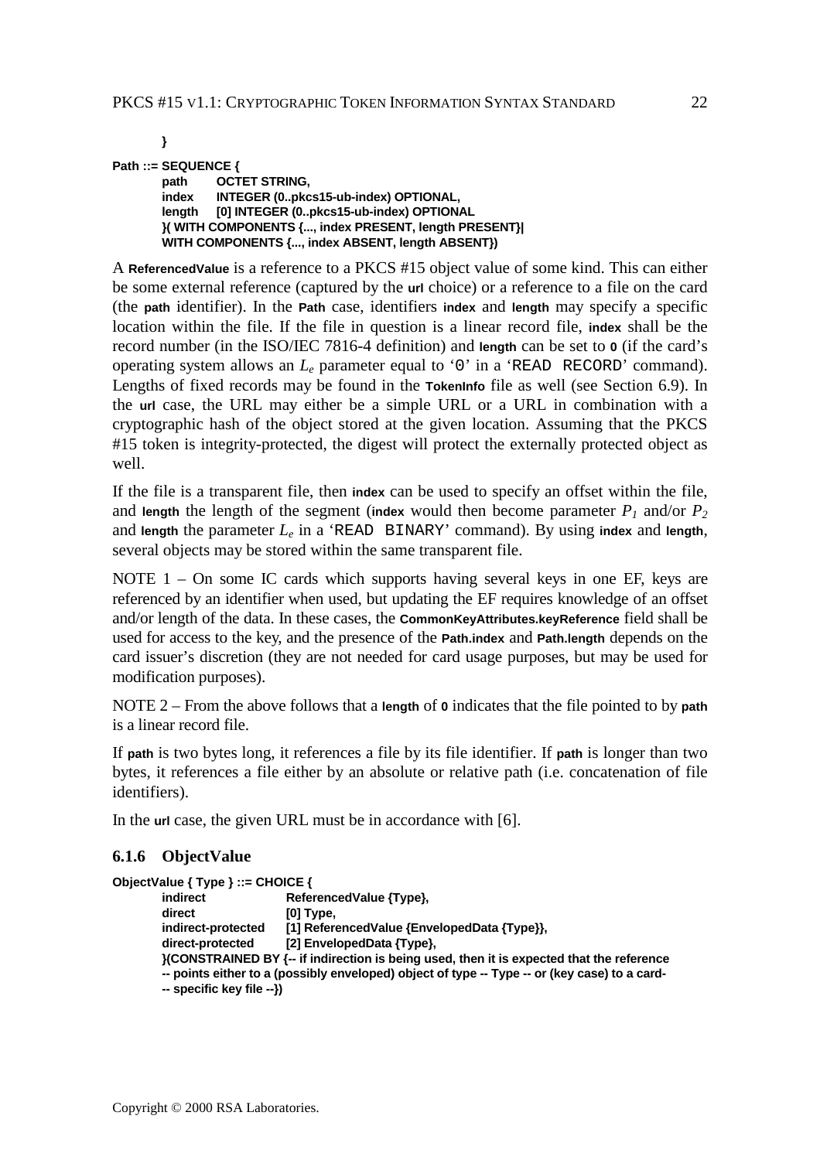**} Path ::= SEQUENCE { path OCTET STRING, index INTEGER (0..pkcs15-ub-index) OPTIONAL, length [0] INTEGER (0..pkcs15-ub-index) OPTIONAL }( WITH COMPONENTS {..., index PRESENT, length PRESENT}| WITH COMPONENTS {..., index ABSENT, length ABSENT})**

A **ReferencedValue** is a reference to a PKCS #15 object value of some kind. This can either be some external reference (captured by the **url** choice) or a reference to a file on the card (the **path** identifier). In the **Path** case, identifiers **index** and **length** may specify a specific location within the file. If the file in question is a linear record file, **index** shall be the record number (in the ISO/IEC 7816-4 definition) and **length** can be set to **0** (if the card's operating system allows an *Le* parameter equal to '0' in a 'READ RECORD' command). Lengths of fixed records may be found in the **TokenInfo** file as well (see Section 6.9). In the **url** case, the URL may either be a simple URL or a URL in combination with a cryptographic hash of the object stored at the given location. Assuming that the PKCS #15 token is integrity-protected, the digest will protect the externally protected object as well.

If the file is a transparent file, then **index** can be used to specify an offset within the file, and **length** the length of the segment (index would then become parameter  $P_1$  and/or  $P_2$ and **length** the parameter *Le* in a 'READ BINARY' command). By using **index** and **length**, several objects may be stored within the same transparent file.

NOTE 1 – On some IC cards which supports having several keys in one EF, keys are referenced by an identifier when used, but updating the EF requires knowledge of an offset and/or length of the data. In these cases, the **CommonKeyAttributes.keyReference** field shall be used for access to the key, and the presence of the **Path.index** and **Path.length** depends on the card issuer's discretion (they are not needed for card usage purposes, but may be used for modification purposes).

NOTE 2 – From the above follows that a **length** of **0** indicates that the file pointed to by **path** is a linear record file.

If **path** is two bytes long, it references a file by its file identifier. If **path** is longer than two bytes, it references a file either by an absolute or relative path (i.e. concatenation of file identifiers).

In the **url** case, the given URL must be in accordance with [6].

#### **6.1.6 ObjectValue**

| ObjectValue { Type } ::= CHOICE { |                                                                                                                                                                                            |
|-----------------------------------|--------------------------------------------------------------------------------------------------------------------------------------------------------------------------------------------|
| indirect                          | ReferencedValue {Type},                                                                                                                                                                    |
| direct                            | $[0]$ Type,                                                                                                                                                                                |
| indirect-protected                | [1] ReferencedValue {EnvelopedData {Type}},                                                                                                                                                |
| direct-protected                  | [2] EnvelopedData {Type},                                                                                                                                                                  |
|                                   | }(CONSTRAINED BY {-- if indirection is being used, then it is expected that the reference<br>-- points either to a (possibly enveloped) object of type -- Type -- or (key case) to a card- |
| $-$ specific key file $-$ })      |                                                                                                                                                                                            |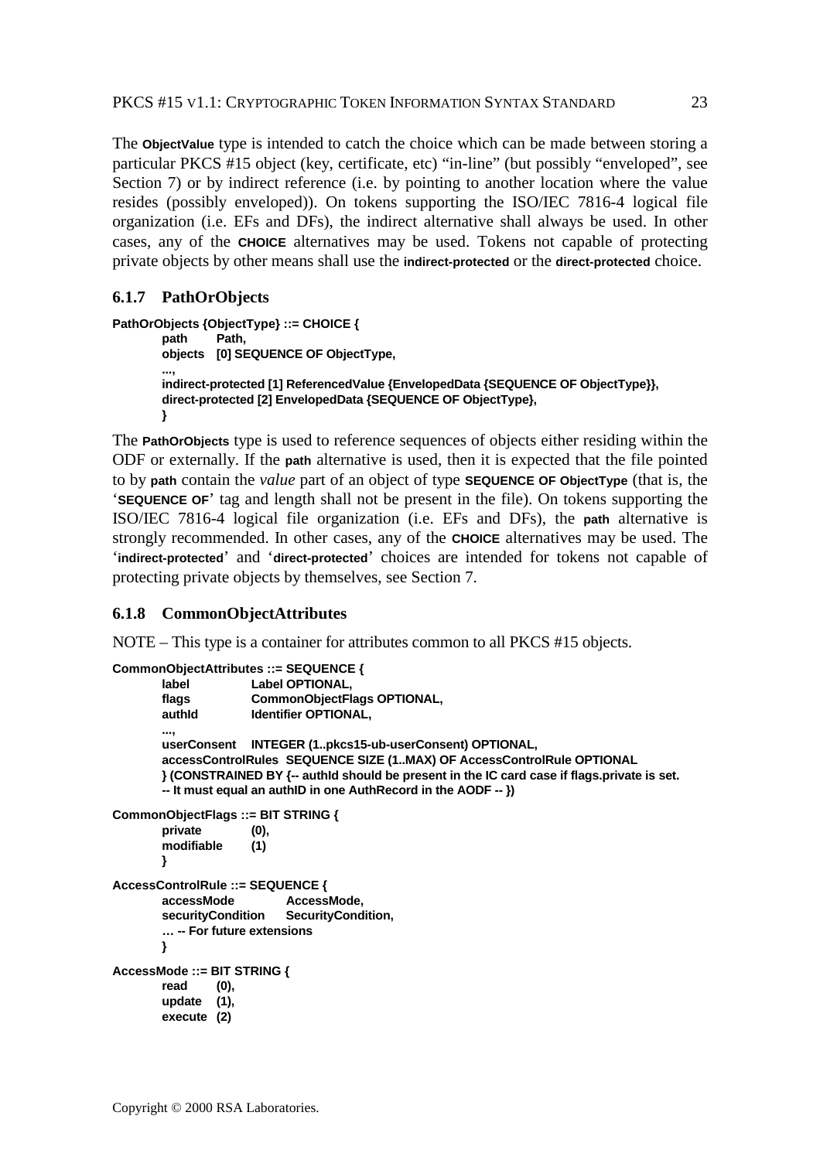The **ObjectValue** type is intended to catch the choice which can be made between storing a particular PKCS #15 object (key, certificate, etc) "in-line" (but possibly "enveloped", see Section 7) or by indirect reference (i.e. by pointing to another location where the value resides (possibly enveloped)). On tokens supporting the ISO/IEC 7816-4 logical file organization (i.e. EFs and DFs), the indirect alternative shall always be used. In other cases, any of the **CHOICE** alternatives may be used. Tokens not capable of protecting private objects by other means shall use the **indirect-protected** or the **direct-protected** choice.

# **6.1.7 PathOrObjects**

```
PathOrObjects {ObjectType} ::= CHOICE {
       path Path,
       objects [0] SEQUENCE OF ObjectType,
        ...,
       indirect-protected [1] ReferencedValue {EnvelopedData {SEQUENCE OF ObjectType}},
       direct-protected [2] EnvelopedData {SEQUENCE OF ObjectType},
       }
```
The **PathOrObjects** type is used to reference sequences of objects either residing within the ODF or externally. If the **path** alternative is used, then it is expected that the file pointed to by **path** contain the *value* part of an object of type **SEQUENCE OF ObjectType** (that is, the '**SEQUENCE OF**' tag and length shall not be present in the file). On tokens supporting the ISO/IEC 7816-4 logical file organization (i.e. EFs and DFs), the **path** alternative is strongly recommended. In other cases, any of the **CHOICE** alternatives may be used. The '**indirect-protected**' and '**direct-protected**' choices are intended for tokens not capable of protecting private objects by themselves, see Section 7.

## **6.1.8 CommonObjectAttributes**

NOTE – This type is a container for attributes common to all PKCS #15 objects.

```
CommonObjectAttributes ::= SEQUENCE {
       label Label OPTIONAL,
       flags CommonObjectFlags OPTIONAL,
       authId Identifier OPTIONAL,
       ...,
       userConsent INTEGER (1..pkcs15-ub-userConsent) OPTIONAL,
       accessControlRules SEQUENCE SIZE (1..MAX) OF AccessControlRule OPTIONAL
       } (CONSTRAINED BY {-- authId should be present in the IC card case if flags.private is set.
       -- It must equal an authID in one AuthRecord in the AODF -- })
CommonObjectFlags ::= BIT STRING {
       private (0),
       modifiable (1)
       }
AccessControlRule ::= SEQUENCE {
       accessMode AccessMode,
       securityCondition SecurityCondition,
       … -- For future extensions
       }
AccessMode ::= BIT STRING {
       read (0),
       update (1),
       execute (2)
```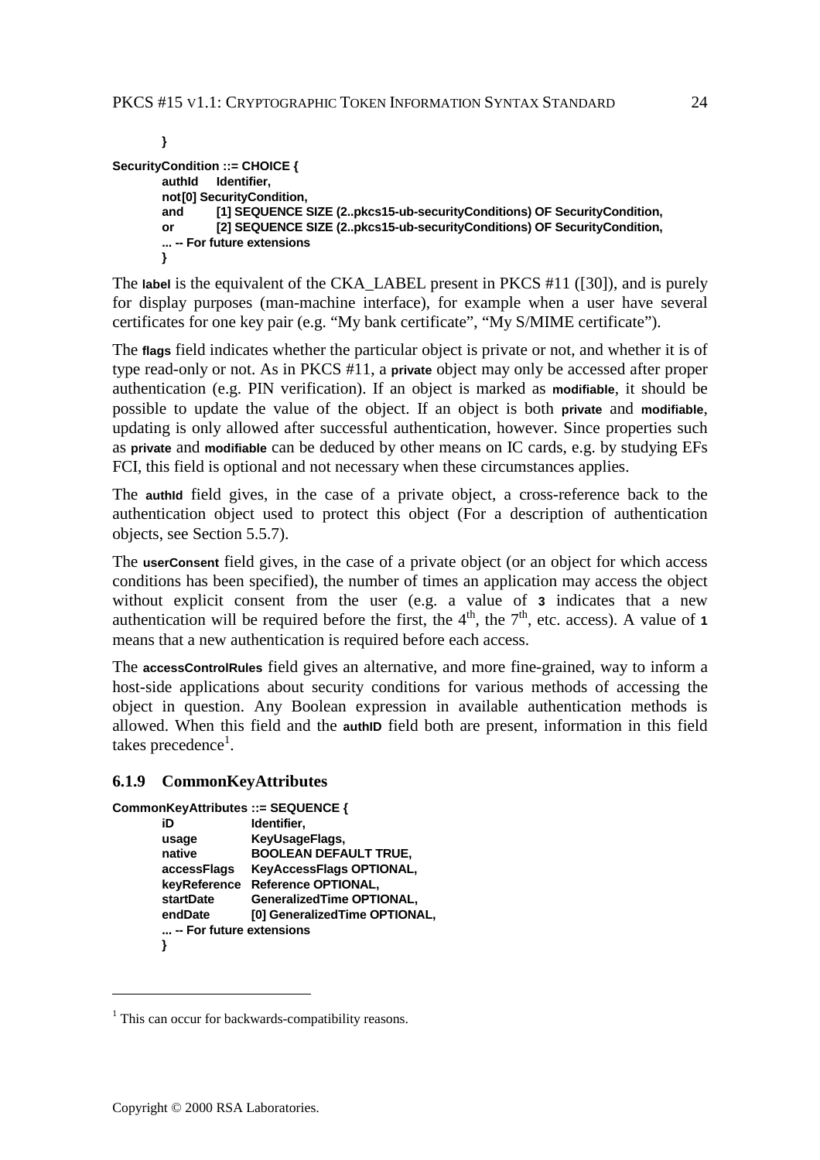```
}
SecurityCondition ::= CHOICE {
       authId Identifier,
        not[0] SecurityCondition,
        and [1] SEQUENCE SIZE (2..pkcs15-ub-securityConditions) OF SecurityCondition,
        or [2] SEQUENCE SIZE (2..pkcs15-ub-securityConditions) OF SecurityCondition,
        ... -- For future extensions
        }
```
The **label** is the equivalent of the CKA\_LABEL present in PKCS #11 ([30]), and is purely for display purposes (man-machine interface), for example when a user have several certificates for one key pair (e.g. "My bank certificate", "My S/MIME certificate").

The **flags** field indicates whether the particular object is private or not, and whether it is of type read-only or not. As in PKCS #11, a **private** object may only be accessed after proper authentication (e.g. PIN verification). If an object is marked as **modifiable**, it should be possible to update the value of the object. If an object is both **private** and **modifiable**, updating is only allowed after successful authentication, however. Since properties such as **private** and **modifiable** can be deduced by other means on IC cards, e.g. by studying EFs FCI, this field is optional and not necessary when these circumstances applies.

The **authid** field gives, in the case of a private object, a cross-reference back to the authentication object used to protect this object (For a description of authentication objects, see Section 5.5.7).

The **userConsent** field gives, in the case of a private object (or an object for which access conditions has been specified), the number of times an application may access the object without explicit consent from the user (e.g. a value of **3** indicates that a new authentication will be required before the first, the  $4<sup>th</sup>$ , the  $7<sup>th</sup>$ , etc. access). A value of **1** means that a new authentication is required before each access.

The **accessControlRules** field gives an alternative, and more fine-grained, way to inform a host-side applications about security conditions for various methods of accessing the object in question. Any Boolean expression in available authentication methods is allowed. When this field and the **authID** field both are present, information in this field takes precedence<sup>1</sup>.

#### **6.1.9 CommonKeyAttributes**

```
CommonKeyAttributes ::= SEQUENCE {
```

```
iD Identifier,
usage KeyUsageFlags,
native BOOLEAN DEFAULT TRUE,
accessFlags KeyAccessFlags OPTIONAL,
keyReference Reference OPTIONAL,
startDate GeneralizedTime OPTIONAL,
endDate [0] GeneralizedTime OPTIONAL,
... -- For future extensions
}
```
 $\overline{a}$ 

<sup>&</sup>lt;sup>1</sup> This can occur for backwards-compatibility reasons.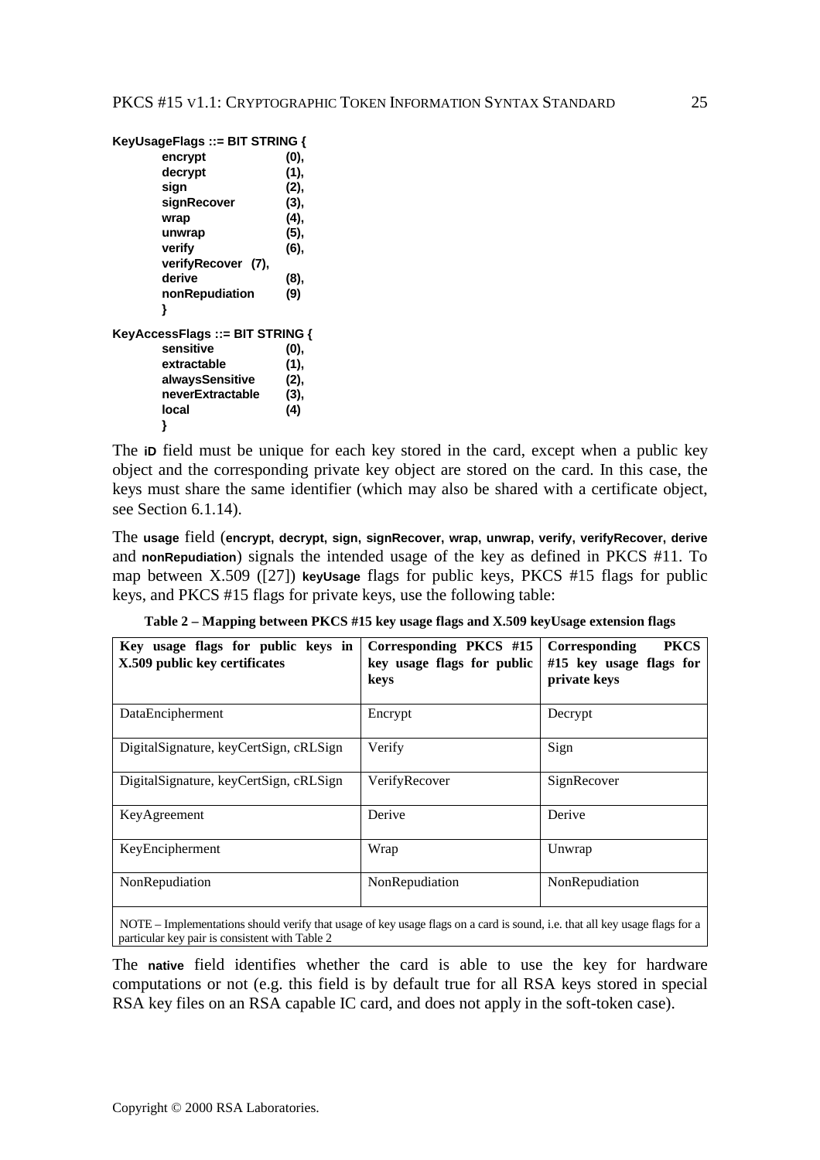```
KeyUsageFlags ::= BIT STRING {
      encrypt (0),
      decrypt (1),
      sign (2),
      signRecover (3),
      wrap (4),
      unwrap (5),
      verify (6),
      verifyRecover (7),
      derive (8),
      nonRepudiation (9)
      }
KeyAccessFlags ::= BIT STRING {
      sensitive (0),<br>extractable (1),
      extractable (1),
      alwaysSensitive (2),
      neverExtractable (3),
      local (4)
      }
```
The **iD** field must be unique for each key stored in the card, except when a public key object and the corresponding private key object are stored on the card. In this case, the keys must share the same identifier (which may also be shared with a certificate object, see Section 6.1.14).

The **usage** field (**encrypt, decrypt, sign, signRecover, wrap, unwrap, verify, verifyRecover, derive** and **nonRepudiation**) signals the intended usage of the key as defined in PKCS #11. To map between X.509 ([27]) **keyUsage** flags for public keys, PKCS #15 flags for public keys, and PKCS #15 flags for private keys, use the following table:

| Key usage flags for public keys in<br>X.509 public key certificates | Corresponding PKCS #15<br>key usage flags for public<br>keys | <b>PKCS</b><br>Corresponding<br>$#15$ key usage flags for<br>private keys |  |
|---------------------------------------------------------------------|--------------------------------------------------------------|---------------------------------------------------------------------------|--|
| DataEncipherment                                                    | Encrypt                                                      | Decrypt                                                                   |  |
| DigitalSignature, keyCertSign, cRLSign                              | Verify                                                       | Sign                                                                      |  |
| DigitalSignature, keyCertSign, cRLSign                              | VerifyRecover                                                | SignRecover                                                               |  |
| KeyAgreement                                                        | Derive                                                       | Derive                                                                    |  |
| KeyEncipherment                                                     | Wrap                                                         | Unwrap                                                                    |  |
| NonRepudiation                                                      | NonRepudiation                                               | NonRepudiation                                                            |  |

**Table 2 – Mapping between PKCS #15 key usage flags and X.509 keyUsage extension flags**

NOTE – Implementations should verify that usage of key usage flags on a card is sound, i.e. that all key usage flags for a particular key pair is consistent with Table 2

The **native** field identifies whether the card is able to use the key for hardware computations or not (e.g. this field is by default true for all RSA keys stored in special RSA key files on an RSA capable IC card, and does not apply in the soft-token case).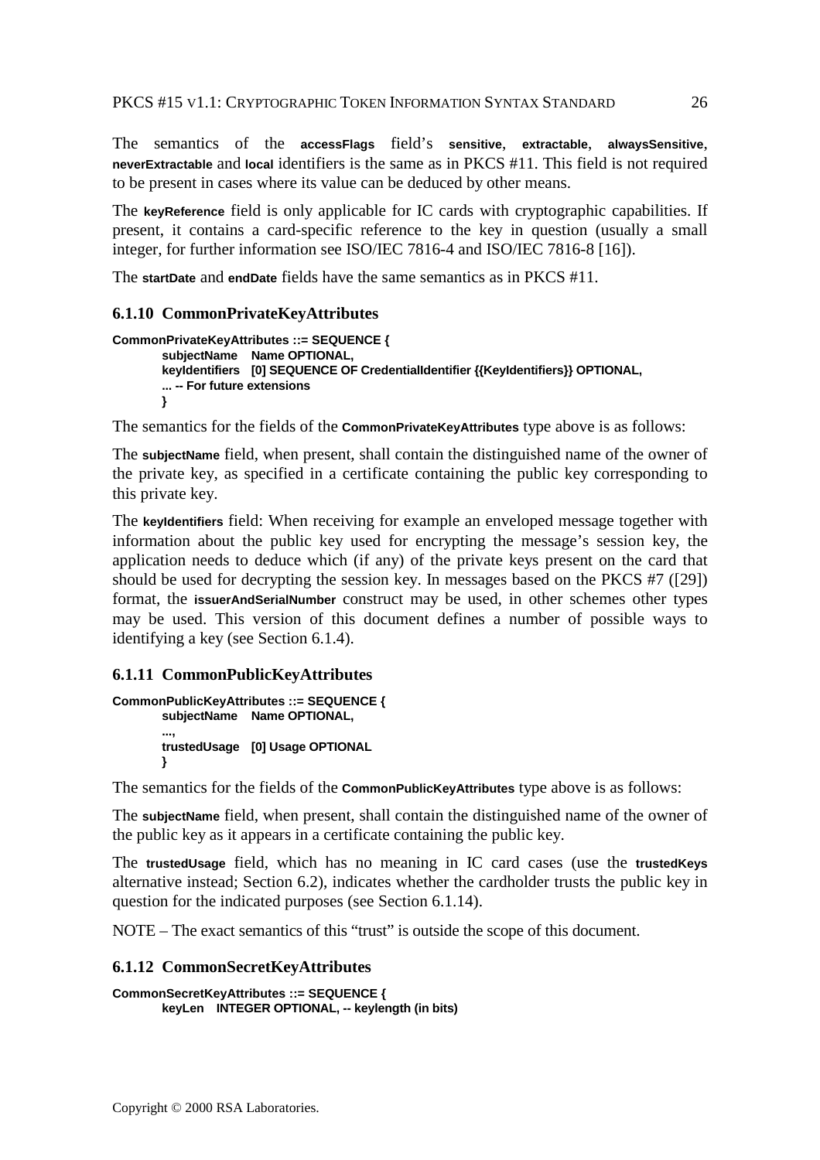The semantics of the **accessFlags** field's **sensitive**, **extractable**, **alwaysSensitive**, **neverExtractable** and **local** identifiers is the same as in PKCS #11. This field is not required to be present in cases where its value can be deduced by other means.

The **keyReference** field is only applicable for IC cards with cryptographic capabilities. If present, it contains a card-specific reference to the key in question (usually a small integer, for further information see ISO/IEC 7816-4 and ISO/IEC 7816-8 [16]).

The **startDate** and **endDate** fields have the same semantics as in PKCS #11.

#### **6.1.10 CommonPrivateKeyAttributes**

```
CommonPrivateKeyAttributes ::= SEQUENCE {
       subjectName Name OPTIONAL,
       keyIdentifiers [0] SEQUENCE OF CredentialIdentifier {{KeyIdentifiers}} OPTIONAL,
       ... -- For future extensions
       }
```
The semantics for the fields of the **CommonPrivateKeyAttributes** type above is as follows:

The **subjectName** field, when present, shall contain the distinguished name of the owner of the private key, as specified in a certificate containing the public key corresponding to this private key.

The **keyIdentifiers** field: When receiving for example an enveloped message together with information about the public key used for encrypting the message's session key, the application needs to deduce which (if any) of the private keys present on the card that should be used for decrypting the session key. In messages based on the PKCS #7 ([29]) format, the **issuerAndSerialNumber** construct may be used, in other schemes other types may be used. This version of this document defines a number of possible ways to identifying a key (see Section 6.1.4).

#### **6.1.11 CommonPublicKeyAttributes**

```
CommonPublicKeyAttributes ::= SEQUENCE {
       subjectName Name OPTIONAL,
       ...,
       trustedUsage [0] Usage OPTIONAL
       }
```
The semantics for the fields of the **CommonPublicKeyAttributes** type above is as follows:

The **subjectName** field, when present, shall contain the distinguished name of the owner of the public key as it appears in a certificate containing the public key.

The **trustedUsage** field, which has no meaning in IC card cases (use the **trustedKeys** alternative instead; Section 6.2), indicates whether the cardholder trusts the public key in question for the indicated purposes (see Section 6.1.14).

NOTE – The exact semantics of this "trust" is outside the scope of this document.

#### **6.1.12 CommonSecretKeyAttributes**

```
CommonSecretKeyAttributes ::= SEQUENCE {
       keyLen INTEGER OPTIONAL, -- keylength (in bits)
```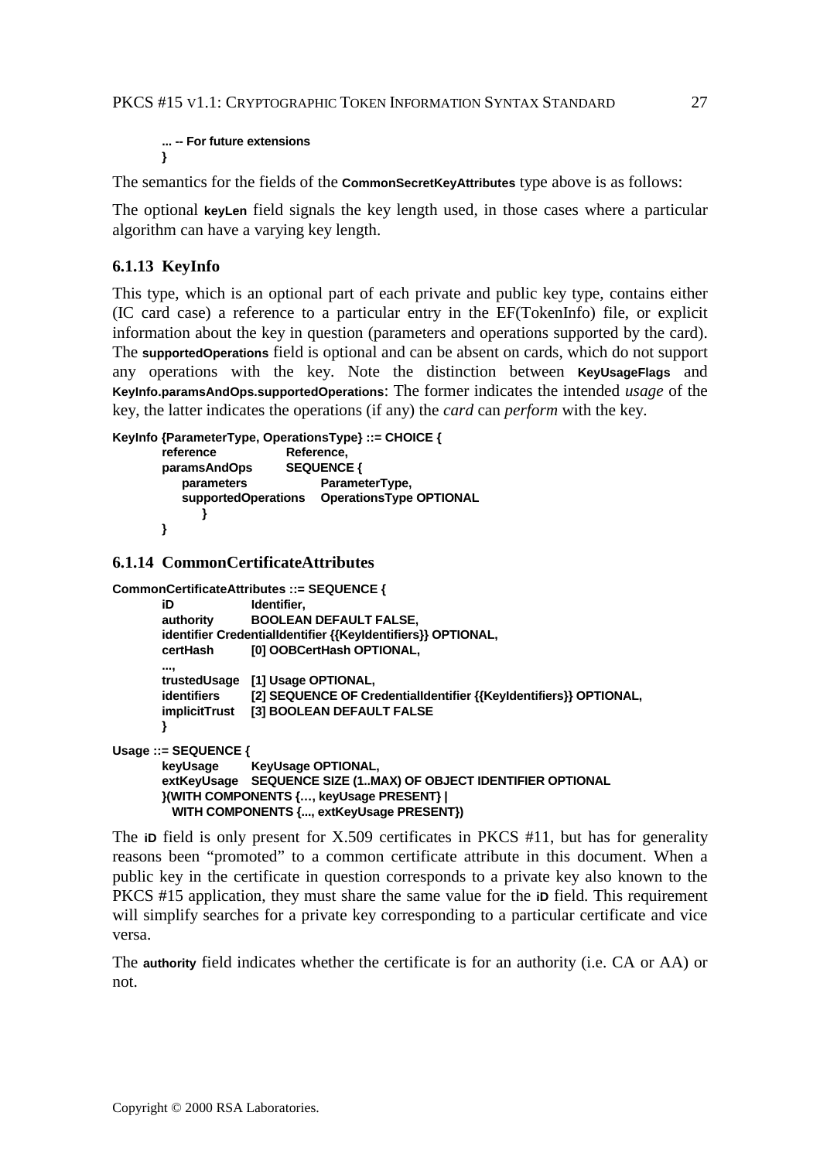**... -- For future extensions }**

The semantics for the fields of the **CommonSecretKeyAttributes** type above is as follows:

The optional **keyLen** field signals the key length used, in those cases where a particular algorithm can have a varying key length.

# **6.1.13 KeyInfo**

This type, which is an optional part of each private and public key type, contains either (IC card case) a reference to a particular entry in the EF(TokenInfo) file, or explicit information about the key in question (parameters and operations supported by the card). The **supportedOperations** field is optional and can be absent on cards, which do not support any operations with the key. Note the distinction between **KeyUsageFlags** and **KeyInfo.paramsAndOps.supportedOperations**: The former indicates the intended *usage* of the key, the latter indicates the operations (if any) the *card* can *perform* with the key.

**KeyInfo {ParameterType, OperationsType} ::= CHOICE { reference Reference, paramsAndOps SEQUENCE { parameters ParameterType, supportedOperations OperationsType OPTIONAL } }**

## **6.1.14 CommonCertificateAttributes**

```
CommonCertificateAttributes ::= SEQUENCE {
       iD Identifier,
       authority BOOLEAN DEFAULT FALSE,
       identifier CredentialIdentifier {{KeyIdentifiers}} OPTIONAL,
       certHash [0] OOBCertHash OPTIONAL,
       ...,
       trustedUsage [1] Usage OPTIONAL,
       identifiers [2] SEQUENCE OF CredentialIdentifier {{KeyIdentifiers}} OPTIONAL,
       implicitTrust [3] BOOLEAN DEFAULT FALSE
       }
Usage ::= SEQUENCE {
       keyUsage KeyUsage OPTIONAL,
       extKeyUsage SEQUENCE SIZE (1..MAX) OF OBJECT IDENTIFIER OPTIONAL
       }(WITH COMPONENTS {…, keyUsage PRESENT} |
         WITH COMPONENTS {..., extKeyUsage PRESENT})
```
The **iD** field is only present for X.509 certificates in PKCS #11, but has for generality reasons been "promoted" to a common certificate attribute in this document. When a public key in the certificate in question corresponds to a private key also known to the PKCS #15 application, they must share the same value for the **iD** field. This requirement will simplify searches for a private key corresponding to a particular certificate and vice versa.

The **authority** field indicates whether the certificate is for an authority (i.e. CA or AA) or not.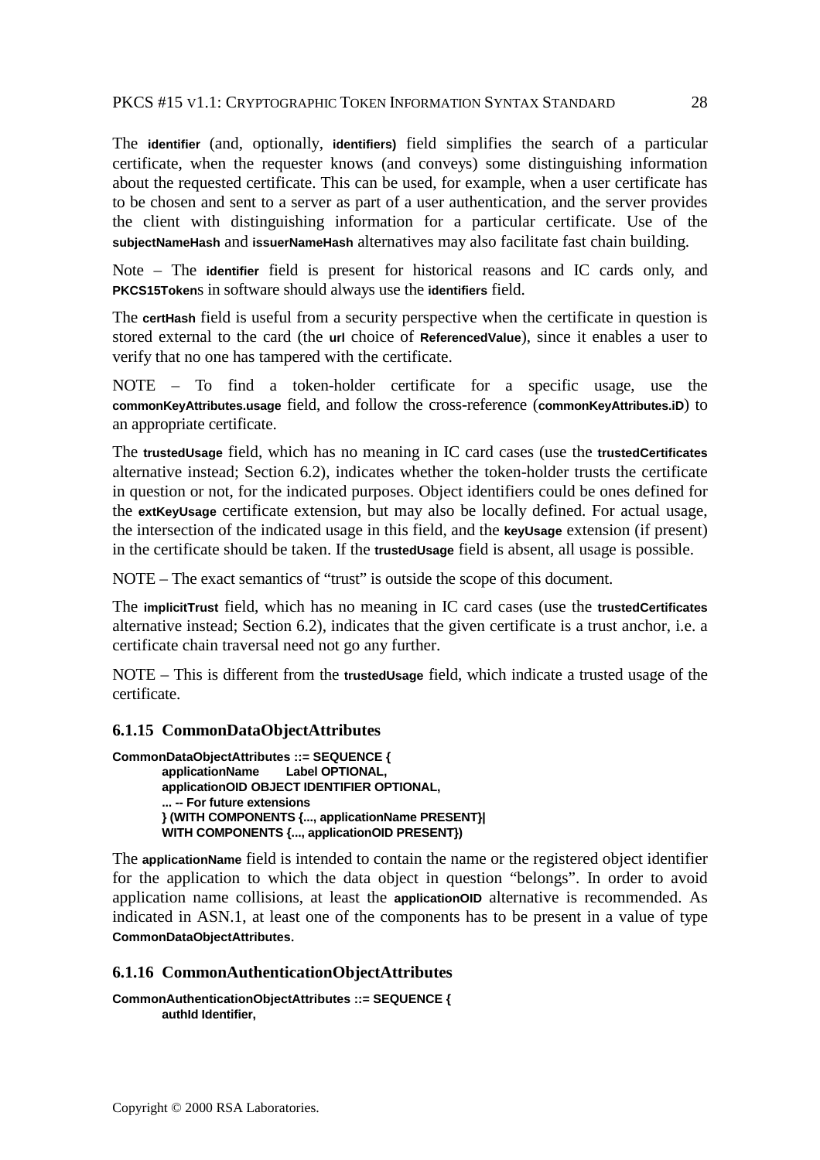The **identifier** (and, optionally, **identifiers)** field simplifies the search of a particular certificate, when the requester knows (and conveys) some distinguishing information about the requested certificate. This can be used, for example, when a user certificate has to be chosen and sent to a server as part of a user authentication, and the server provides the client with distinguishing information for a particular certificate. Use of the **subjectNameHash** and **issuerNameHash** alternatives may also facilitate fast chain building.

Note – The **identifier** field is present for historical reasons and IC cards only, and **PKCS15Token**s in software should always use the **identifiers** field.

The **certHash** field is useful from a security perspective when the certificate in question is stored external to the card (the **url** choice of **ReferencedValue**), since it enables a user to verify that no one has tampered with the certificate.

NOTE – To find a token-holder certificate for a specific usage, use the **commonKeyAttributes.usage** field, and follow the cross-reference (**commonKeyAttributes.iD**) to an appropriate certificate.

The **trustedUsage** field, which has no meaning in IC card cases (use the **trustedCertificates** alternative instead; Section 6.2), indicates whether the token-holder trusts the certificate in question or not, for the indicated purposes. Object identifiers could be ones defined for the **extKeyUsage** certificate extension, but may also be locally defined. For actual usage, the intersection of the indicated usage in this field, and the **keyUsage** extension (if present) in the certificate should be taken. If the **trustedUsage** field is absent, all usage is possible.

NOTE – The exact semantics of "trust" is outside the scope of this document.

The **implicitTrust** field, which has no meaning in IC card cases (use the **trustedCertificates** alternative instead; Section 6.2), indicates that the given certificate is a trust anchor, i.e. a certificate chain traversal need not go any further.

NOTE – This is different from the **trustedUsage** field, which indicate a trusted usage of the certificate.

#### **6.1.15 CommonDataObjectAttributes**

```
CommonDataObjectAttributes ::= SEQUENCE {
       applicationName Label OPTIONAL,
       applicationOID OBJECT IDENTIFIER OPTIONAL,
       ... -- For future extensions
       } (WITH COMPONENTS {..., applicationName PRESENT}|
       WITH COMPONENTS {..., applicationOID PRESENT})
```
The **applicationName** field is intended to contain the name or the registered object identifier for the application to which the data object in question "belongs". In order to avoid application name collisions, at least the **applicationOID** alternative is recommended. As indicated in ASN.1, at least one of the components has to be present in a value of type **CommonDataObjectAttributes**.

#### **6.1.16 CommonAuthenticationObjectAttributes**

```
CommonAuthenticationObjectAttributes ::= SEQUENCE {
       authId Identifier,
```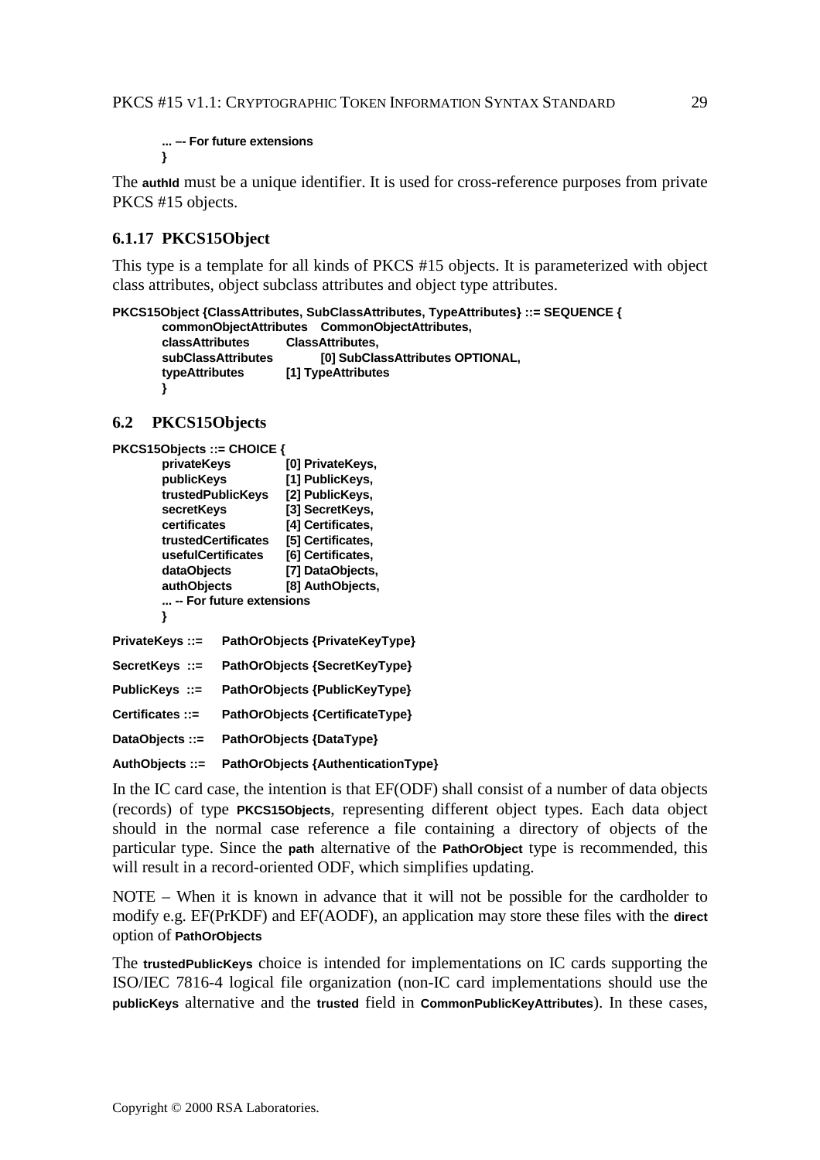**... –- For future extensions }**

The **authid** must be a unique identifier. It is used for cross-reference purposes from private PKCS #15 objects.

## **6.1.17 PKCS15Object**

This type is a template for all kinds of PKCS #15 objects. It is parameterized with object class attributes, object subclass attributes and object type attributes.

**PKCS15Object {ClassAttributes, SubClassAttributes, TypeAttributes} ::= SEQUENCE { commonObjectAttributes CommonObjectAttributes, classAttributes ClassAttributes, subClassAttributes [0] SubClassAttributes OPTIONAL, typeAttributes [1] TypeAttributes }**

#### **6.2 PKCS15Objects**

| <b>PKCS15Objects ::= CHOICE {</b> |                               |                                    |
|-----------------------------------|-------------------------------|------------------------------------|
| privateKeys                       |                               | [0] PrivateKeys,                   |
| publicKeys                        |                               | [1] PublicKeys,                    |
| trustedPublicKeys                 |                               | [2] PublicKeys,                    |
| secretKeys                        |                               | [3] SecretKeys,                    |
| certificates                      |                               | [4] Certificates,                  |
| trustedCertificates               |                               | [5] Certificates,                  |
| usefulCertificates                |                               | [6] Certificates,                  |
| dataObjects                       |                               | [7] DataObjects,                   |
| authObjects                       |                               | [8] AuthObjects,                   |
|                                   | -- For future extensions      |                                    |
| }                                 |                               |                                    |
| PrivateKeys ::=                   |                               | PathOrObjects {PrivateKeyType}     |
| SecretKeys ::=                    | PathOrObjects {SecretKeyType} |                                    |
| PublicKeys ::=                    | PathOrObjects {PublicKeyType} |                                    |
| Certificates $::=$                |                               | PathOrObjects {CertificateType}    |
| DataObjects ::=                   |                               | PathOrObjects {DataType}           |
| AuthObjects ::=                   |                               | PathOrObjects {AuthenticationType} |

In the IC card case, the intention is that EF(ODF) shall consist of a number of data objects (records) of type **PKCS15Objects**, representing different object types. Each data object should in the normal case reference a file containing a directory of objects of the particular type. Since the **path** alternative of the **PathOrObject** type is recommended, this will result in a record-oriented ODF, which simplifies updating.

NOTE – When it is known in advance that it will not be possible for the cardholder to modify e.g. EF(PrKDF) and EF(AODF), an application may store these files with the **direct** option of **PathOrObjects**

The **trustedPublicKeys** choice is intended for implementations on IC cards supporting the ISO/IEC 7816-4 logical file organization (non-IC card implementations should use the **publicKeys** alternative and the **trusted** field in **CommonPublicKeyAttributes**). In these cases,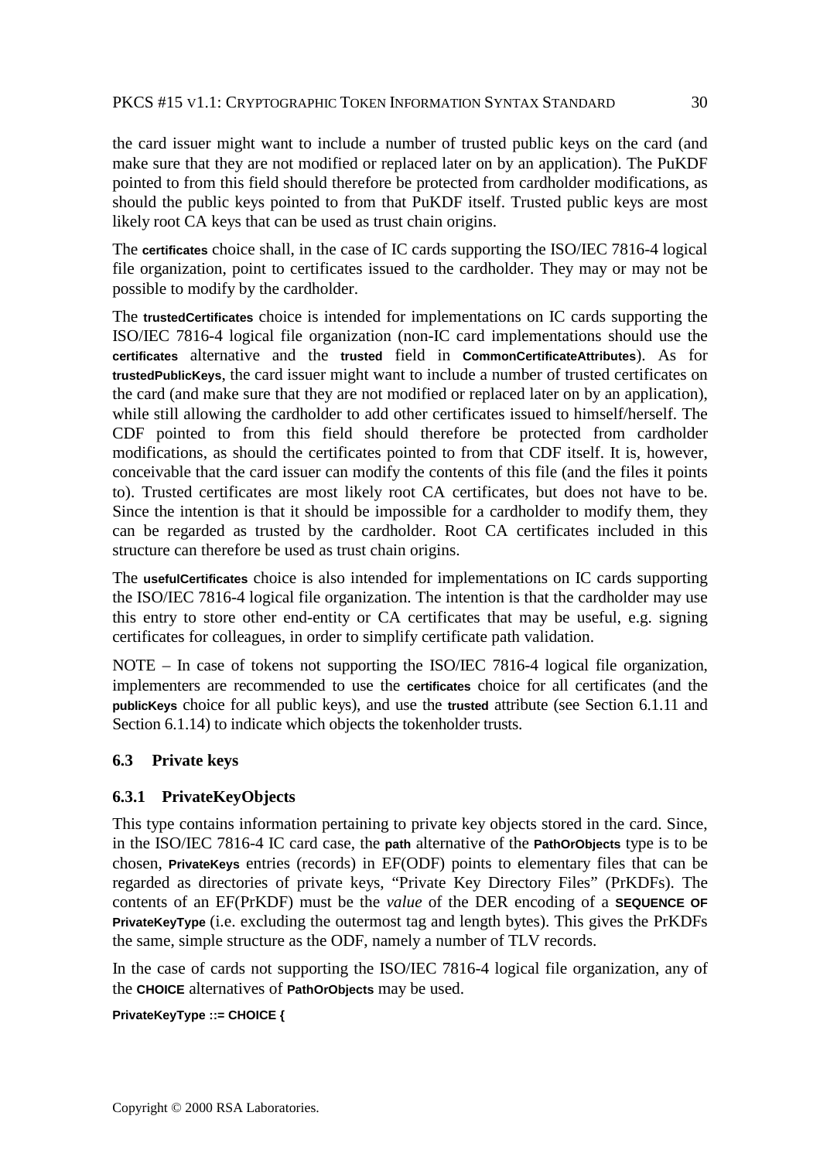the card issuer might want to include a number of trusted public keys on the card (and make sure that they are not modified or replaced later on by an application). The PuKDF pointed to from this field should therefore be protected from cardholder modifications, as should the public keys pointed to from that PuKDF itself. Trusted public keys are most likely root CA keys that can be used as trust chain origins.

The **certificates** choice shall, in the case of IC cards supporting the ISO/IEC 7816-4 logical file organization, point to certificates issued to the cardholder. They may or may not be possible to modify by the cardholder.

The **trustedCertificates** choice is intended for implementations on IC cards supporting the ISO/IEC 7816-4 logical file organization (non-IC card implementations should use the **certificates** alternative and the **trusted** field in **CommonCertificateAttributes**). As for **trustedPublicKeys**, the card issuer might want to include a number of trusted certificates on the card (and make sure that they are not modified or replaced later on by an application), while still allowing the cardholder to add other certificates issued to himself/herself. The CDF pointed to from this field should therefore be protected from cardholder modifications, as should the certificates pointed to from that CDF itself. It is, however, conceivable that the card issuer can modify the contents of this file (and the files it points to). Trusted certificates are most likely root CA certificates, but does not have to be. Since the intention is that it should be impossible for a cardholder to modify them, they can be regarded as trusted by the cardholder. Root CA certificates included in this structure can therefore be used as trust chain origins.

The **usefulCertificates** choice is also intended for implementations on IC cards supporting the ISO/IEC 7816-4 logical file organization. The intention is that the cardholder may use this entry to store other end-entity or CA certificates that may be useful, e.g. signing certificates for colleagues, in order to simplify certificate path validation.

NOTE – In case of tokens not supporting the ISO/IEC 7816-4 logical file organization, implementers are recommended to use the **certificates** choice for all certificates (and the **publicKeys** choice for all public keys), and use the **trusted** attribute (see Section 6.1.11 and Section 6.1.14) to indicate which objects the tokenholder trusts.

## **6.3 Private keys**

# **6.3.1 PrivateKeyObjects**

This type contains information pertaining to private key objects stored in the card. Since, in the ISO/IEC 7816-4 IC card case, the **path** alternative of the **PathOrObjects** type is to be chosen, **PrivateKeys** entries (records) in EF(ODF) points to elementary files that can be regarded as directories of private keys, "Private Key Directory Files" (PrKDFs). The contents of an EF(PrKDF) must be the *value* of the DER encoding of a **SEQUENCE OF PrivateKeyType** (i.e. excluding the outermost tag and length bytes). This gives the PrKDFs the same, simple structure as the ODF, namely a number of TLV records.

In the case of cards not supporting the ISO/IEC 7816-4 logical file organization, any of the **CHOICE** alternatives of **PathOrObjects** may be used.

#### **PrivateKeyType ::= CHOICE {**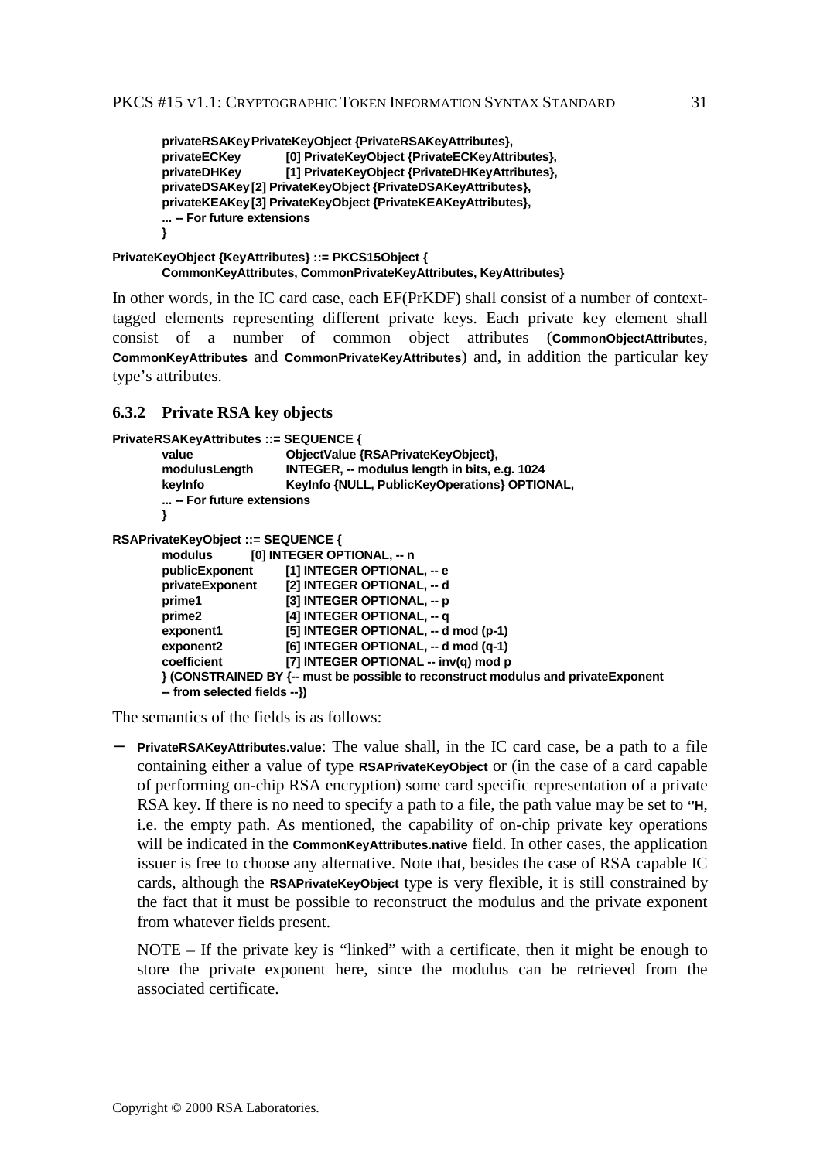```
privateRSAKeyPrivateKeyObject {PrivateRSAKeyAttributes},
privateECKey [0] PrivateKeyObject {PrivateECKeyAttributes},
privateDHKey [1] PrivateKeyObject {PrivateDHKeyAttributes},
privateDSAKey[2] PrivateKeyObject {PrivateDSAKeyAttributes},
privateKEAKey[3] PrivateKeyObject {PrivateKEAKeyAttributes},
... -- For future extensions
}
```
**PrivateKeyObject {KeyAttributes} ::= PKCS15Object { CommonKeyAttributes, CommonPrivateKeyAttributes, KeyAttributes}**

In other words, in the IC card case, each EF(PrKDF) shall consist of a number of contexttagged elements representing different private keys. Each private key element shall consist of a number of common object attributes (**CommonObjectAttributes**, **CommonKeyAttributes** and **CommonPrivateKeyAttributes**) and, in addition the particular key type's attributes.

#### **6.3.2 Private RSA key objects**

```
PrivateRSAKeyAttributes ::= SEQUENCE {
        value ObjectValue {RSAPrivateKeyObject},
        modulusLength INTEGER, -- modulus length in bits, e.g. 1024
        keyInfo KeyInfo {NULL, PublicKeyOperations} OPTIONAL,
        ... -- For future extensions
        }
RSAPrivateKeyObject ::= SEQUENCE {
        modulus [0] INTEGER OPTIONAL, -- n
        publicExponent [1] INTEGER OPTIONAL, -- e<br>privateExponent [2] INTEGER OPTIONAL, -- d
                              [2] INTEGER OPTIONAL, -- d
        prime1 [3] INTEGER OPTIONAL, -- p<br>prime2 [4] INTEGER OPTIONAL, -- q
                              [4] INTEGER OPTIONAL, -- q
        exponent1 [5] INTEGER OPTIONAL, -- d mod (p-1)
        exponent2 [6] INTEGER OPTIONAL, -- d mod (q-1)<br>coefficient [7] INTEGER OPTIONAL -- inv(a) mod n
                              [7] INTEGER OPTIONAL -- inv(q) mod p
        } (CONSTRAINED BY {-- must be possible to reconstruct modulus and privateExponent
        -- from selected fields --})
```
The semantics of the fields is as follows:

− **PrivateRSAKeyAttributes.value**: The value shall, in the IC card case, be a path to a file containing either a value of type **RSAPrivateKeyObject** or (in the case of a card capable of performing on-chip RSA encryption) some card specific representation of a private RSA key. If there is no need to specify a path to a file, the path value may be set to **''H**, i.e. the empty path. As mentioned, the capability of on-chip private key operations will be indicated in the **CommonKeyAttributes.native** field. In other cases, the application issuer is free to choose any alternative. Note that, besides the case of RSA capable IC cards, although the **RSAPrivateKeyObject** type is very flexible, it is still constrained by the fact that it must be possible to reconstruct the modulus and the private exponent from whatever fields present.

NOTE – If the private key is "linked" with a certificate, then it might be enough to store the private exponent here, since the modulus can be retrieved from the associated certificate.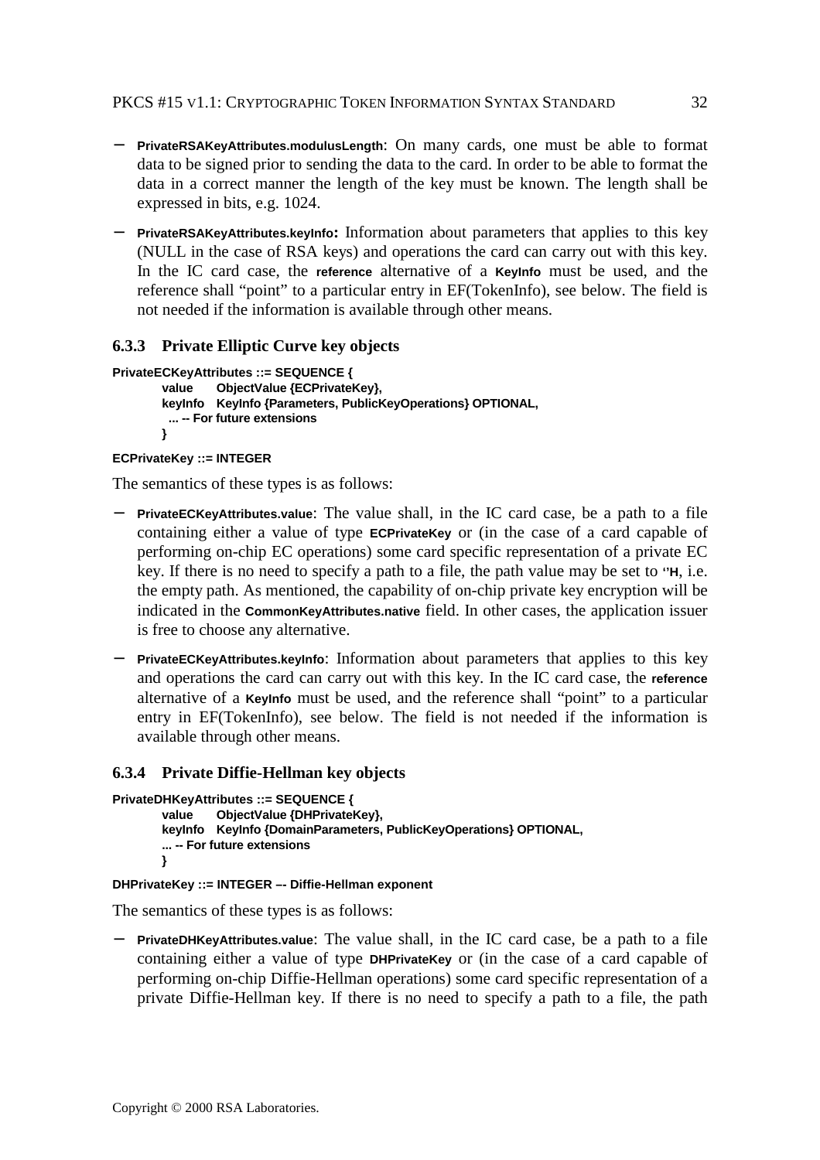- − **PrivateRSAKeyAttributes.modulusLength**: On many cards, one must be able to format data to be signed prior to sending the data to the card. In order to be able to format the data in a correct manner the length of the key must be known. The length shall be expressed in bits, e.g. 1024.
- − **PrivateRSAKeyAttributes.keyInfo:** Information about parameters that applies to this key (NULL in the case of RSA keys) and operations the card can carry out with this key. In the IC card case, the **reference** alternative of a **KeyInfo** must be used, and the reference shall "point" to a particular entry in EF(TokenInfo), see below. The field is not needed if the information is available through other means.

## **6.3.3 Private Elliptic Curve key objects**

```
PrivateECKeyAttributes ::= SEQUENCE {
        value ObjectValue {ECPrivateKey},
        keyInfo KeyInfo {Parameters, PublicKeyOperations} OPTIONAL,
         ... -- For future extensions
       }
```
#### **ECPrivateKey ::= INTEGER**

The semantics of these types is as follows:

- − **PrivateECKeyAttributes.value**: The value shall, in the IC card case, be a path to a file containing either a value of type **ECPrivateKey** or (in the case of a card capable of performing on-chip EC operations) some card specific representation of a private EC key. If there is no need to specify a path to a file, the path value may be set to **''H**, i.e. the empty path. As mentioned, the capability of on-chip private key encryption will be indicated in the **CommonKeyAttributes.native** field. In other cases, the application issuer is free to choose any alternative.
- − **PrivateECKeyAttributes.keyInfo**: Information about parameters that applies to this key and operations the card can carry out with this key. In the IC card case, the **reference** alternative of a **KeyInfo** must be used, and the reference shall "point" to a particular entry in EF(TokenInfo), see below. The field is not needed if the information is available through other means.

#### **6.3.4 Private Diffie-Hellman key objects**

```
PrivateDHKeyAttributes ::= SEQUENCE {
       value ObjectValue {DHPrivateKey},
       keyInfo KeyInfo {DomainParameters, PublicKeyOperations} OPTIONAL,
        ... -- For future extensions
       }
```
#### **DHPrivateKey ::= INTEGER –- Diffie-Hellman exponent**

The semantics of these types is as follows:

− **PrivateDHKeyAttributes.value**: The value shall, in the IC card case, be a path to a file containing either a value of type **DHPrivateKey** or (in the case of a card capable of performing on-chip Diffie-Hellman operations) some card specific representation of a private Diffie-Hellman key. If there is no need to specify a path to a file, the path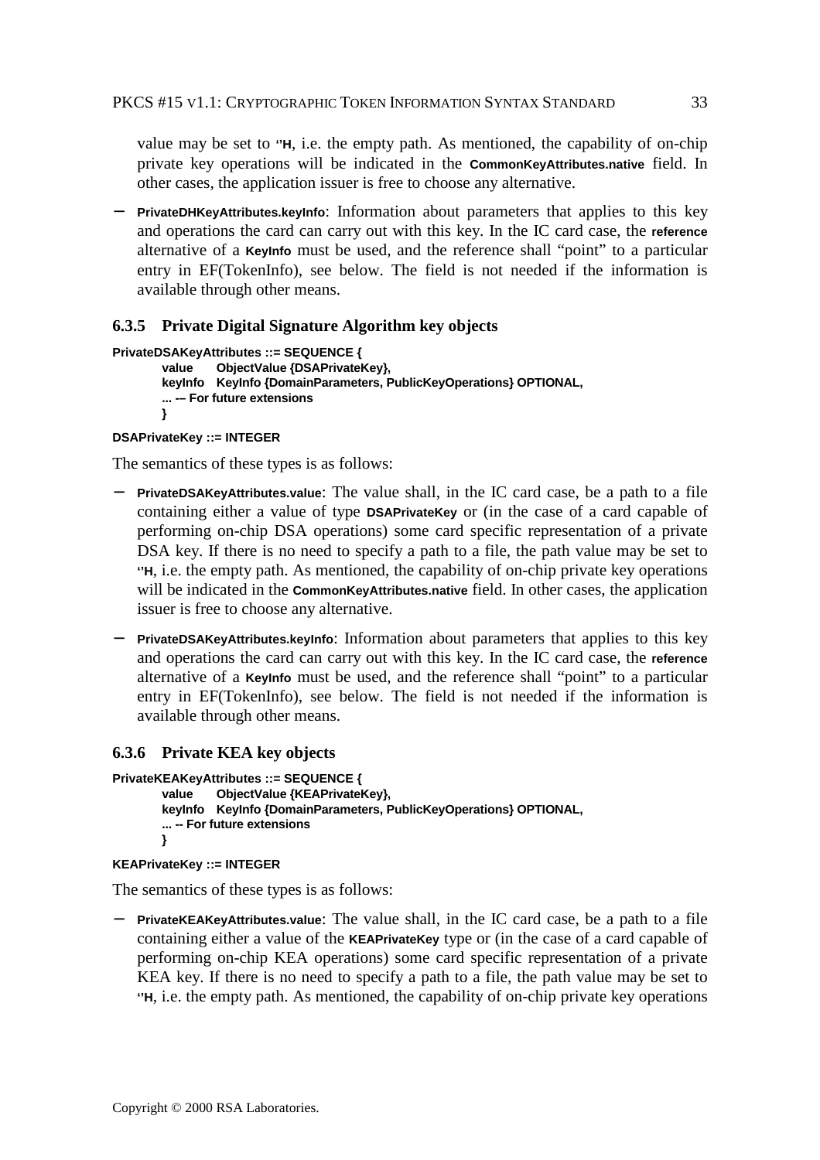value may be set to **''H**, i.e. the empty path. As mentioned, the capability of on-chip private key operations will be indicated in the **CommonKeyAttributes.native** field. In other cases, the application issuer is free to choose any alternative.

− **PrivateDHKeyAttributes.keyInfo**: Information about parameters that applies to this key and operations the card can carry out with this key. In the IC card case, the **reference** alternative of a **KeyInfo** must be used, and the reference shall "point" to a particular entry in EF(TokenInfo), see below. The field is not needed if the information is available through other means.

## **6.3.5 Private Digital Signature Algorithm key objects**

```
PrivateDSAKeyAttributes ::= SEQUENCE {
       value ObjectValue {DSAPrivateKey},
       keyInfo KeyInfo {DomainParameters, PublicKeyOperations} OPTIONAL,
       ... -– For future extensions
       }
```
#### **DSAPrivateKey ::= INTEGER**

The semantics of these types is as follows:

- − **PrivateDSAKeyAttributes.value**: The value shall, in the IC card case, be a path to a file containing either a value of type **DSAPrivateKey** or (in the case of a card capable of performing on-chip DSA operations) some card specific representation of a private DSA key. If there is no need to specify a path to a file, the path value may be set to **''H**, i.e. the empty path. As mentioned, the capability of on-chip private key operations will be indicated in the **CommonKeyAttributes.native** field. In other cases, the application issuer is free to choose any alternative.
- − **PrivateDSAKeyAttributes.keyInfo**: Information about parameters that applies to this key and operations the card can carry out with this key. In the IC card case, the **reference** alternative of a **KeyInfo** must be used, and the reference shall "point" to a particular entry in EF(TokenInfo), see below. The field is not needed if the information is available through other means.

#### **6.3.6 Private KEA key objects**

```
PrivateKEAKeyAttributes ::= SEQUENCE {
       value ObjectValue {KEAPrivateKey},
       keyInfo KeyInfo {DomainParameters, PublicKeyOperations} OPTIONAL,
       ... -- For future extensions
       }
```
#### **KEAPrivateKey ::= INTEGER**

The semantics of these types is as follows:

− **PrivateKEAKeyAttributes.value**: The value shall, in the IC card case, be a path to a file containing either a value of the **KEAPrivateKey** type or (in the case of a card capable of performing on-chip KEA operations) some card specific representation of a private KEA key. If there is no need to specify a path to a file, the path value may be set to **''H**, i.e. the empty path. As mentioned, the capability of on-chip private key operations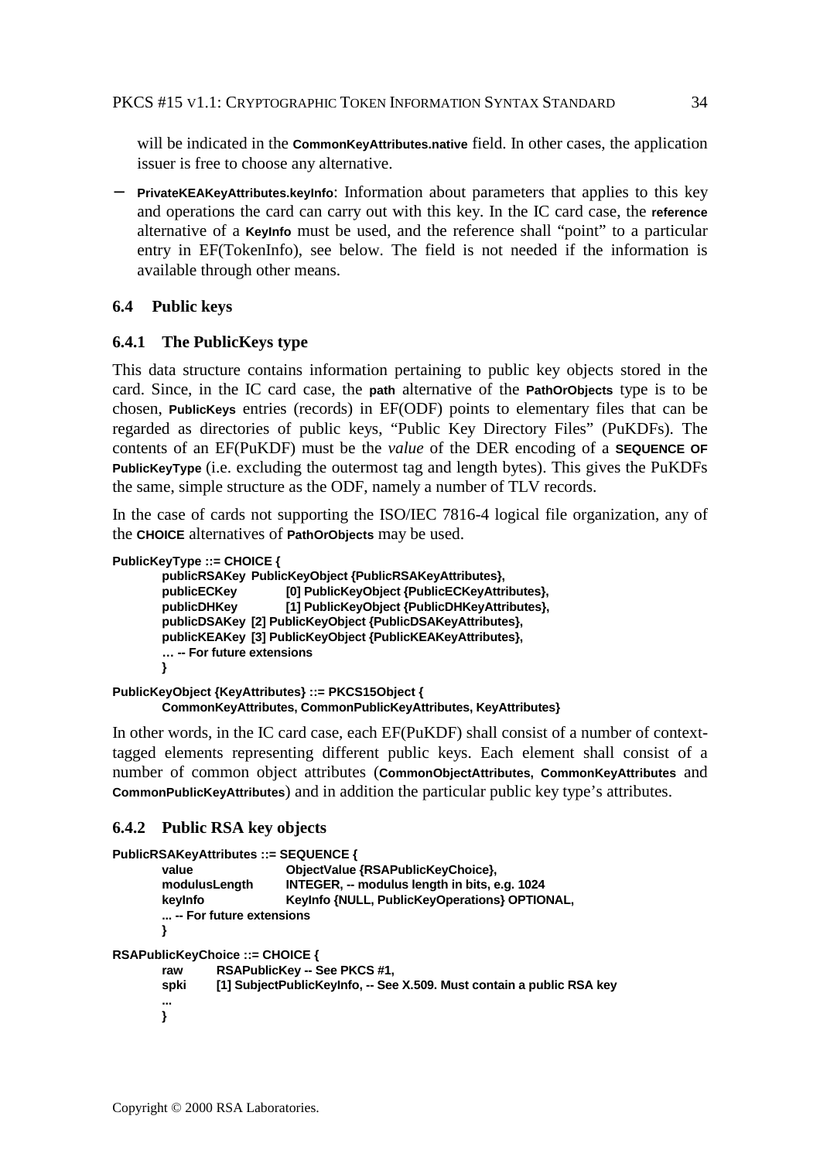will be indicated in the **CommonKeyAttributes.native** field. In other cases, the application issuer is free to choose any alternative.

− **PrivateKEAKeyAttributes.keyInfo**: Information about parameters that applies to this key and operations the card can carry out with this key. In the IC card case, the **reference** alternative of a **KeyInfo** must be used, and the reference shall "point" to a particular entry in EF(TokenInfo), see below. The field is not needed if the information is available through other means.

## **6.4 Public keys**

## **6.4.1 The PublicKeys type**

This data structure contains information pertaining to public key objects stored in the card. Since, in the IC card case, the **path** alternative of the **PathOrObjects** type is to be chosen, **PublicKeys** entries (records) in EF(ODF) points to elementary files that can be regarded as directories of public keys, "Public Key Directory Files" (PuKDFs). The contents of an EF(PuKDF) must be the *value* of the DER encoding of a **SEQUENCE OF PublicKeyType** (i.e. excluding the outermost tag and length bytes). This gives the PuKDFs the same, simple structure as the ODF, namely a number of TLV records.

In the case of cards not supporting the ISO/IEC 7816-4 logical file organization, any of the **CHOICE** alternatives of **PathOrObjects** may be used.

```
PublicKeyType ::= CHOICE {
```

```
publicRSAKey PublicKeyObject {PublicRSAKeyAttributes},
publicECKey [0] PublicKeyObject {PublicECKeyAttributes},
publicDHKey [1] PublicKeyObject {PublicDHKeyAttributes},
publicDSAKey [2] PublicKeyObject {PublicDSAKeyAttributes},
publicKEAKey [3] PublicKeyObject {PublicKEAKeyAttributes},
… -- For future extensions
}
```

```
PublicKeyObject {KeyAttributes} ::= PKCS15Object {
       CommonKeyAttributes, CommonPublicKeyAttributes, KeyAttributes}
```
In other words, in the IC card case, each EF(PuKDF) shall consist of a number of contexttagged elements representing different public keys. Each element shall consist of a number of common object attributes (**CommonObjectAttributes, CommonKeyAttributes** and **CommonPublicKeyAttributes**) and in addition the particular public key type's attributes.

## **6.4.2 Public RSA key objects**

```
PublicRSAKeyAttributes ::= SEQUENCE {
       value ObjectValue {RSAPublicKeyChoice},
       modulusLength INTEGER, -- modulus length in bits, e.g. 1024
       keyInfo KeyInfo {NULL, PublicKeyOperations} OPTIONAL,
       ... -- For future extensions
       }
RSAPublicKeyChoice ::= CHOICE {
       raw RSAPublicKey -- See PKCS #1,
       spki [1] SubjectPublicKeyInfo, -- See X.509. Must contain a public RSA key
       ...
       }
```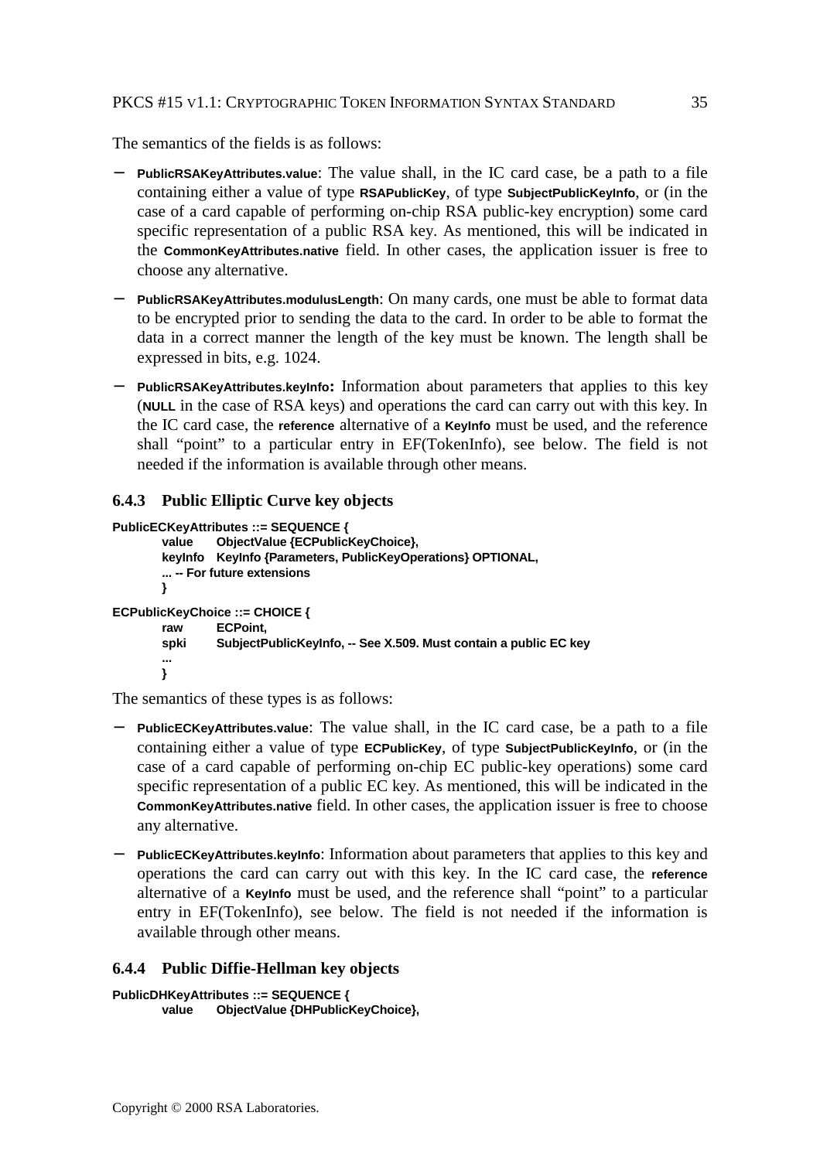#### PKCS #15 V1.1: CRYPTOGRAPHIC TOKEN INFORMATION SYNTAX STANDARD 35

The semantics of the fields is as follows:

- − **PublicRSAKeyAttributes.value**: The value shall, in the IC card case, be a path to a file containing either a value of type **RSAPublicKey**, of type **SubjectPublicKeyInfo**, or (in the case of a card capable of performing on-chip RSA public-key encryption) some card specific representation of a public RSA key. As mentioned, this will be indicated in the **CommonKeyAttributes.native** field. In other cases, the application issuer is free to choose any alternative.
- − **PublicRSAKeyAttributes.modulusLength**: On many cards, one must be able to format data to be encrypted prior to sending the data to the card. In order to be able to format the data in a correct manner the length of the key must be known. The length shall be expressed in bits, e.g. 1024.
- − **PublicRSAKeyAttributes.keyInfo:** Information about parameters that applies to this key (**NULL** in the case of RSA keys) and operations the card can carry out with this key. In the IC card case, the **reference** alternative of a **KeyInfo** must be used, and the reference shall "point" to a particular entry in EF(TokenInfo), see below. The field is not needed if the information is available through other means.

## **6.4.3 Public Elliptic Curve key objects**

```
PublicECKeyAttributes ::= SEQUENCE {
       value ObjectValue {ECPublicKeyChoice},
       keyInfo KeyInfo {Parameters, PublicKeyOperations} OPTIONAL,
       ... -- For future extensions
       }
ECPublicKeyChoice ::= CHOICE {
       raw ECPoint,
       spki SubjectPublicKeyInfo, -- See X.509. Must contain a public EC key
       ...
       }
```
The semantics of these types is as follows:

- − **PublicECKeyAttributes.value**: The value shall, in the IC card case, be a path to a file containing either a value of type **ECPublicKey**, of type **SubjectPublicKeyInfo**, or (in the case of a card capable of performing on-chip EC public-key operations) some card specific representation of a public EC key. As mentioned, this will be indicated in the **CommonKeyAttributes.native** field. In other cases, the application issuer is free to choose any alternative.
- − **PublicECKeyAttributes.keyInfo**: Information about parameters that applies to this key and operations the card can carry out with this key. In the IC card case, the **reference** alternative of a **KeyInfo** must be used, and the reference shall "point" to a particular entry in EF(TokenInfo), see below. The field is not needed if the information is available through other means.

#### **6.4.4 Public Diffie-Hellman key objects**

```
PublicDHKeyAttributes ::= SEQUENCE {
       value ObjectValue {DHPublicKeyChoice},
```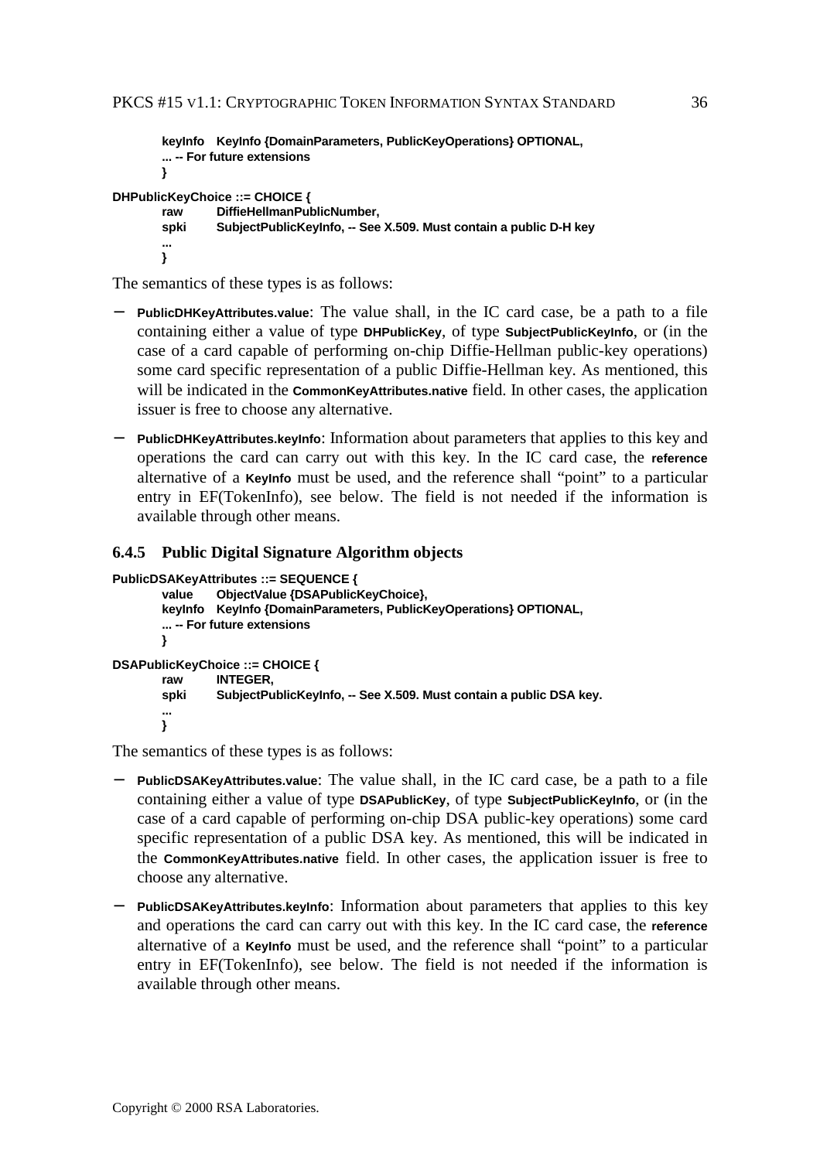```
keyInfo KeyInfo {DomainParameters, PublicKeyOperations} OPTIONAL,
        ... -- For future extensions
       }
DHPublicKeyChoice ::= CHOICE {
       raw DiffieHellmanPublicNumber,
       spki SubjectPublicKeyInfo, -- See X.509. Must contain a public D-H key
       ...
```
The semantics of these types is as follows:

**}**

- − **PublicDHKeyAttributes.value**: The value shall, in the IC card case, be a path to a file containing either a value of type **DHPublicKey**, of type **SubjectPublicKeyInfo**, or (in the case of a card capable of performing on-chip Diffie-Hellman public-key operations) some card specific representation of a public Diffie-Hellman key. As mentioned, this will be indicated in the **CommonKeyAttributes.native** field. In other cases, the application issuer is free to choose any alternative.
- − **PublicDHKeyAttributes.keyInfo**: Information about parameters that applies to this key and operations the card can carry out with this key. In the IC card case, the **reference** alternative of a **KeyInfo** must be used, and the reference shall "point" to a particular entry in EF(TokenInfo), see below. The field is not needed if the information is available through other means.

#### **6.4.5 Public Digital Signature Algorithm objects**

```
PublicDSAKeyAttributes ::= SEQUENCE {
       value ObjectValue {DSAPublicKeyChoice},
       keyInfo KeyInfo {DomainParameters, PublicKeyOperations} OPTIONAL,
       ... -- For future extensions
       }
DSAPublicKeyChoice ::= CHOICE {
       raw INTEGER,
       spki SubjectPublicKeyInfo, -- See X.509. Must contain a public DSA key.
       ...
       }
```
The semantics of these types is as follows:

- − **PublicDSAKeyAttributes.value**: The value shall, in the IC card case, be a path to a file containing either a value of type **DSAPublicKey**, of type **SubjectPublicKeyInfo**, or (in the case of a card capable of performing on-chip DSA public-key operations) some card specific representation of a public DSA key. As mentioned, this will be indicated in the **CommonKeyAttributes.native** field. In other cases, the application issuer is free to choose any alternative.
- − **PublicDSAKeyAttributes.keyInfo**: Information about parameters that applies to this key and operations the card can carry out with this key. In the IC card case, the **reference** alternative of a **KeyInfo** must be used, and the reference shall "point" to a particular entry in EF(TokenInfo), see below. The field is not needed if the information is available through other means.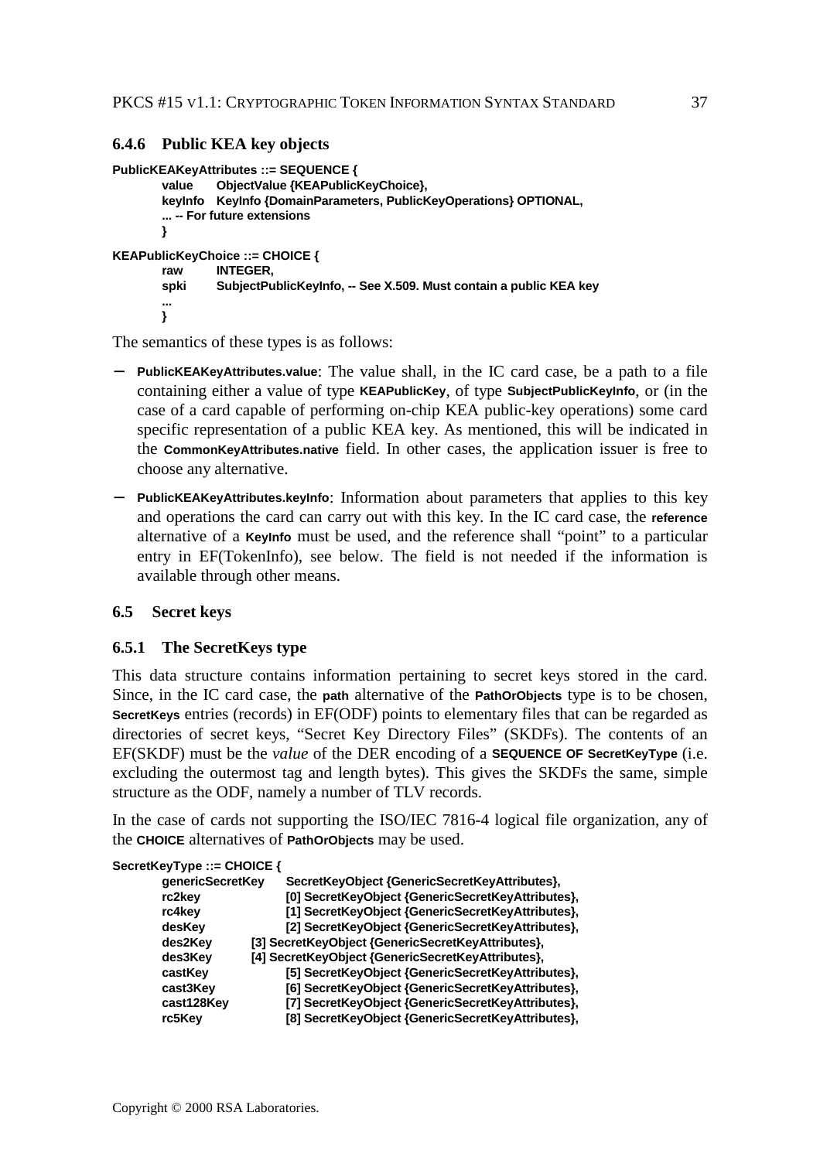#### **6.4.6 Public KEA key objects**

```
PublicKEAKeyAttributes ::= SEQUENCE {
       value ObjectValue {KEAPublicKeyChoice},
       keyInfo KeyInfo {DomainParameters, PublicKeyOperations} OPTIONAL,
       ... -- For future extensions
       }
KEAPublicKeyChoice ::= CHOICE {
       raw INTEGER,
       spki SubjectPublicKeyInfo, -- See X.509. Must contain a public KEA key
       ...
       }
```
The semantics of these types is as follows:

- − **PublicKEAKeyAttributes.value**: The value shall, in the IC card case, be a path to a file containing either a value of type **KEAPublicKey**, of type **SubjectPublicKeyInfo**, or (in the case of a card capable of performing on-chip KEA public-key operations) some card specific representation of a public KEA key. As mentioned, this will be indicated in the **CommonKeyAttributes.native** field. In other cases, the application issuer is free to choose any alternative.
- − **PublicKEAKeyAttributes.keyInfo**: Information about parameters that applies to this key and operations the card can carry out with this key. In the IC card case, the **reference** alternative of a **KeyInfo** must be used, and the reference shall "point" to a particular entry in EF(TokenInfo), see below. The field is not needed if the information is available through other means.

#### **6.5 Secret keys**

#### **6.5.1 The SecretKeys type**

This data structure contains information pertaining to secret keys stored in the card. Since, in the IC card case, the **path** alternative of the **PathOrObjects** type is to be chosen, **SecretKeys** entries (records) in EF(ODF) points to elementary files that can be regarded as directories of secret keys, "Secret Key Directory Files" (SKDFs). The contents of an EF(SKDF) must be the *value* of the DER encoding of a **SEQUENCE OF SecretKeyType** (i.e. excluding the outermost tag and length bytes). This gives the SKDFs the same, simple structure as the ODF, namely a number of TLV records.

In the case of cards not supporting the ISO/IEC 7816-4 logical file organization, any of the **CHOICE** alternatives of **PathOrObjects** may be used.

| SecretKeyType ::= CHOICE {                                        |
|-------------------------------------------------------------------|
| qenericSecretKey<br>SecretKeyObject {GenericSecretKeyAttributes}, |
| [0] SecretKeyObject {GenericSecretKeyAttributes},                 |
| [1] SecretKeyObject {GenericSecretKeyAttributes},                 |
| [2] SecretKeyObject {GenericSecretKeyAttributes},                 |
| [3] SecretKeyObject {GenericSecretKeyAttributes},                 |
| [4] SecretKeyObject {GenericSecretKeyAttributes},                 |
| [5] SecretKeyObject {GenericSecretKeyAttributes},                 |
| [6] SecretKeyObject {GenericSecretKeyAttributes},                 |
| [7] SecretKeyObject {GenericSecretKeyAttributes},                 |
| [8] SecretKeyObject {GenericSecretKeyAttributes},                 |
|                                                                   |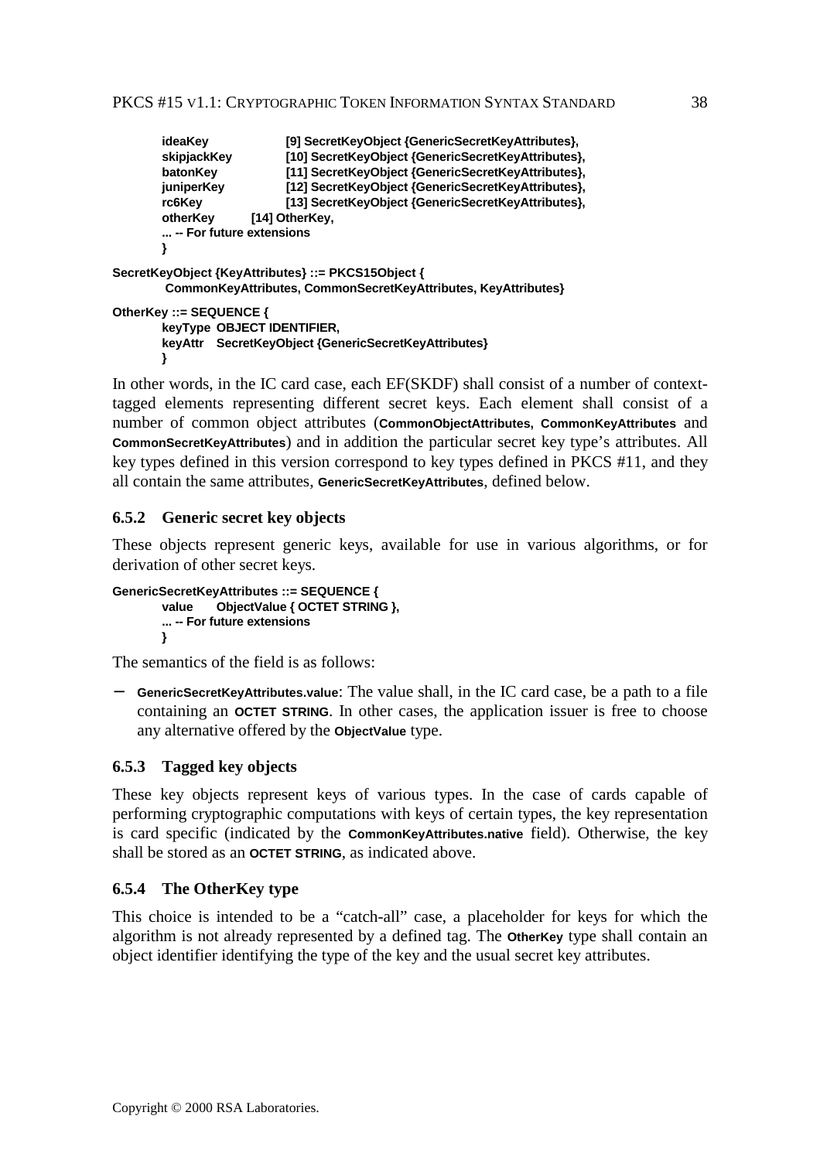```
ideaKey [9] SecretKeyObject {GenericSecretKeyAttributes},
       skipjackKey [10] SecretKeyObject {GenericSecretKeyAttributes},
       batonKey [11] SecretKeyObject {GenericSecretKeyAttributes},
       juniperKey [12] SecretKeyObject {GenericSecretKeyAttributes},
       rc6Key [13] SecretKeyObject {GenericSecretKeyAttributes},
       otherKey [14] OtherKey,
       ... -- For future extensions
       }
SecretKeyObject {KeyAttributes} ::= PKCS15Object {
        CommonKeyAttributes, CommonSecretKeyAttributes, KeyAttributes}
```
**OtherKey ::= SEQUENCE { keyType OBJECT IDENTIFIER,**

```
keyAttr SecretKeyObject {GenericSecretKeyAttributes}
}
```
In other words, in the IC card case, each EF(SKDF) shall consist of a number of contexttagged elements representing different secret keys. Each element shall consist of a number of common object attributes (**CommonObjectAttributes, CommonKeyAttributes** and **CommonSecretKeyAttributes**) and in addition the particular secret key type's attributes. All key types defined in this version correspond to key types defined in PKCS #11, and they all contain the same attributes, **GenericSecretKeyAttributes**, defined below.

## **6.5.2 Generic secret key objects**

These objects represent generic keys, available for use in various algorithms, or for derivation of other secret keys.

```
GenericSecretKeyAttributes ::= SEQUENCE {
        value ObjectValue { OCTET STRING },
        ... -- For future extensions
       }
```
The semantics of the field is as follows:

− **GenericSecretKeyAttributes.value**: The value shall, in the IC card case, be a path to a file containing an **OCTET STRING**. In other cases, the application issuer is free to choose any alternative offered by the **ObjectValue** type.

#### **6.5.3 Tagged key objects**

These key objects represent keys of various types. In the case of cards capable of performing cryptographic computations with keys of certain types, the key representation is card specific (indicated by the **CommonKeyAttributes.native** field). Otherwise, the key shall be stored as an **OCTET STRING**, as indicated above.

## **6.5.4 The OtherKey type**

This choice is intended to be a "catch-all" case, a placeholder for keys for which the algorithm is not already represented by a defined tag. The **OtherKey** type shall contain an object identifier identifying the type of the key and the usual secret key attributes.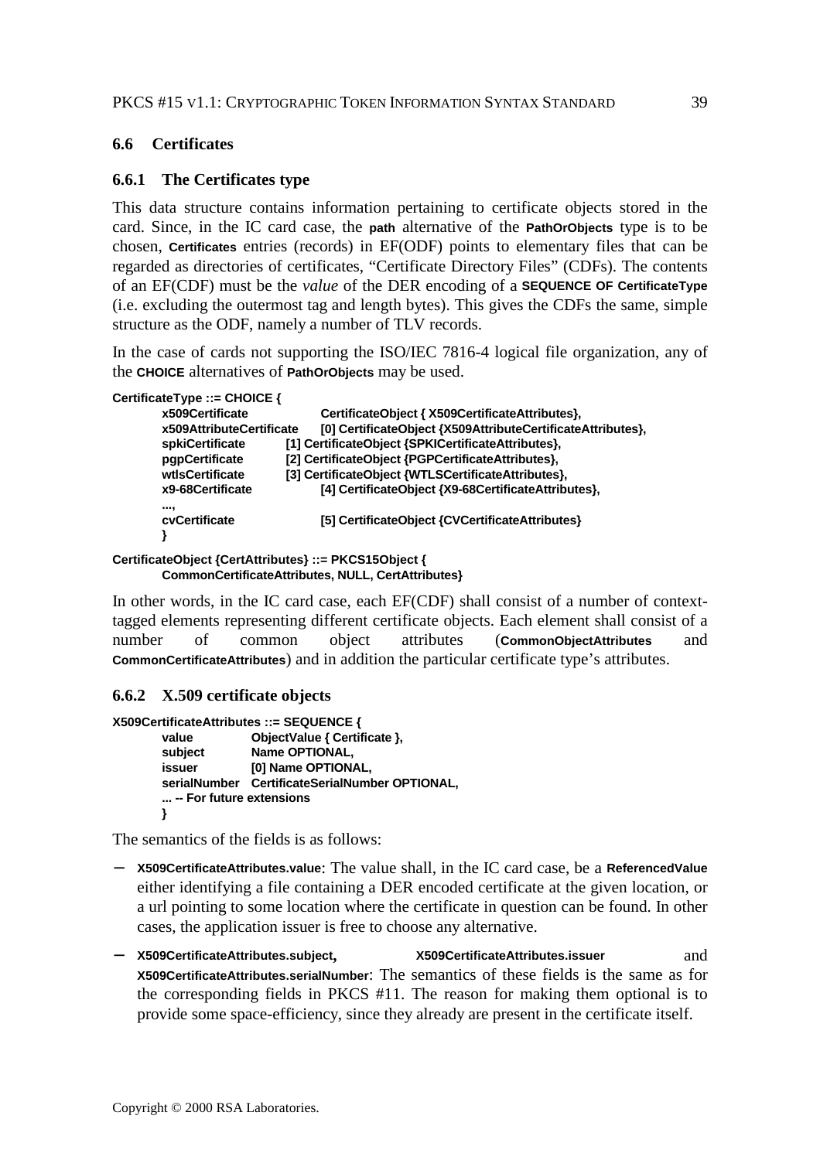## **6.6 Certificates**

#### **6.6.1 The Certificates type**

This data structure contains information pertaining to certificate objects stored in the card. Since, in the IC card case, the **path** alternative of the **PathOrObjects** type is to be chosen, **Certificates** entries (records) in EF(ODF) points to elementary files that can be regarded as directories of certificates, "Certificate Directory Files" (CDFs). The contents of an EF(CDF) must be the *value* of the DER encoding of a **SEQUENCE OF CertificateType** (i.e. excluding the outermost tag and length bytes). This gives the CDFs the same, simple structure as the ODF, namely a number of TLV records.

In the case of cards not supporting the ISO/IEC 7816-4 logical file organization, any of the **CHOICE** alternatives of **PathOrObjects** may be used.

| CertificateType ::= CHOICE { |                                                             |
|------------------------------|-------------------------------------------------------------|
| x509Certificate              | CertificateObject { X509CertificateAttributes},             |
| x509AttributeCertificate     | [0] CertificateObject {X509AttributeCertificateAttributes}, |
| spkiCertificate              | [1] CertificateObject {SPKICertificateAttributes},          |
| pqpCertificate               | [2] CertificateObject {PGPCertificateAttributes},           |
| wtlsCertificate              | [3] CertificateObject {WTLSCertificateAttributes},          |
| x9-68Certificate             | [4] CertificateObject {X9-68CertificateAttributes},         |
| ,                            |                                                             |
| cyCertificate                | [5] CertificateObject {CVCertificateAttributes}             |
|                              |                                                             |
|                              |                                                             |

**CertificateObject {CertAttributes} ::= PKCS15Object {**

**CommonCertificateAttributes, NULL, CertAttributes}**

In other words, in the IC card case, each EF(CDF) shall consist of a number of contexttagged elements representing different certificate objects. Each element shall consist of a number of common object attributes (**CommonObjectAttributes** and **CommonCertificateAttributes**) and in addition the particular certificate type's attributes.

## **6.6.2 X.509 certificate objects**

```
X509CertificateAttributes ::= SEQUENCE {
       value ObjectValue { Certificate },
       subject Name OPTIONAL,
       issuer [0] Name OPTIONAL,
       serialNumber CertificateSerialNumber OPTIONAL,
       ... -- For future extensions
       }
```
The semantics of the fields is as follows:

- − **X509CertificateAttributes.value**: The value shall, in the IC card case, be a **ReferencedValue** either identifying a file containing a DER encoded certificate at the given location, or a url pointing to some location where the certificate in question can be found. In other cases, the application issuer is free to choose any alternative.
- − **X509CertificateAttributes.subject, X509CertificateAttributes.issuer** and **X509CertificateAttributes.serialNumber**: The semantics of these fields is the same as for the corresponding fields in PKCS #11. The reason for making them optional is to provide some space-efficiency, since they already are present in the certificate itself.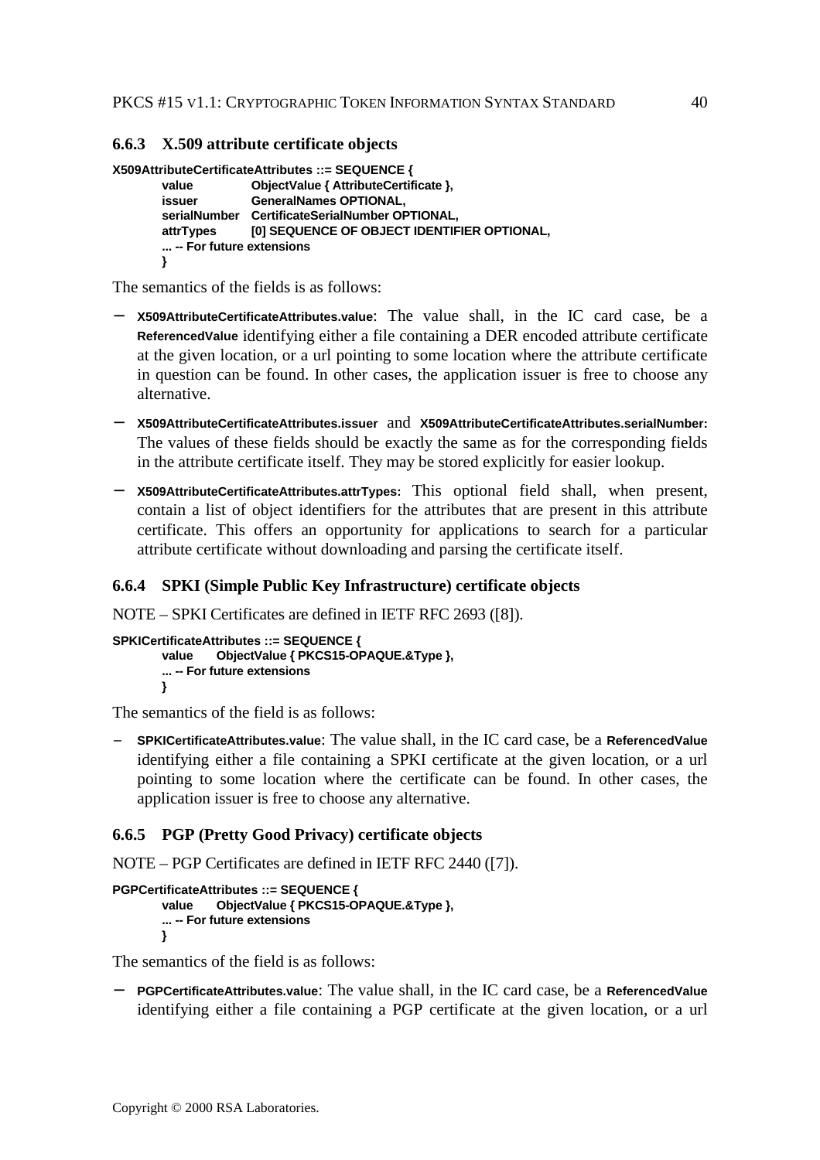#### **6.6.3 X.509 attribute certificate objects**

```
X509AttributeCertificateAttributes ::= SEQUENCE {
       value ObjectValue { AttributeCertificate },
       issuer GeneralNames OPTIONAL,
       serialNumber CertificateSerialNumber OPTIONAL,
       attrTypes [0] SEQUENCE OF OBJECT IDENTIFIER OPTIONAL,
       ... -- For future extensions
       }
```
The semantics of the fields is as follows:

- − **X509AttributeCertificateAttributes.value**: The value shall, in the IC card case, be a **ReferencedValue** identifying either a file containing a DER encoded attribute certificate at the given location, or a url pointing to some location where the attribute certificate in question can be found. In other cases, the application issuer is free to choose any alternative.
- − **X509AttributeCertificateAttributes.issuer** and **X509AttributeCertificateAttributes.serialNumber:** The values of these fields should be exactly the same as for the corresponding fields in the attribute certificate itself. They may be stored explicitly for easier lookup.
- − **X509AttributeCertificateAttributes.attrTypes:** This optional field shall, when present, contain a list of object identifiers for the attributes that are present in this attribute certificate. This offers an opportunity for applications to search for a particular attribute certificate without downloading and parsing the certificate itself.

#### **6.6.4 SPKI (Simple Public Key Infrastructure) certificate objects**

NOTE – SPKI Certificates are defined in IETF RFC 2693 ([8]).

```
SPKICertificateAttributes ::= SEQUENCE {
        value ObjectValue { PKCS15-OPAQUE.&Type },
        ... -- For future extensions
        }
```
The semantics of the field is as follows:

− **SPKICertificateAttributes.value**: The value shall, in the IC card case, be a **ReferencedValue** identifying either a file containing a SPKI certificate at the given location, or a url pointing to some location where the certificate can be found. In other cases, the application issuer is free to choose any alternative.

#### **6.6.5 PGP (Pretty Good Privacy) certificate objects**

NOTE – PGP Certificates are defined in IETF RFC 2440 ([7]).

```
PGPCertificateAttributes ::= SEQUENCE {
        value ObjectValue { PKCS15-OPAQUE.&Type },
        ... -- For future extensions
        }
```
The semantics of the field is as follows:

− **PGPCertificateAttributes.value**: The value shall, in the IC card case, be a **ReferencedValue** identifying either a file containing a PGP certificate at the given location, or a url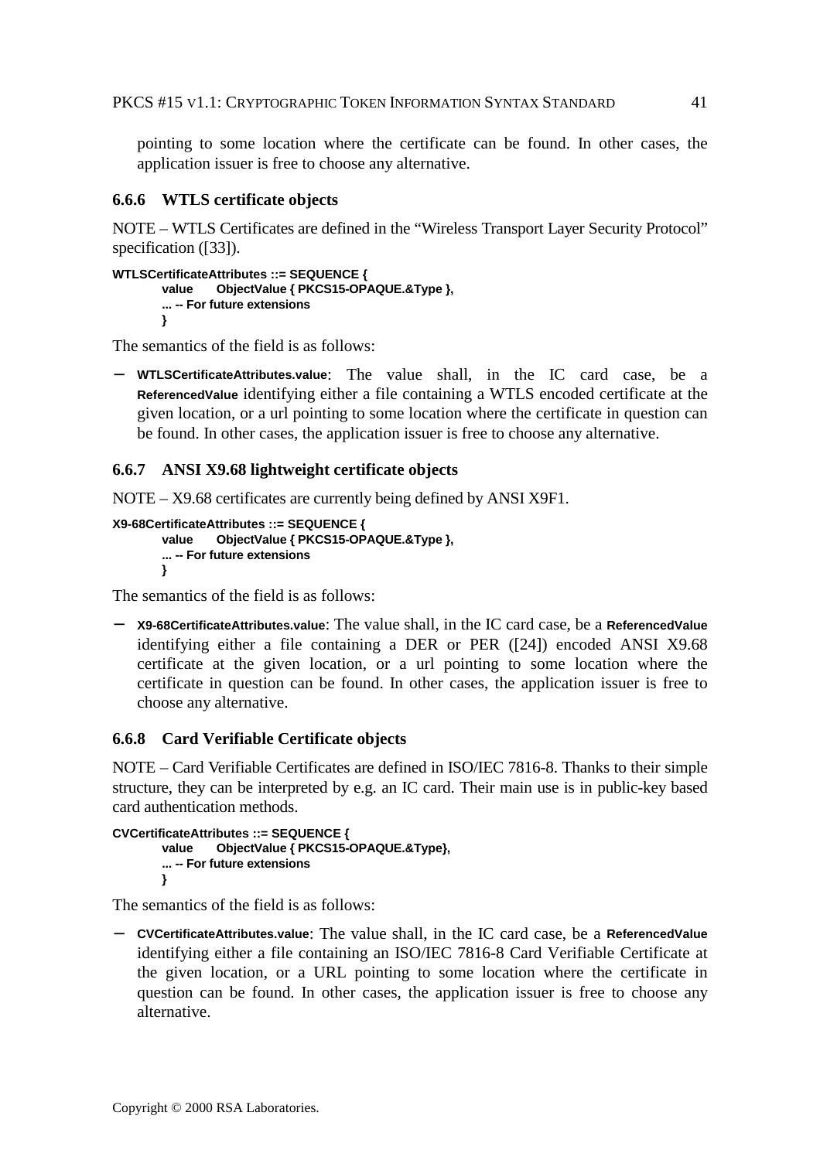pointing to some location where the certificate can be found. In other cases, the application issuer is free to choose any alternative.

## **6.6.6 WTLS certificate objects**

NOTE – WTLS Certificates are defined in the "Wireless Transport Layer Security Protocol" specification ([33]).

```
WTLSCertificateAttributes ::= SEQUENCE {
       value ObjectValue { PKCS15-OPAQUE.&Type },
       ... -- For future extensions
       }
```
The semantics of the field is as follows:

− **WTLSCertificateAttributes.value**: The value shall, in the IC card case, be a **ReferencedValue** identifying either a file containing a WTLS encoded certificate at the given location, or a url pointing to some location where the certificate in question can be found. In other cases, the application issuer is free to choose any alternative.

## **6.6.7 ANSI X9.68 lightweight certificate objects**

NOTE – X9.68 certificates are currently being defined by ANSI X9F1.

```
X9-68CertificateAttributes ::= SEQUENCE {
       value ObjectValue { PKCS15-OPAQUE.&Type },
        ... -- For future extensions
       }
```
The semantics of the field is as follows:

− **X9-68CertificateAttributes.value**: The value shall, in the IC card case, be a **ReferencedValue** identifying either a file containing a DER or PER ([24]) encoded ANSI X9.68 certificate at the given location, or a url pointing to some location where the certificate in question can be found. In other cases, the application issuer is free to choose any alternative.

## **6.6.8 Card Verifiable Certificate objects**

NOTE – Card Verifiable Certificates are defined in ISO/IEC 7816-8. Thanks to their simple structure, they can be interpreted by e.g. an IC card. Their main use is in public-key based card authentication methods.

```
CVCertificateAttributes ::= SEQUENCE {
       value ObjectValue { PKCS15-OPAQUE.&Type},
       ... -- For future extensions
       }
```
The semantics of the field is as follows:

− **CVCertificateAttributes.value**: The value shall, in the IC card case, be a **ReferencedValue** identifying either a file containing an ISO/IEC 7816-8 Card Verifiable Certificate at the given location, or a URL pointing to some location where the certificate in question can be found. In other cases, the application issuer is free to choose any alternative.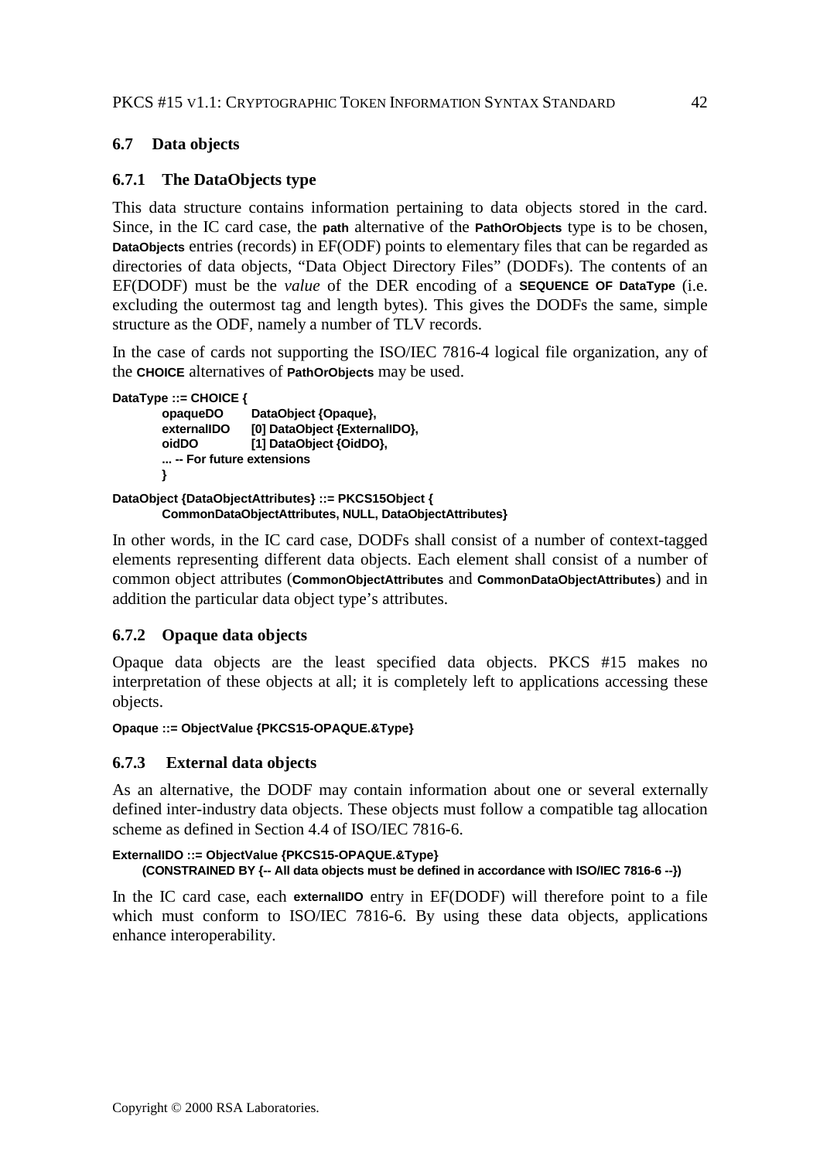## **6.7 Data objects**

## **6.7.1 The DataObjects type**

This data structure contains information pertaining to data objects stored in the card. Since, in the IC card case, the **path** alternative of the **PathOrObjects** type is to be chosen, **DataObjects** entries (records) in EF(ODF) points to elementary files that can be regarded as directories of data objects, "Data Object Directory Files" (DODFs). The contents of an EF(DODF) must be the *value* of the DER encoding of a **SEQUENCE OF DataType** (i.e. excluding the outermost tag and length bytes). This gives the DODFs the same, simple structure as the ODF, namely a number of TLV records.

In the case of cards not supporting the ISO/IEC 7816-4 logical file organization, any of the **CHOICE** alternatives of **PathOrObjects** may be used.

```
DataType ::= CHOICE {
       opaqueDO DataObject {Opaque},
       externalIDO [0] DataObject {ExternalIDO},
       oidDO [1] DataObject {OidDO},
       ... -- For future extensions
       }
```

```
DataObject {DataObjectAttributes} ::= PKCS15Object {
        CommonDataObjectAttributes, NULL, DataObjectAttributes}
```
In other words, in the IC card case, DODFs shall consist of a number of context-tagged elements representing different data objects. Each element shall consist of a number of common object attributes (**CommonObjectAttributes** and **CommonDataObjectAttributes**) and in addition the particular data object type's attributes.

## **6.7.2 Opaque data objects**

Opaque data objects are the least specified data objects. PKCS #15 makes no interpretation of these objects at all; it is completely left to applications accessing these objects.

#### **Opaque ::= ObjectValue {PKCS15-OPAQUE.&Type}**

## **6.7.3 External data objects**

As an alternative, the DODF may contain information about one or several externally defined inter-industry data objects. These objects must follow a compatible tag allocation scheme as defined in Section 4.4 of ISO/IEC 7816-6.

```
ExternalIDO ::= ObjectValue {PKCS15-OPAQUE.&Type}
     (CONSTRAINED BY {-- All data objects must be defined in accordance with ISO/IEC 7816-6 --})
```
In the IC card case, each **externalIDO** entry in EF(DODF) will therefore point to a file which must conform to ISO/IEC 7816-6. By using these data objects, applications enhance interoperability.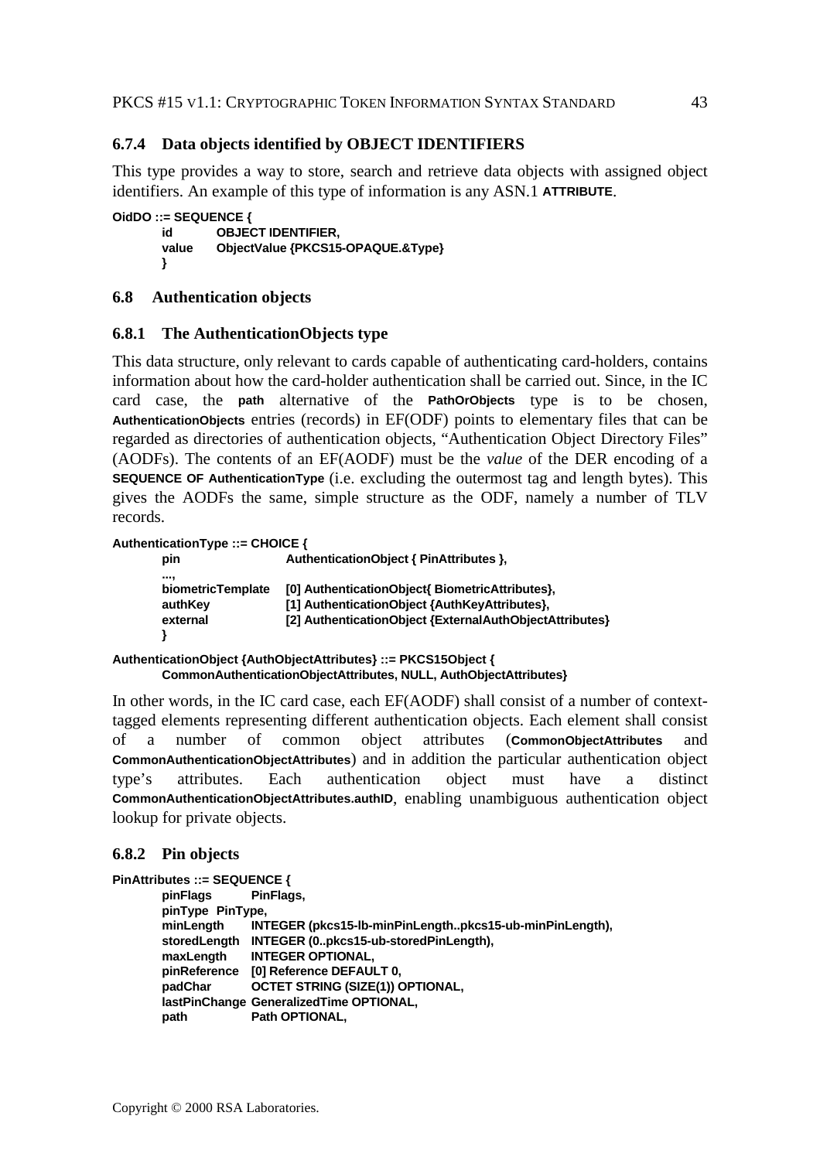## **6.7.4 Data objects identified by OBJECT IDENTIFIERS**

This type provides a way to store, search and retrieve data objects with assigned object identifiers. An example of this type of information is any ASN.1 **ATTRIBUTE**.

```
OidDO ::= SEQUENCE {
      id OBJECT IDENTIFIER,
      value ObjectValue {PKCS15-OPAQUE.&Type}
      }
```
## **6.8 Authentication objects**

### **6.8.1 The AuthenticationObjects type**

This data structure, only relevant to cards capable of authenticating card-holders, contains information about how the card-holder authentication shall be carried out. Since, in the IC card case, the **path** alternative of the **PathOrObjects** type is to be chosen, **AuthenticationObjects** entries (records) in EF(ODF) points to elementary files that can be regarded as directories of authentication objects, "Authentication Object Directory Files" (AODFs). The contents of an EF(AODF) must be the *value* of the DER encoding of a **SEQUENCE OF AuthenticationType** (i.e. excluding the outermost tag and length bytes). This gives the AODFs the same, simple structure as the ODF, namely a number of TLV records.

**AuthenticationType ::= CHOICE {**

| pin                                           | AuthenticationObject { PinAttributes },                                                                                                                     |
|-----------------------------------------------|-------------------------------------------------------------------------------------------------------------------------------------------------------------|
| ,<br>biometricTemplate<br>authKey<br>external | [0] AuthenticationObject{ BiometricAttributes},<br>[1] AuthenticationObject {AuthKeyAttributes},<br>[2] AuthenticationObject {ExternalAuthObjectAttributes} |

**AuthenticationObject {AuthObjectAttributes} ::= PKCS15Object { CommonAuthenticationObjectAttributes, NULL, AuthObjectAttributes}**

In other words, in the IC card case, each EF(AODF) shall consist of a number of contexttagged elements representing different authentication objects. Each element shall consist of a number of common object attributes (**CommonObjectAttributes** and **CommonAuthenticationObjectAttributes**) and in addition the particular authentication object type's attributes. Each authentication object must have a distinct **CommonAuthenticationObjectAttributes.authID**, enabling unambiguous authentication object lookup for private objects.

## **6.8.2 Pin objects**

```
PinAttributes ::= SEQUENCE {
       pinFlags PinFlags,
       pinType PinType,
       minLength INTEGER (pkcs15-lb-minPinLength..pkcs15-ub-minPinLength),
       storedLength INTEGER (0..pkcs15-ub-storedPinLength),
       maxLength INTEGER OPTIONAL,
       pinReference [0] Reference DEFAULT 0,
       padChar OCTET STRING (SIZE(1)) OPTIONAL,
       lastPinChange GeneralizedTime OPTIONAL,
       path Path OPTIONAL,
```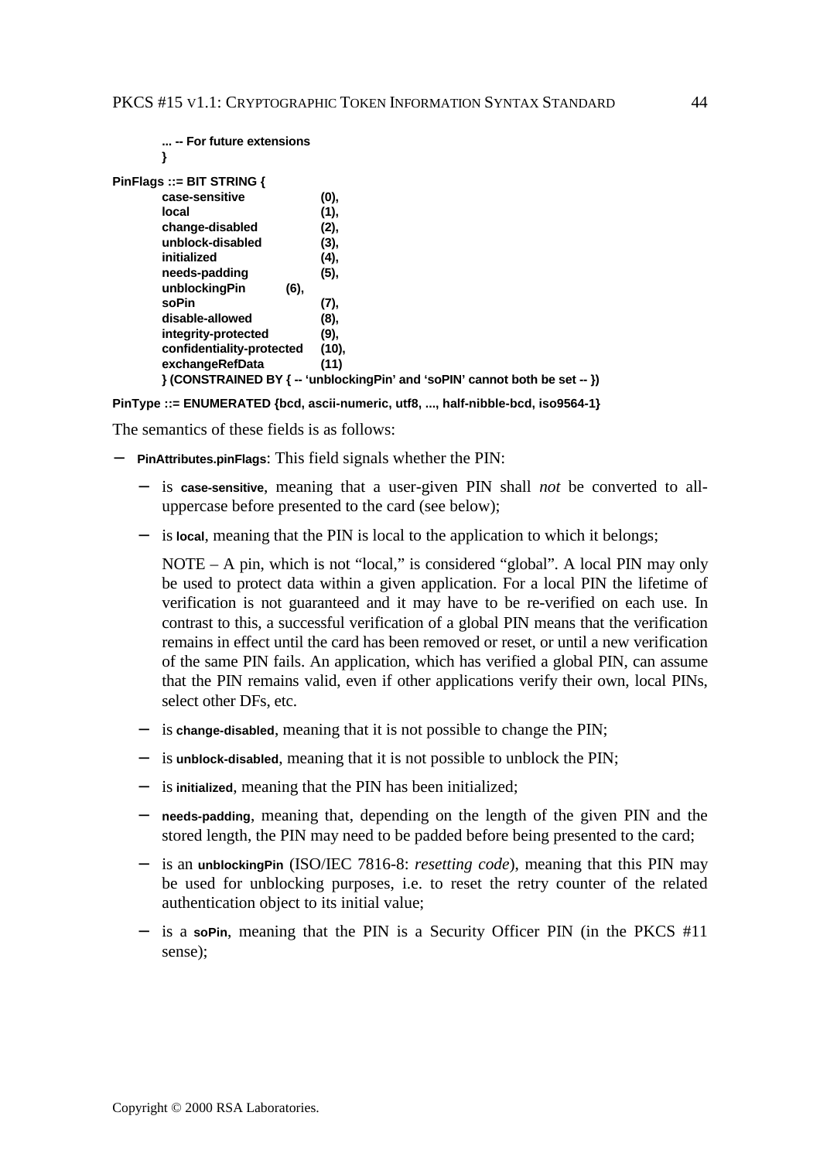| -- For future extensions  |                                                                             |
|---------------------------|-----------------------------------------------------------------------------|
|                           |                                                                             |
| PinFlags ::= BIT STRING { |                                                                             |
| case-sensitive            | (0),                                                                        |
| local                     | (1),                                                                        |
| change-disabled           | (2),                                                                        |
| unblock-disabled          | (3),                                                                        |
| initialized               | (4),                                                                        |
| needs-padding             | (5),                                                                        |
| unblockingPin<br>(6),     |                                                                             |
| soPin                     | (7),                                                                        |
| disable-allowed           | (8),                                                                        |
| integrity-protected       | (9),                                                                        |
| confidentiality-protected | (10),                                                                       |
| exchangeRefData           | (11)                                                                        |
|                           | } (CONSTRAINED BY { -- 'unblockingPin' and 'soPIN' cannot both be set -- }) |

#### **PinType ::= ENUMERATED {bcd, ascii-numeric, utf8, ..., half-nibble-bcd, iso9564-1}**

The semantics of these fields is as follows:

- − **PinAttributes.pinFlags**: This field signals whether the PIN:
	- − is **case-sensitive**, meaning that a user-given PIN shall *not* be converted to alluppercase before presented to the card (see below);
	- − is **local**, meaning that the PIN is local to the application to which it belongs;

NOTE – A pin, which is not "local," is considered "global". A local PIN may only be used to protect data within a given application. For a local PIN the lifetime of verification is not guaranteed and it may have to be re-verified on each use. In contrast to this, a successful verification of a global PIN means that the verification remains in effect until the card has been removed or reset, or until a new verification of the same PIN fails. An application, which has verified a global PIN, can assume that the PIN remains valid, even if other applications verify their own, local PINs, select other DFs, etc.

- − is **change-disabled**, meaning that it is not possible to change the PIN;
- − is **unblock-disabled**, meaning that it is not possible to unblock the PIN;
- − is **initialized**, meaning that the PIN has been initialized;
- needs-padding, meaning that, depending on the length of the given PIN and the stored length, the PIN may need to be padded before being presented to the card;
- − is an **unblockingPin** (ISO/IEC 7816-8: *resetting code*), meaning that this PIN may be used for unblocking purposes, i.e. to reset the retry counter of the related authentication object to its initial value;
- − is a **soPin**, meaning that the PIN is a Security Officer PIN (in the PKCS #11 sense);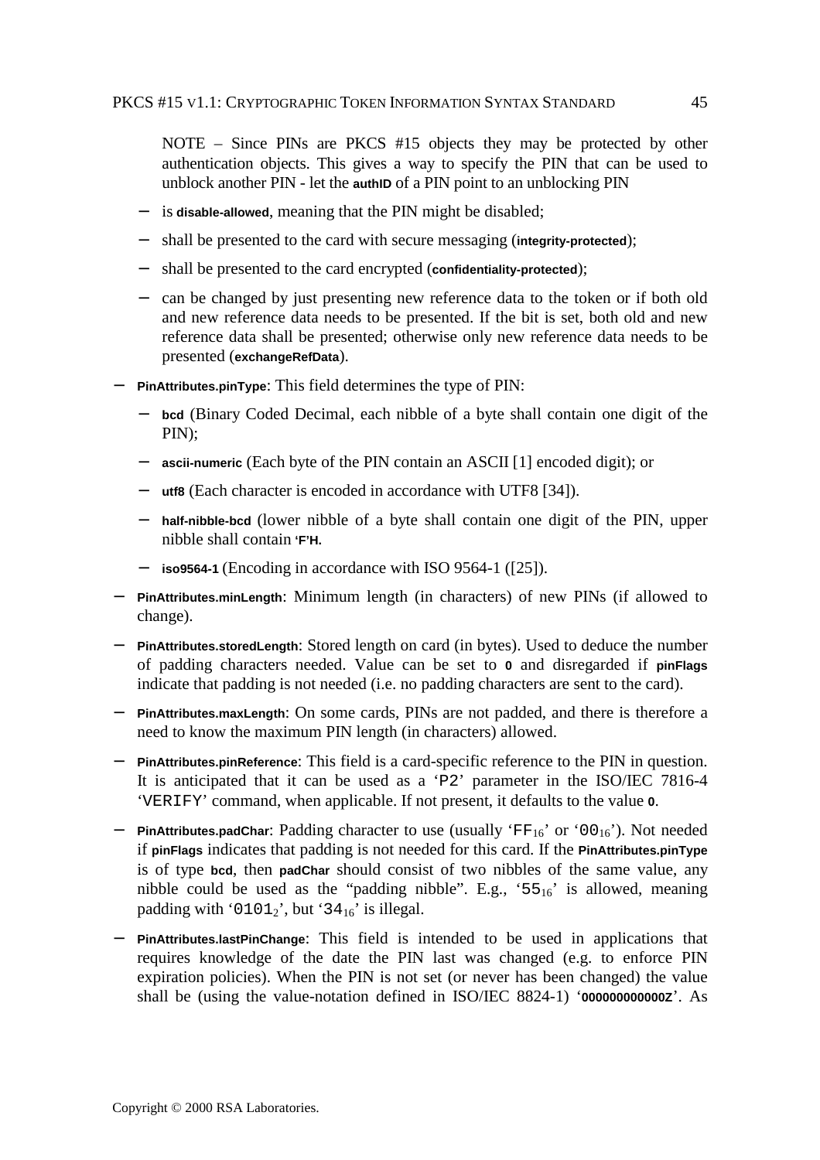NOTE – Since PINs are PKCS #15 objects they may be protected by other authentication objects. This gives a way to specify the PIN that can be used to unblock another PIN - let the **authID** of a PIN point to an unblocking PIN

- is **disable-allowed**, meaning that the PIN might be disabled;
- shall be presented to the card with secure messaging (integrity-protected);
- shall be presented to the card encrypted (confidentiality-protected);
- − can be changed by just presenting new reference data to the token or if both old and new reference data needs to be presented. If the bit is set, both old and new reference data shall be presented; otherwise only new reference data needs to be presented (**exchangeRefData**).
- − **PinAttributes.pinType**: This field determines the type of PIN:
	- **bcd** (Binary Coded Decimal, each nibble of a byte shall contain one digit of the PIN);
	- − **ascii-numeric** (Each byte of the PIN contain an ASCII [1] encoded digit); or
	- − **utf8** (Each character is encoded in accordance with UTF8 [34]).
	- − **half-nibble-bcd** (lower nibble of a byte shall contain one digit of the PIN, upper nibble shall contain **'F'H.**
	- **iso9564-1** (Encoding in accordance with ISO 9564-1 ([25]).
- − **PinAttributes.minLength**: Minimum length (in characters) of new PINs (if allowed to change).
- − **PinAttributes.storedLength**: Stored length on card (in bytes). Used to deduce the number of padding characters needed. Value can be set to **0** and disregarded if **pinFlags** indicate that padding is not needed (i.e. no padding characters are sent to the card).
- − **PinAttributes.maxLength**: On some cards, PINs are not padded, and there is therefore a need to know the maximum PIN length (in characters) allowed.
- − **PinAttributes.pinReference**: This field is a card-specific reference to the PIN in question. It is anticipated that it can be used as a 'P2' parameter in the ISO/IEC 7816-4 'VERIFY' command, when applicable. If not present, it defaults to the value **0**.
- − **PinAttributes.padChar**: Padding character to use (usually 'FF16' or '0016'). Not needed if **pinFlags** indicates that padding is not needed for this card. If the **PinAttributes.pinType** is of type **bcd**, then **padChar** should consist of two nibbles of the same value, any nibble could be used as the "padding nibble". E.g.,  $55_{16}$  is allowed, meaning padding with '0101 $_2$ ', but '34 $_{16}$ ' is illegal.
- − **PinAttributes.lastPinChange**: This field is intended to be used in applications that requires knowledge of the date the PIN last was changed (e.g. to enforce PIN expiration policies). When the PIN is not set (or never has been changed) the value shall be (using the value-notation defined in ISO/IEC 8824-1) '**000000000000Z**'. As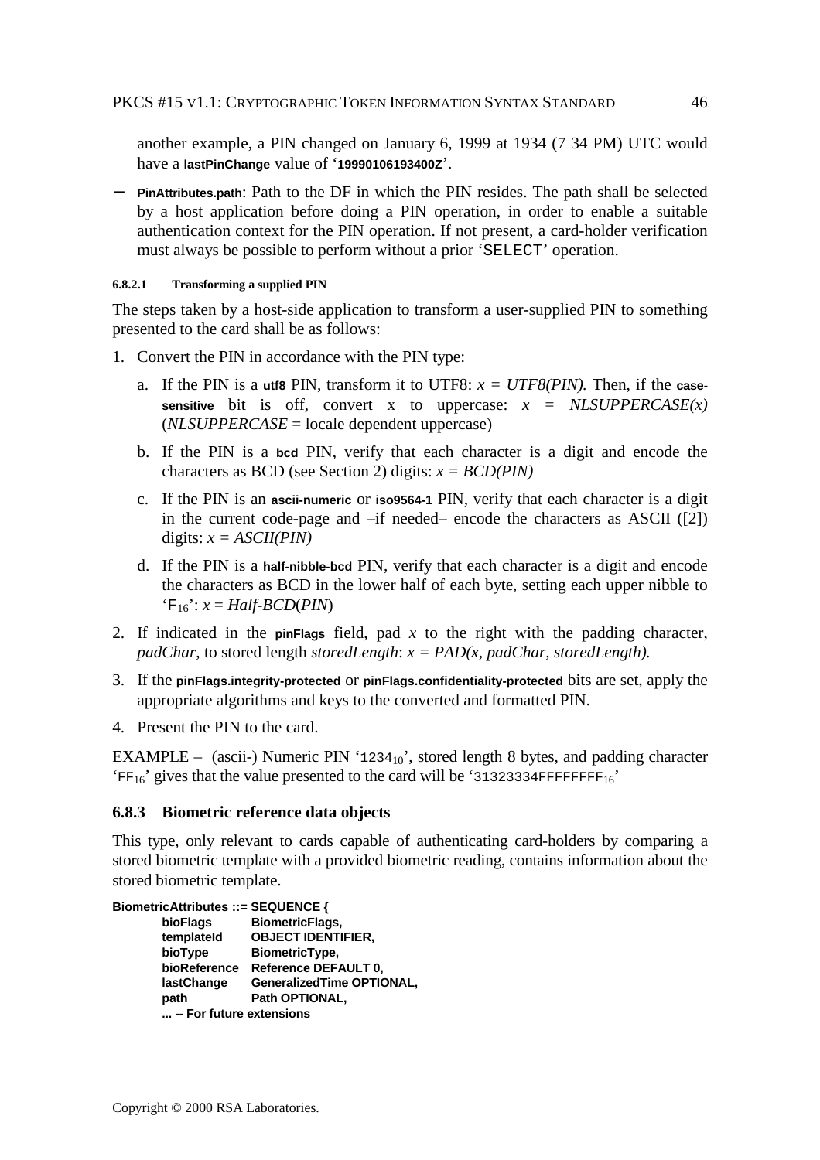another example, a PIN changed on January 6, 1999 at 1934 (7 34 PM) UTC would have a **lastPinChange** value of '**19990106193400Z**'.

− **PinAttributes.path**: Path to the DF in which the PIN resides. The path shall be selected by a host application before doing a PIN operation, in order to enable a suitable authentication context for the PIN operation. If not present, a card-holder verification must always be possible to perform without a prior 'SELECT' operation.

#### **6.8.2.1 Transforming a supplied PIN**

The steps taken by a host-side application to transform a user-supplied PIN to something presented to the card shall be as follows:

- 1. Convert the PIN in accordance with the PIN type:
	- a. If the PIN is a **utf8** PIN, transform it to UTF8:  $x = UTF8(PIN)$ . Then, if the **casesensitive** bit is off, convert x to uppercase:  $x = NLSUPPERCASE(x)$ (*NLSUPPERCASE* = locale dependent uppercase)
	- b. If the PIN is a **bcd** PIN, verify that each character is a digit and encode the characters as BCD (see Section 2) digits: *x = BCD(PIN)*
	- c. If the PIN is an **ascii-numeric** or **iso9564-1** PIN, verify that each character is a digit in the current code-page and –if needed– encode the characters as ASCII ([2]) digits:  $x = ASCII(PIN)$
	- d. If the PIN is a **half-nibble-bcd** PIN, verify that each character is a digit and encode the characters as BCD in the lower half of each byte, setting each upper nibble to  $F_{16}$ :  $x = \text{Half-BCD(PIN)}$
- 2. If indicated in the **pinFlags** field, pad *x* to the right with the padding character, *padChar*, to stored length *storedLength*: *x = PAD(x, padChar, storedLength).*
- 3. If the **pinFlags.integrity-protected** or **pinFlags.confidentiality-protected** bits are set, apply the appropriate algorithms and keys to the converted and formatted PIN.
- 4. Present the PIN to the card.

EXAMPLE – (ascii-) Numeric PIN ' $1234_{10}$ ', stored length 8 bytes, and padding character 'FF16' gives that the value presented to the card will be '31323334FFFFFFFF16'

#### **6.8.3 Biometric reference data objects**

This type, only relevant to cards capable of authenticating card-holders by comparing a stored biometric template with a provided biometric reading, contains information about the stored biometric template.

```
BiometricAttributes ::= SEQUENCE {
      bioFlags BiometricFlags,
      templateId OBJECT IDENTIFIER,
      bioType BiometricType,
       bioReference Reference DEFAULT 0,
      lastChange GeneralizedTime OPTIONAL,
       path Path OPTIONAL,
       ... -- For future extensions
```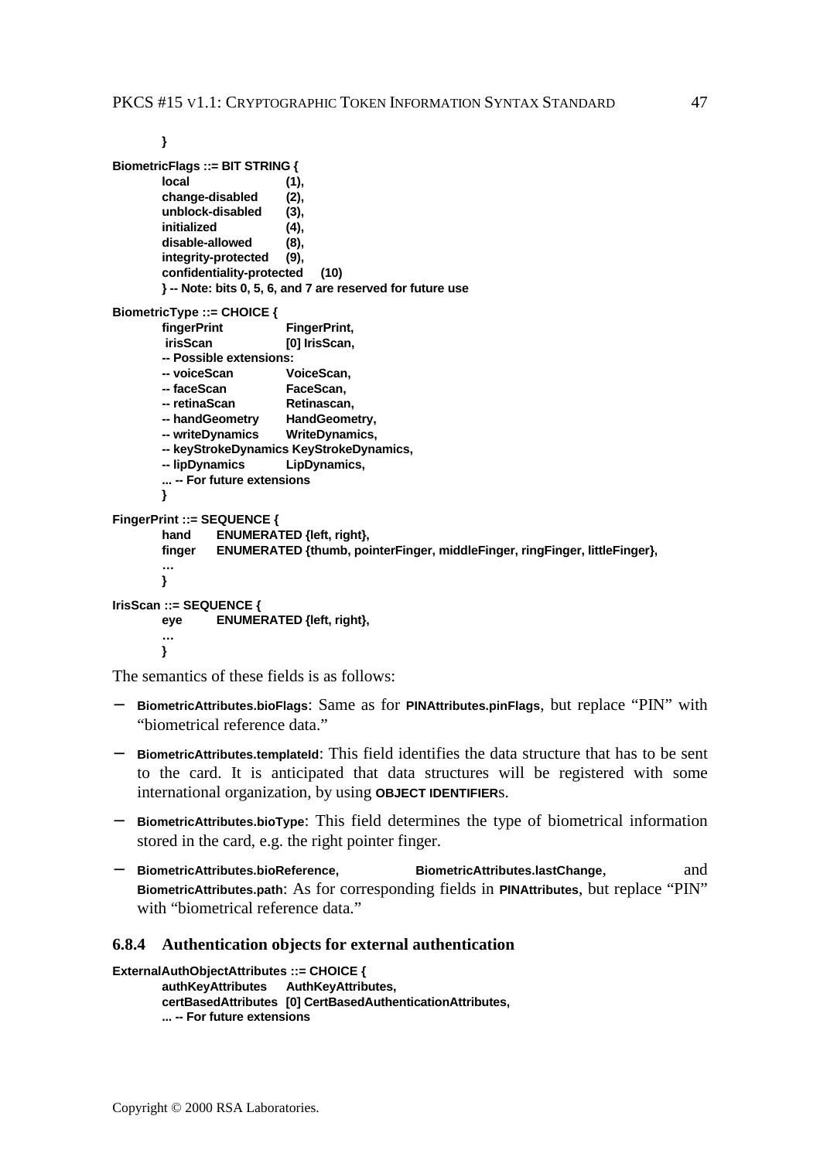**}**

```
BiometricFlags ::= BIT STRING {
       local (1),
       change-disabled (2),
       unblock-disabled (3),
       initialized (4),
       disable-allowed (8),
       integrity-protected (9),
       confidentiality-protected (10)
       } -- Note: bits 0, 5, 6, and 7 are reserved for future use
BiometricType ::= CHOICE {
       fingerPrint FingerPrint,
        irisScan [0] IrisScan,
       -- Possible extensions:
       -- voiceScan VoiceScan,
       -- faceScan FaceScan,
       -- retinaScan Retinascan,
       -- handGeometry HandGeometry,
       -- writeDynamics WriteDynamics,
       -- keyStrokeDynamics KeyStrokeDynamics,
       -- lipDynamics LipDynamics,
       ... -- For future extensions
       }
FingerPrint ::= SEQUENCE {
       hand ENUMERATED {left, right},
       finger ENUMERATED {thumb, pointerFinger, middleFinger, ringFinger, littleFinger},
       …
       }
IrisScan ::= SEQUENCE {
       eye ENUMERATED {left, right},
       …
       }
```
The semantics of these fields is as follows:

- − **BiometricAttributes.bioFlags**: Same as for **PINAttributes.pinFlags**, but replace "PIN" with "biometrical reference data."
- **BiometricAttributes.templateId:** This field identifies the data structure that has to be sent to the card. It is anticipated that data structures will be registered with some international organization, by using **OBJECT IDENTIFIER**s.
- − **BiometricAttributes.bioType**: This field determines the type of biometrical information stored in the card, e.g. the right pointer finger.
- − **BiometricAttributes.bioReference, BiometricAttributes.lastChange**, and **BiometricAttributes.path**: As for corresponding fields in **PINAttributes**, but replace "PIN" with "biometrical reference data."

#### **6.8.4 Authentication objects for external authentication**

```
ExternalAuthObjectAttributes ::= CHOICE {
        authKeyAttributes AuthKeyAttributes,
        certBasedAttributes [0] CertBasedAuthenticationAttributes,
        ... -- For future extensions
```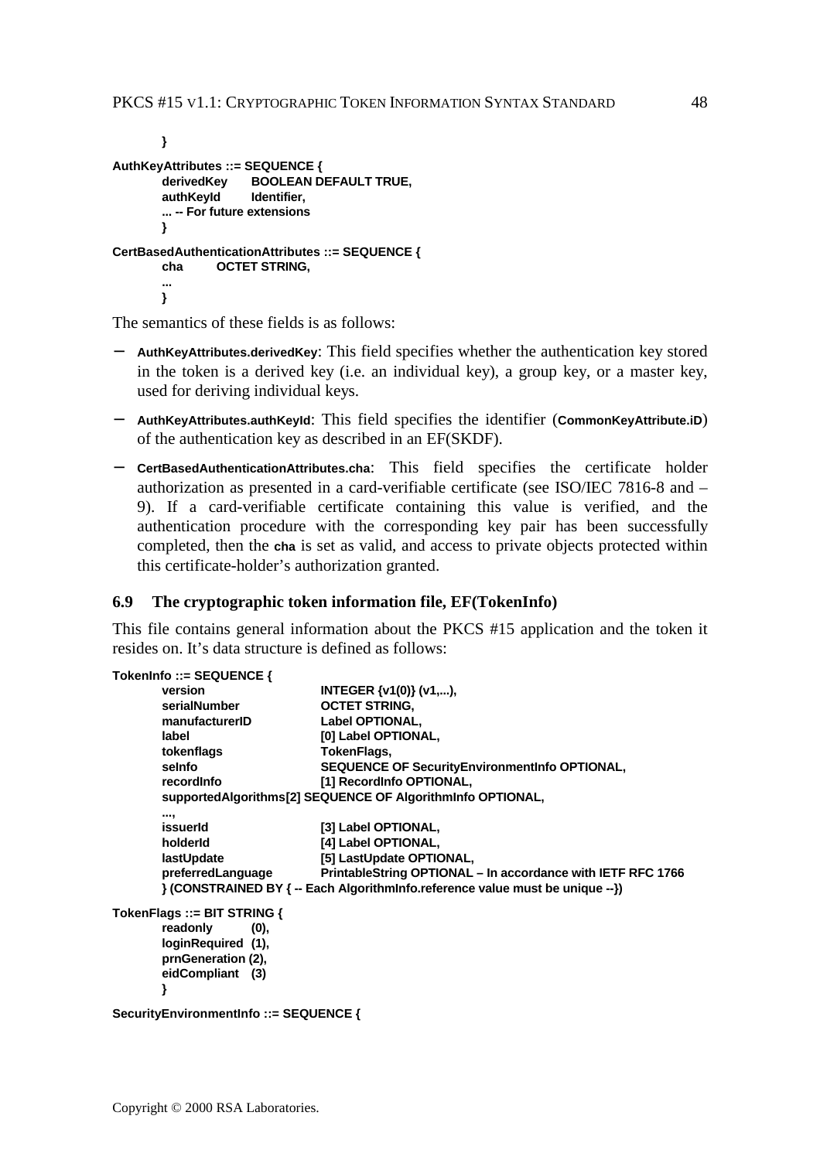```
}
AuthKeyAttributes ::= SEQUENCE {
       derivedKey BOOLEAN DEFAULT TRUE,
       authKeyId Identifier,
       ... -- For future extensions
       }
CertBasedAuthenticationAttributes ::= SEQUENCE {
       cha OCTET STRING,
       ...
       }
```
The semantics of these fields is as follows:

- − **AuthKeyAttributes.derivedKey**: This field specifies whether the authentication key stored in the token is a derived key (i.e. an individual key), a group key, or a master key, used for deriving individual keys.
- − **AuthKeyAttributes.authKeyId**: This field specifies the identifier (**CommonKeyAttribute.iD**) of the authentication key as described in an EF(SKDF).
- − **CertBasedAuthenticationAttributes.cha**: This field specifies the certificate holder authorization as presented in a card-verifiable certificate (see ISO/IEC 7816-8 and – 9). If a card-verifiable certificate containing this value is verified, and the authentication procedure with the corresponding key pair has been successfully completed, then the **cha** is set as valid, and access to private objects protected within this certificate-holder's authorization granted.

#### **6.9 The cryptographic token information file, EF(TokenInfo)**

This file contains general information about the PKCS #15 application and the token it resides on. It's data structure is defined as follows:

| TokenInfo ::= SEQUENCE {    |                        |                                                                               |
|-----------------------------|------------------------|-------------------------------------------------------------------------------|
| version                     | INTEGER {v1(0)} (v1,), |                                                                               |
| serialNumber                | <b>OCTET STRING,</b>   |                                                                               |
| manufacturerID              | Label OPTIONAL,        |                                                                               |
| label                       | [0] Label OPTIONAL,    |                                                                               |
| tokenflags                  | TokenFlags,            |                                                                               |
| selnfo                      |                        | <b>SEQUENCE OF SecurityEnvironmentInfo OPTIONAL,</b>                          |
| recordinfo                  |                        | [1] Recordinfo OPTIONAL,                                                      |
|                             |                        | supportedAlgorithms[2] SEQUENCE OF Algorithminfo OPTIONAL,                    |
| ,                           |                        |                                                                               |
| issuerId                    | [3] Label OPTIONAL,    |                                                                               |
| holderid                    | [4] Label OPTIONAL,    |                                                                               |
| lastUpdate                  |                        | [5] LastUpdate OPTIONAL,                                                      |
| preferredLanguage           |                        | PrintableString OPTIONAL - In accordance with IETF RFC 1766                   |
|                             |                        | {- CONSTRAINED BY { -- Each Algorithmlnfo.reference value must be unique --}) |
| TokenFlags ::= BIT STRING { |                        |                                                                               |
| readonly                    | (0),                   |                                                                               |
| loginRequired (1),          |                        |                                                                               |
| prnGeneration (2),          |                        |                                                                               |
| eidCompliant (3)            |                        |                                                                               |
| }                           |                        |                                                                               |
|                             |                        |                                                                               |

```
SecurityEnvironmentInfo ::= SEQUENCE {
```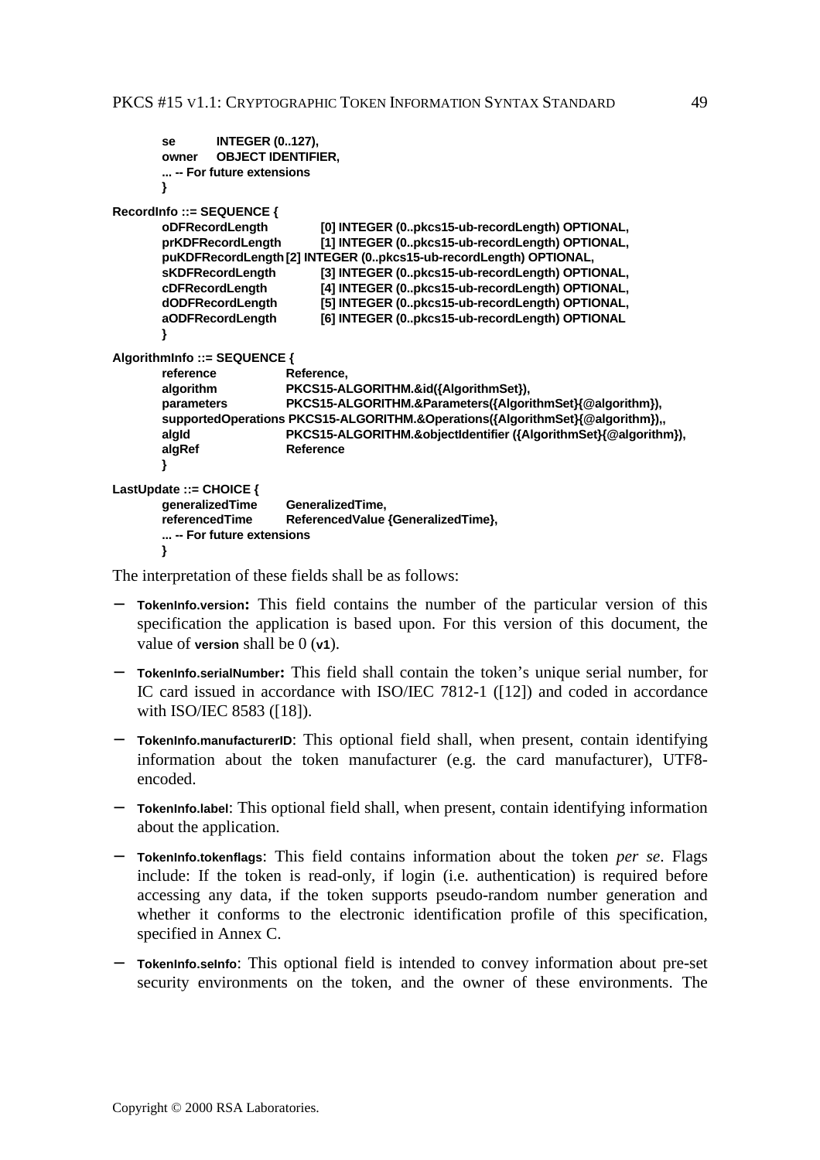```
se INTEGER (0..127),
       owner OBJECT IDENTIFIER,
       ... -- For future extensions
       }
RecordInfo ::= SEQUENCE {
      oDFRecordLength [0] INTEGER (0..pkcs15-ub-recordLength) OPTIONAL,
       prKDFRecordLength [1] INTEGER (0..pkcs15-ub-recordLength) OPTIONAL,
       puKDFRecordLength[2] INTEGER (0..pkcs15-ub-recordLength) OPTIONAL,
       sKDFRecordLength [3] INTEGER (0..pkcs15-ub-recordLength) OPTIONAL,
       cDFRecordLength [4] INTEGER (0..pkcs15-ub-recordLength) OPTIONAL,
       dODFRecordLength [5] INTEGER (0..pkcs15-ub-recordLength) OPTIONAL,
      aODFRecordLength [6] INTEGER (0..pkcs15-ub-recordLength) OPTIONAL
      }
AlgorithmInfo ::= SEQUENCE {
      reference Reference,
      algorithm PKCS15-ALGORITHM.&id({AlgorithmSet}),
       parameters PKCS15-ALGORITHM.&Parameters({AlgorithmSet}{@algorithm}),
       supportedOperations PKCS15-ALGORITHM.&Operations({AlgorithmSet}{@algorithm}),,
       algId PKCS15-ALGORITHM.&objectIdentifier ({AlgorithmSet}{@algorithm}),
       algRef Reference
      }
LastUpdate ::= CHOICE {
      generalizedTime GeneralizedTime,
      referencedTime ReferencedValue {GeneralizedTime},
       ... -- For future extensions
      }
```
The interpretation of these fields shall be as follows:

- **TokenInfo.version:** This field contains the number of the particular version of this specification the application is based upon. For this version of this document, the value of **version** shall be 0 (**v1**).
- − **TokenInfo.serialNumber:** This field shall contain the token's unique serial number, for IC card issued in accordance with ISO/IEC 7812-1 ([12]) and coded in accordance with ISO/IEC 8583 ([18]).
- − **TokenInfo.manufacturerID**: This optional field shall, when present, contain identifying information about the token manufacturer (e.g. the card manufacturer), UTF8 encoded.
- − **TokenInfo.label**: This optional field shall, when present, contain identifying information about the application.
- − **TokenInfo.tokenflags**: This field contains information about the token *per se*. Flags include: If the token is read-only, if login (i.e. authentication) is required before accessing any data, if the token supports pseudo-random number generation and whether it conforms to the electronic identification profile of this specification, specified in Annex C.
- − **TokenInfo.seInfo**: This optional field is intended to convey information about pre-set security environments on the token, and the owner of these environments. The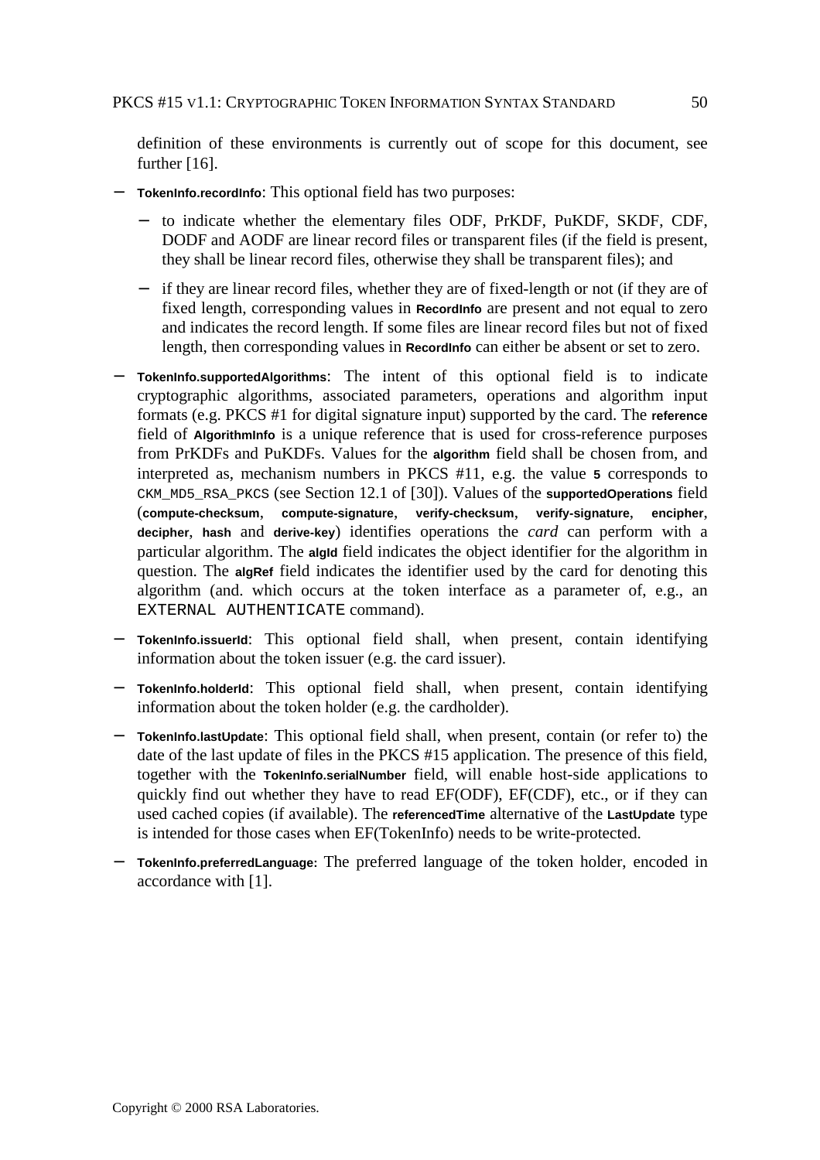definition of these environments is currently out of scope for this document, see further [16].

- − **TokenInfo.recordInfo**: This optional field has two purposes:
	- − to indicate whether the elementary files ODF, PrKDF, PuKDF, SKDF, CDF, DODF and AODF are linear record files or transparent files (if the field is present, they shall be linear record files, otherwise they shall be transparent files); and
	- − if they are linear record files, whether they are of fixed-length or not (if they are of fixed length, corresponding values in **Recordinfo** are present and not equal to zero and indicates the record length. If some files are linear record files but not of fixed length, then corresponding values in **Recordinfo** can either be absent or set to zero.
- − **TokenInfo.supportedAlgorithms**: The intent of this optional field is to indicate cryptographic algorithms, associated parameters, operations and algorithm input formats (e.g. PKCS #1 for digital signature input) supported by the card. The **reference** field of **AlgorithmInfo** is a unique reference that is used for cross-reference purposes from PrKDFs and PuKDFs. Values for the **algorithm** field shall be chosen from, and interpreted as, mechanism numbers in PKCS #11, e.g. the value **5** corresponds to CKM\_MD5\_RSA\_PKCS (see Section 12.1 of [30]). Values of the **supportedOperations** field (**compute-checksum**, **compute-signature**, **verify-checksum**, **verify-signature**, **encipher**, **decipher**, **hash** and **derive-key**) identifies operations the *card* can perform with a particular algorithm. The **algid** field indicates the object identifier for the algorithm in question. The **algRef** field indicates the identifier used by the card for denoting this algorithm (and. which occurs at the token interface as a parameter of, e.g., an EXTERNAL AUTHENTICATE command).
- − **TokenInfo.issuerId**: This optional field shall, when present, contain identifying information about the token issuer (e.g. the card issuer).
- − **TokenInfo.holderId**: This optional field shall, when present, contain identifying information about the token holder (e.g. the cardholder).
- − **TokenInfo.lastUpdate**: This optional field shall, when present, contain (or refer to) the date of the last update of files in the PKCS #15 application. The presence of this field, together with the **TokenInfo.serialNumber** field, will enable host-side applications to quickly find out whether they have to read EF(ODF), EF(CDF), etc., or if they can used cached copies (if available). The **referencedTime** alternative of the **LastUpdate** type is intended for those cases when EF(TokenInfo) needs to be write-protected.
- − **TokenInfo.preferredLanguage:** The preferred language of the token holder, encoded in accordance with [1].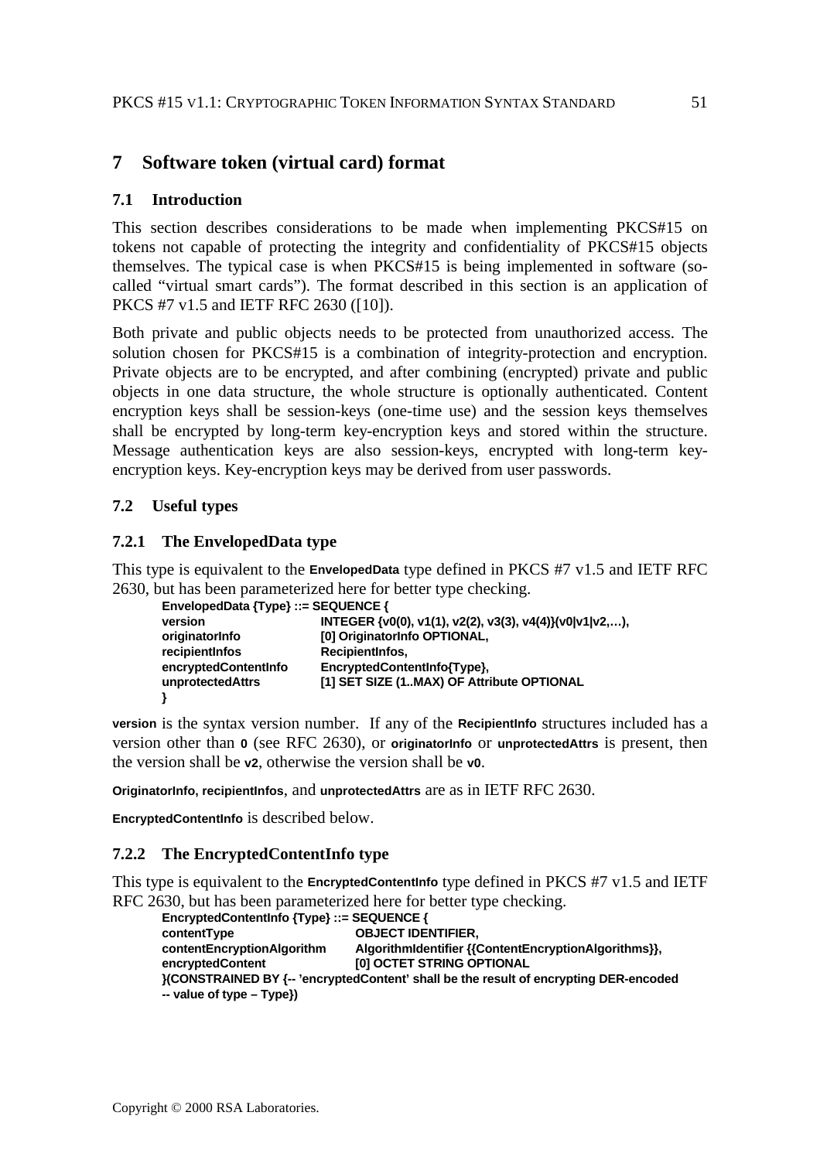# **7 Software token (virtual card) format**

### **7.1 Introduction**

This section describes considerations to be made when implementing PKCS#15 on tokens not capable of protecting the integrity and confidentiality of PKCS#15 objects themselves. The typical case is when PKCS#15 is being implemented in software (socalled "virtual smart cards"). The format described in this section is an application of PKCS #7 v1.5 and IETF RFC 2630 ([10]).

Both private and public objects needs to be protected from unauthorized access. The solution chosen for PKCS#15 is a combination of integrity-protection and encryption. Private objects are to be encrypted, and after combining (encrypted) private and public objects in one data structure, the whole structure is optionally authenticated. Content encryption keys shall be session-keys (one-time use) and the session keys themselves shall be encrypted by long-term key-encryption keys and stored within the structure. Message authentication keys are also session-keys, encrypted with long-term keyencryption keys. Key-encryption keys may be derived from user passwords.

## **7.2 Useful types**

#### **7.2.1 The EnvelopedData type**

This type is equivalent to the **EnvelopedData** type defined in PKCS #7 v1.5 and IETF RFC 2630, but has been parameterized here for better type checking.

| EnvelopedData {Type} ::= SEQUENCE { |                                                         |
|-------------------------------------|---------------------------------------------------------|
| version                             | INTEGER {v0(0), v1(1), v2(2), v3(3), v4(4)}(v0 v1 v2,), |
| originatorInfo                      | [0] OriginatorInfo OPTIONAL,                            |
| recipient Infos                     | RecipientInfos,                                         |
| encryptedContentInfo                | EncryptedContentInfo{Type},                             |
| unprotectedAttrs                    | [1] SET SIZE (1MAX) OF Attribute OPTIONAL               |
|                                     |                                                         |

**version** is the syntax version number. If any of the **RecipientInfo** structures included has a version other than **0** (see RFC 2630), or **originatorInfo** or **unprotectedAttrs** is present, then the version shall be **v2**, otherwise the version shall be **v0**.

**OriginatorInfo, recipientInfos**, and **unprotectedAttrs** are as in IETF RFC 2630.

**EncryptedContentInfo** is described below.

## **7.2.2 The EncryptedContentInfo type**

This type is equivalent to the **EncryptedContentinfo** type defined in PKCS #7 v1.5 and IETF RFC 2630, but has been parameterized here for better type checking.

```
EncryptedContentInfo {Type} ::= SEQUENCE {
contentType OBJECT IDENTIFIER,
contentEncryptionAlgorithm AlgorithmIdentifier {{ContentEncryptionAlgorithms}},
encryptedContent [0] OCTET STRING OPTIONAL
}(CONSTRAINED BY {-- 'encryptedContent' shall be the result of encrypting DER-encoded
-- value of type – Type})
```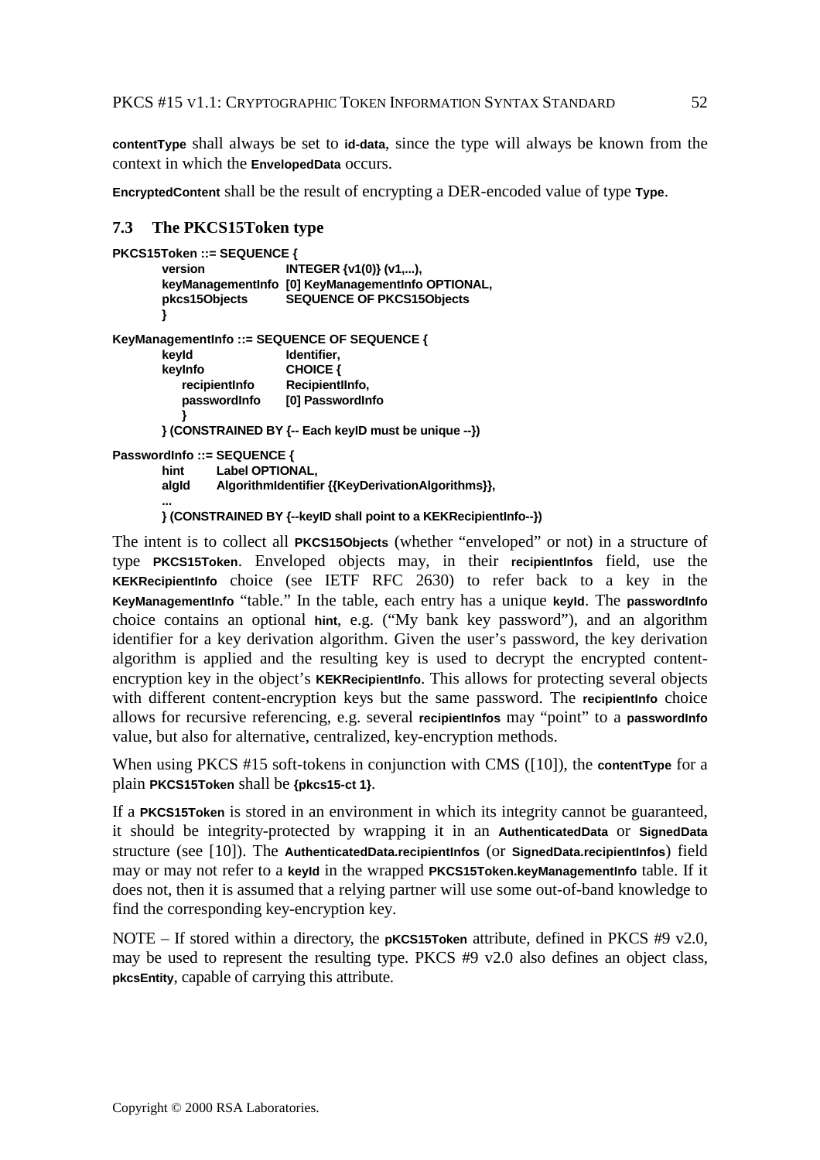**contentType** shall always be set to **id-data**, since the type will always be known from the context in which the **EnvelopedData** occurs.

**EncryptedContent** shall be the result of encrypting a DER-encoded value of type **Type**.

## **7.3 The PKCS15Token type**

```
PKCS15Token ::= SEQUENCE {
       version INTEGER {v1(0)} (v1,...),
       keyManagementInfo [0] KeyManagementInfo OPTIONAL,
       pkcs15Objects SEQUENCE OF PKCS15Objects
       }
KeyManagementInfo ::= SEQUENCE OF SEQUENCE {
       keyId Identifier,
       keyInfo CHOICE {
         recipientInfo RecipientIInfo,
         passwordInfo [0] PasswordInfo
          }
      } (CONSTRAINED BY {-- Each keyID must be unique --})
PasswordInfo ::= SEQUENCE {
      hint Label OPTIONAL,
       algId AlgorithmIdentifier {{KeyDerivationAlgorithms}},
       ...
```
**} (CONSTRAINED BY {--keyID shall point to a KEKRecipientInfo--})**

The intent is to collect all **PKCS15Objects** (whether "enveloped" or not) in a structure of type **PKCS15Token**. Enveloped objects may, in their **recipientInfos** field, use the **KEKRecipientInfo** choice (see IETF RFC 2630) to refer back to a key in the **KeyManagementInfo** "table." In the table, each entry has a unique **keyId**. The **passwordInfo** choice contains an optional **hint**, e.g. ("My bank key password"), and an algorithm identifier for a key derivation algorithm. Given the user's password, the key derivation algorithm is applied and the resulting key is used to decrypt the encrypted contentencryption key in the object's **KEKRecipientinfo**. This allows for protecting several objects with different content-encryption keys but the same password. The **recipient info** choice allows for recursive referencing, e.g. several **recipientInfos** may "point" to a **passwordInfo** value, but also for alternative, centralized, key-encryption methods.

When using PKCS #15 soft-tokens in conjunction with CMS ([10]), the **contentType** for a plain **PKCS15Token** shall be **{pkcs15-ct 1}**.

If a **PKCS15Token** is stored in an environment in which its integrity cannot be guaranteed, it should be integrity-protected by wrapping it in an **AuthenticatedData** or **SignedData** structure (see [10]). The **AuthenticatedData.recipientInfos** (or **SignedData.recipientInfos**) field may or may not refer to a **keyId** in the wrapped **PKCS15Token.keyManagementInfo** table. If it does not, then it is assumed that a relying partner will use some out-of-band knowledge to find the corresponding key-encryption key.

NOTE – If stored within a directory, the **pKCS15Token** attribute, defined in PKCS #9 v2.0, may be used to represent the resulting type. PKCS  $#9$  v2.0 also defines an object class, **pkcsEntity**, capable of carrying this attribute.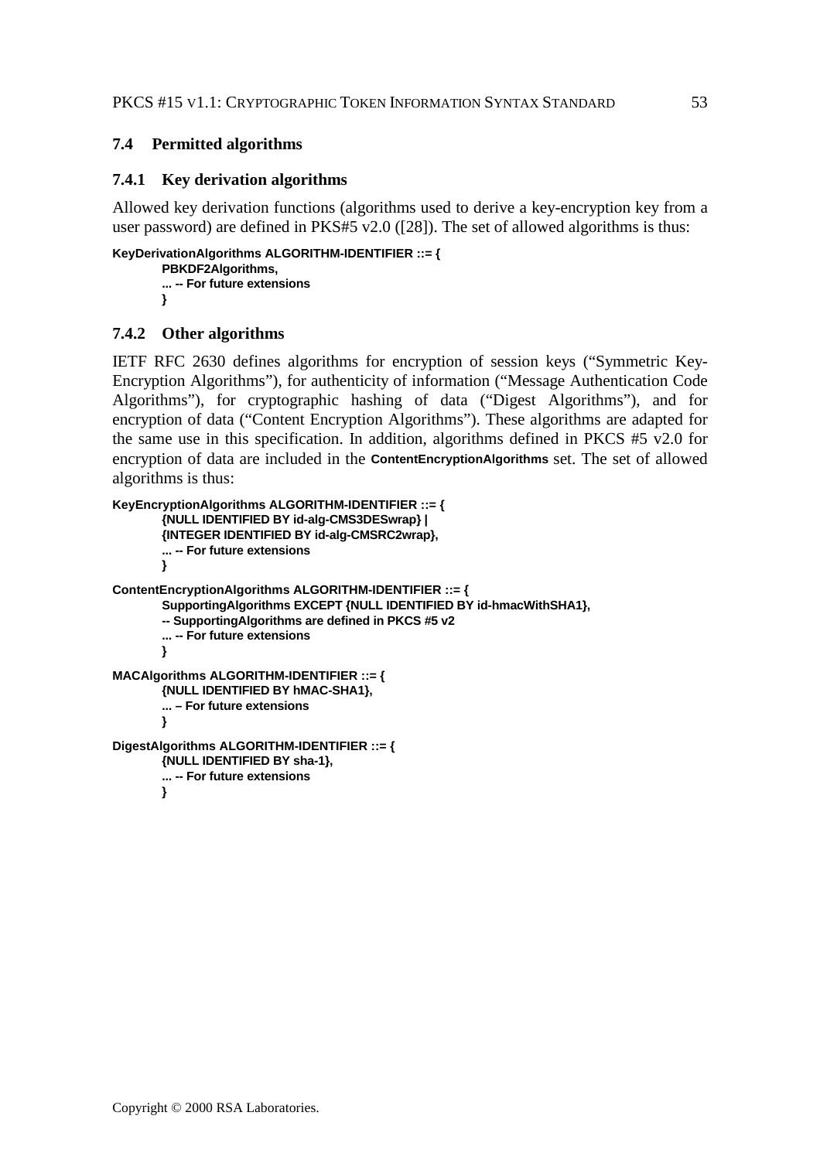## **7.4 Permitted algorithms**

#### **7.4.1 Key derivation algorithms**

Allowed key derivation functions (algorithms used to derive a key-encryption key from a user password) are defined in PKS#5 v2.0 ([28]). The set of allowed algorithms is thus:

```
KeyDerivationAlgorithms ALGORITHM-IDENTIFIER ::= {
```

```
PBKDF2Algorithms,
... -- For future extensions
}
```
### **7.4.2 Other algorithms**

IETF RFC 2630 defines algorithms for encryption of session keys ("Symmetric Key-Encryption Algorithms"), for authenticity of information ("Message Authentication Code Algorithms"), for cryptographic hashing of data ("Digest Algorithms"), and for encryption of data ("Content Encryption Algorithms"). These algorithms are adapted for the same use in this specification. In addition, algorithms defined in PKCS #5 v2.0 for encryption of data are included in the **ContentEncryptionAlgorithms** set. The set of allowed algorithms is thus:

```
KeyEncryptionAlgorithms ALGORITHM-IDENTIFIER ::= {
       {NULL IDENTIFIED BY id-alg-CMS3DESwrap} |
       {INTEGER IDENTIFIED BY id-alg-CMSRC2wrap},
       ... -- For future extensions
       }
ContentEncryptionAlgorithms ALGORITHM-IDENTIFIER ::= {
       SupportingAlgorithms EXCEPT {NULL IDENTIFIED BY id-hmacWithSHA1},
       -- SupportingAlgorithms are defined in PKCS #5 v2
       ... -- For future extensions
       }
MACAlgorithms ALGORITHM-IDENTIFIER ::= {
       {NULL IDENTIFIED BY hMAC-SHA1},
       ... – For future extensions
       }
DigestAlgorithms ALGORITHM-IDENTIFIER ::= {
       {NULL IDENTIFIED BY sha-1},
       ... -- For future extensions
       }
```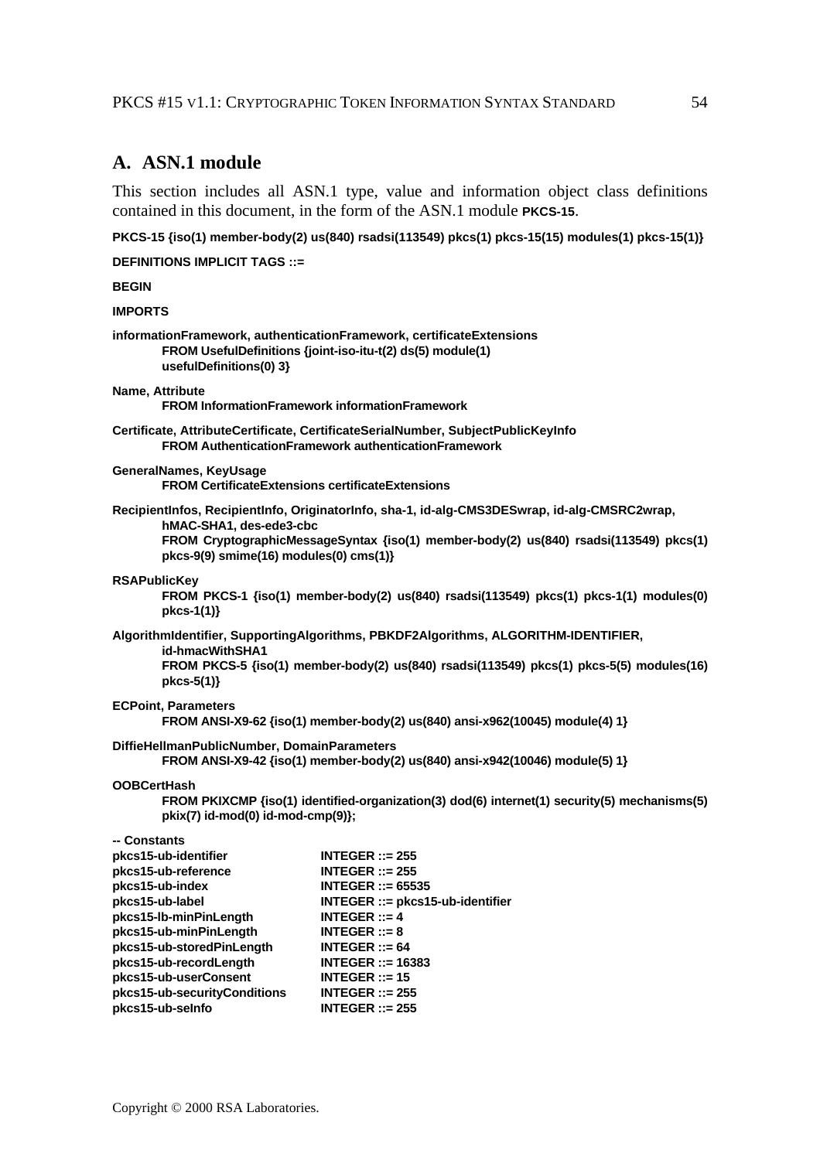## **A. ASN.1 module**

This section includes all ASN.1 type, value and information object class definitions contained in this document, in the form of the ASN.1 module **PKCS-15**.

**PKCS-15 {iso(1) member-body(2) us(840) rsadsi(113549) pkcs(1) pkcs-15(15) modules(1) pkcs-15(1)}**

**DEFINITIONS IMPLICIT TAGS ::=**

**BEGIN**

#### **IMPORTS**

**informationFramework, authenticationFramework, certificateExtensions FROM UsefulDefinitions {joint-iso-itu-t(2) ds(5) module(1) usefulDefinitions(0) 3}**

#### **Name, Attribute**

**FROM InformationFramework informationFramework**

**Certificate, AttributeCertificate, CertificateSerialNumber, SubjectPublicKeyInfo FROM AuthenticationFramework authenticationFramework**

#### **GeneralNames, KeyUsage**

**FROM CertificateExtensions certificateExtensions**

**RecipientInfos, RecipientInfo, OriginatorInfo, sha-1, id-alg-CMS3DESwrap, id-alg-CMSRC2wrap, hMAC-SHA1, des-ede3-cbc**

**FROM CryptographicMessageSyntax {iso(1) member-body(2) us(840) rsadsi(113549) pkcs(1) pkcs-9(9) smime(16) modules(0) cms(1)}**

#### **RSAPublicKey**

**FROM PKCS-1 {iso(1) member-body(2) us(840) rsadsi(113549) pkcs(1) pkcs-1(1) modules(0) pkcs-1(1)}**

#### **AlgorithmIdentifier, SupportingAlgorithms, PBKDF2Algorithms, ALGORITHM-IDENTIFIER, id-hmacWithSHA1**

**FROM PKCS-5 {iso(1) member-body(2) us(840) rsadsi(113549) pkcs(1) pkcs-5(5) modules(16) pkcs-5(1)}**

#### **ECPoint, Parameters**

**FROM ANSI-X9-62 {iso(1) member-body(2) us(840) ansi-x962(10045) module(4) 1}**

#### **DiffieHellmanPublicNumber, DomainParameters**

**FROM ANSI-X9-42 {iso(1) member-body(2) us(840) ansi-x942(10046) module(5) 1}**

#### **OOBCertHash**

**FROM PKIXCMP {iso(1) identified-organization(3) dod(6) internet(1) security(5) mechanisms(5) pkix(7) id-mod(0) id-mod-cmp(9)};**

**-- Constants**

| pkcs15-ub-identifier         | INTEGER $::= 255$                |
|------------------------------|----------------------------------|
| pkcs15-ub-reference          | $INTEGR ::= 255$                 |
| pkcs15-ub-index              | INTEGER ::= $65535$              |
| pkcs15-ub-label              | INTEGER ::= pkcs15-ub-identifier |
| pkcs15-lb-minPinLength       | INTEGER $::= 4$                  |
| pkcs15-ub-minPinLength       | $INTER ::= 8$                    |
| pkcs15-ub-storedPinLength    | INTEGER ::= $64$                 |
| pkcs15-ub-recordLength       | INTEGER ::= $16383$              |
| pkcs15-ub-userConsent        | $INTEGR ::= 15$                  |
| pkcs15-ub-securityConditions | INTEGER $::= 255$                |
| pkcs15-ub-selnfo             | INTEGER $::= 255$                |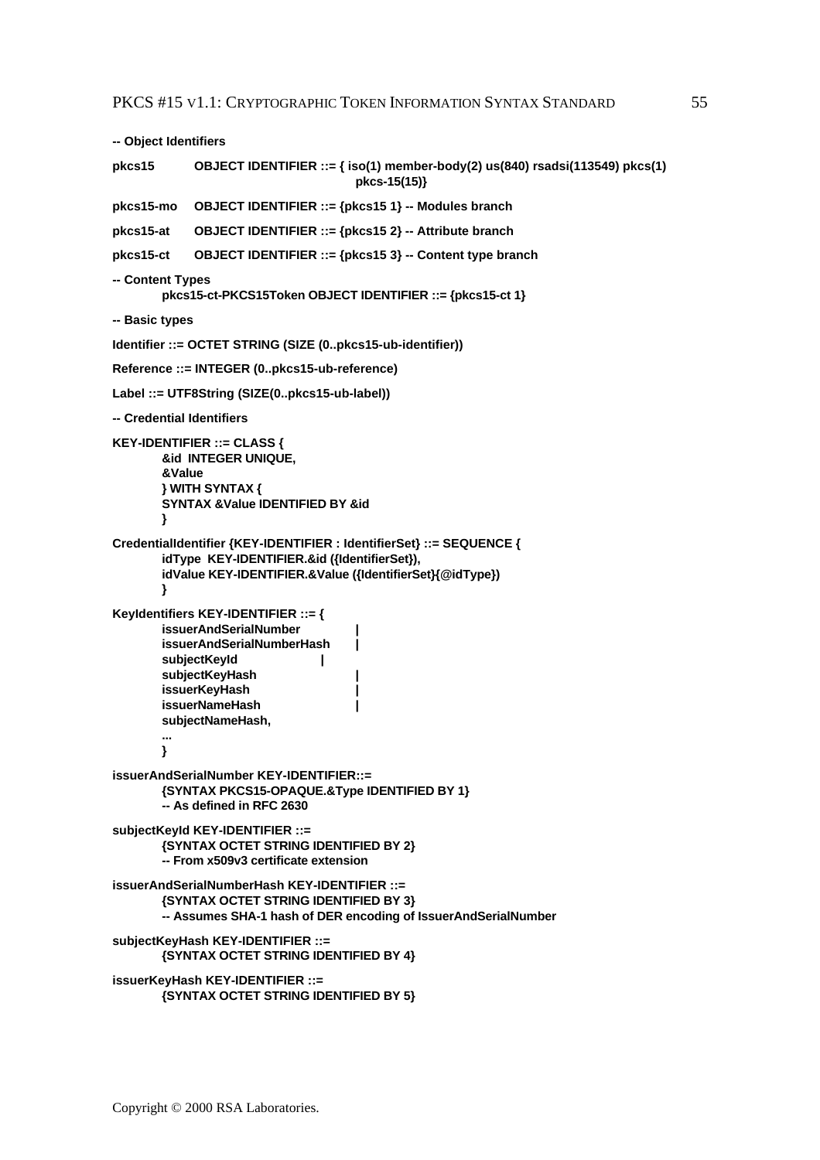```
-- Object Identifiers
pkcs15 OBJECT IDENTIFIER ::= { iso(1) member-body(2) us(840) rsadsi(113549) pkcs(1)
                                    pkcs-15(15)}
pkcs15-mo OBJECT IDENTIFIER ::= {pkcs15 1} -- Modules branch
pkcs15-at OBJECT IDENTIFIER ::= {pkcs15 2} -- Attribute branch
pkcs15-ct OBJECT IDENTIFIER ::= {pkcs15 3} -- Content type branch
-- Content Types
       pkcs15-ct-PKCS15Token OBJECT IDENTIFIER ::= {pkcs15-ct 1}
-- Basic types
Identifier ::= OCTET STRING (SIZE (0..pkcs15-ub-identifier))
Reference ::= INTEGER (0..pkcs15-ub-reference)
Label ::= UTF8String (SIZE(0..pkcs15-ub-label))
-- Credential Identifiers
KEY-IDENTIFIER ::= CLASS {
       &id INTEGER UNIQUE,
       &Value
       } WITH SYNTAX {
       SYNTAX &Value IDENTIFIED BY &id
       }
CredentialIdentifier {KEY-IDENTIFIER : IdentifierSet} ::= SEQUENCE {
       idType KEY-IDENTIFIER.&id ({IdentifierSet}),
       idValue KEY-IDENTIFIER.&Value ({IdentifierSet}{@idType})
       }
KeyIdentifiers KEY-IDENTIFIER ::= {
       issuerAndSerialNumber |
       issuerAndSerialNumberHash |
       subjectKeyId |
       subjectKeyHash |
       issuerKeyHash |
       issuerNameHash |
       subjectNameHash,
       ...
       }
issuerAndSerialNumber KEY-IDENTIFIER::=
       {SYNTAX PKCS15-OPAQUE.&Type IDENTIFIED BY 1}
       -- As defined in RFC 2630
subjectKeyId KEY-IDENTIFIER ::=
       {SYNTAX OCTET STRING IDENTIFIED BY 2}
       -- From x509v3 certificate extension
issuerAndSerialNumberHash KEY-IDENTIFIER ::=
       {SYNTAX OCTET STRING IDENTIFIED BY 3}
       -- Assumes SHA-1 hash of DER encoding of IssuerAndSerialNumber
subjectKeyHash KEY-IDENTIFIER ::=
       {SYNTAX OCTET STRING IDENTIFIED BY 4}
issuerKeyHash KEY-IDENTIFIER ::=
       {SYNTAX OCTET STRING IDENTIFIED BY 5}
```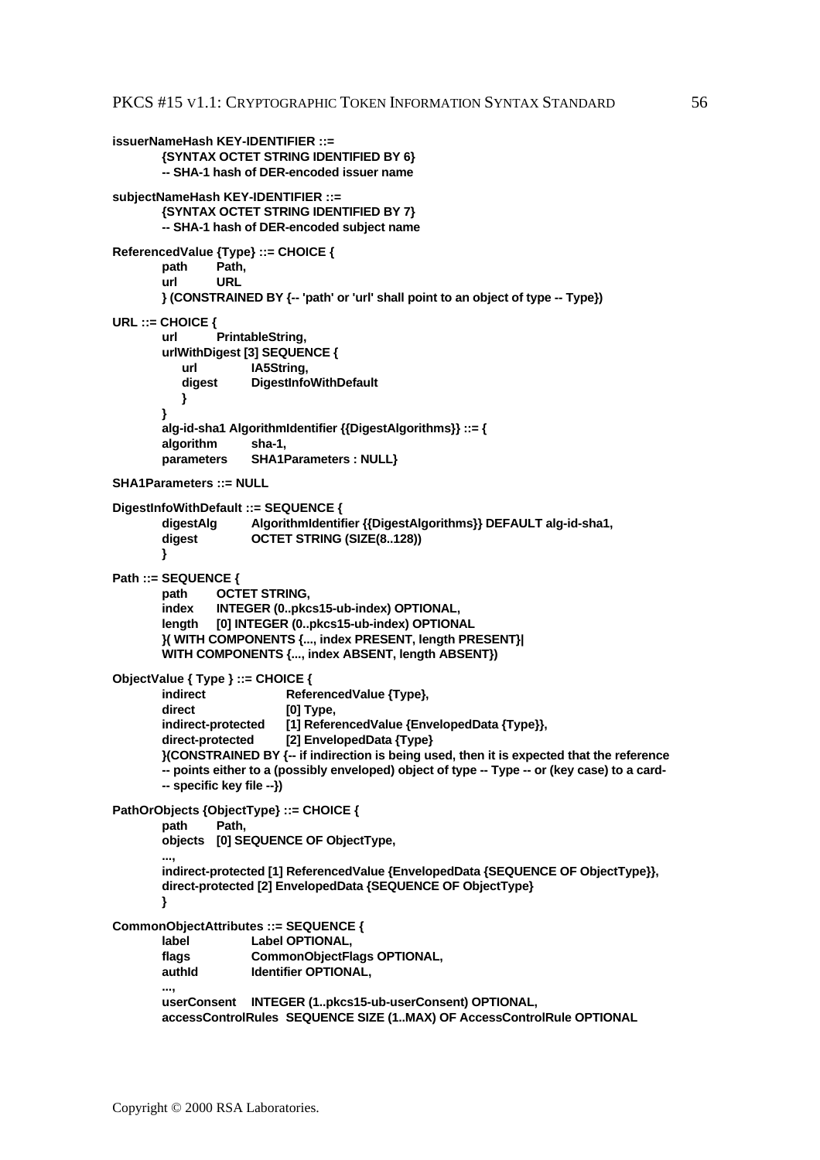```
issuerNameHash KEY-IDENTIFIER ::=
       {SYNTAX OCTET STRING IDENTIFIED BY 6}
       -- SHA-1 hash of DER-encoded issuer name
subjectNameHash KEY-IDENTIFIER ::=
       {SYNTAX OCTET STRING IDENTIFIED BY 7}
       -- SHA-1 hash of DER-encoded subject name
ReferencedValue {Type} ::= CHOICE {
       path Path,
       url URL
       } (CONSTRAINED BY {-- 'path' or 'url' shall point to an object of type -- Type})
URL ::= CHOICE {
       url PrintableString,
       urlWithDigest [3] SEQUENCE {
          url IA5String,
          digest DigestInfoWithDefault
          }
       }
       alg-id-sha1 AlgorithmIdentifier {{DigestAlgorithms}} ::= {
       algorithm sha-1,
       parameters SHA1Parameters : NULL}
SHA1Parameters ::= NULL
DigestInfoWithDefault ::= SEQUENCE {
       digestAlg AlgorithmIdentifier {{DigestAlgorithms}} DEFAULT alg-id-sha1,
       digest OCTET STRING (SIZE(8..128))
       }
Path ::= SEQUENCE {
       path OCTET STRING,
       index INTEGER (0..pkcs15-ub-index) OPTIONAL,
       length [0] INTEGER (0..pkcs15-ub-index) OPTIONAL
       }( WITH COMPONENTS {..., index PRESENT, length PRESENT}|
       WITH COMPONENTS {..., index ABSENT, length ABSENT})
ObjectValue { Type } ::= CHOICE {
       indirect ReferencedValue {Type},
       direct [0] Type,
       indirect-protected [1] ReferencedValue {EnvelopedData {Type}},
       direct-protected [2] EnvelopedData {Type}
       }(CONSTRAINED BY {-- if indirection is being used, then it is expected that the reference
       -- points either to a (possibly enveloped) object of type -- Type -- or (key case) to a card-
       -- specific key file --})
PathOrObjects {ObjectType} ::= CHOICE {
       path Path,
       objects [0] SEQUENCE OF ObjectType,
       ...,
       indirect-protected [1] ReferencedValue {EnvelopedData {SEQUENCE OF ObjectType}},
       direct-protected [2] EnvelopedData {SEQUENCE OF ObjectType}
       }
CommonObjectAttributes ::= SEQUENCE {
       label Label OPTIONAL,
       flags CommonObjectFlags OPTIONAL,
                     Identifier OPTIONAL,
       ...,
       userConsent INTEGER (1..pkcs15-ub-userConsent) OPTIONAL,
       accessControlRules SEQUENCE SIZE (1..MAX) OF AccessControlRule OPTIONAL
```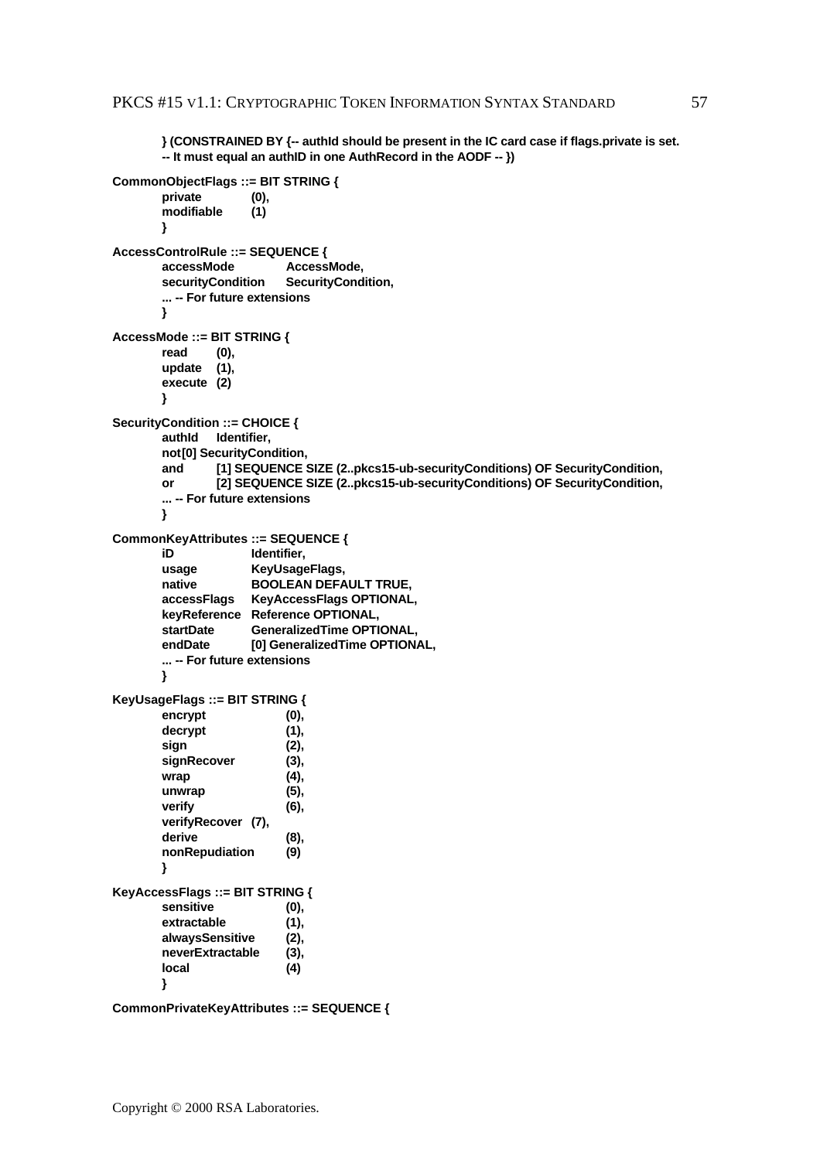```
} (CONSTRAINED BY {-- authId should be present in the IC card case if flags.private is set.
-- It must equal an authID in one AuthRecord in the AODF -- })
```

```
CommonObjectFlags ::= BIT STRING {
      private (0),
      modifiable (1)
      }
AccessControlRule ::= SEQUENCE {
      accessMode AccessMode,
      securityCondition SecurityCondition,
      ... -- For future extensions
      }
AccessMode ::= BIT STRING {
      read (0),
      update (1),
      execute (2)
      }
SecurityCondition ::= CHOICE {
      authId Identifier,
      not[0] SecurityCondition,
      and [1] SEQUENCE SIZE (2..pkcs15-ub-securityConditions) OF SecurityCondition,
      or [2] SEQUENCE SIZE (2..pkcs15-ub-securityConditions) OF SecurityCondition,
      ... -- For future extensions
      }
CommonKeyAttributes ::= SEQUENCE {
      iD Identifier,
      usage KeyUsageFlags,
      native BOOLEAN DEFAULT TRUE,
      accessFlags KeyAccessFlags OPTIONAL,
      keyReference Reference OPTIONAL,
      startDate GeneralizedTime OPTIONAL,
      endDate [0] GeneralizedTime OPTIONAL,
      ... -- For future extensions
      }
KeyUsageFlags ::= BIT STRING {
      encrypt (0),
      decrypt (1),
      sign (2),
      signRecover (3),
      wrap (4),
      unwrap (5),
      verify (6),
      verifyRecover (7),
      derive (8),
      nonRepudiation (9)
      }
KeyAccessFlags ::= BIT STRING {
      sensitive (0),
      extractable (1),
      alwaysSensitive (2),
      neverExtractable (3),
      local (4)
      }
```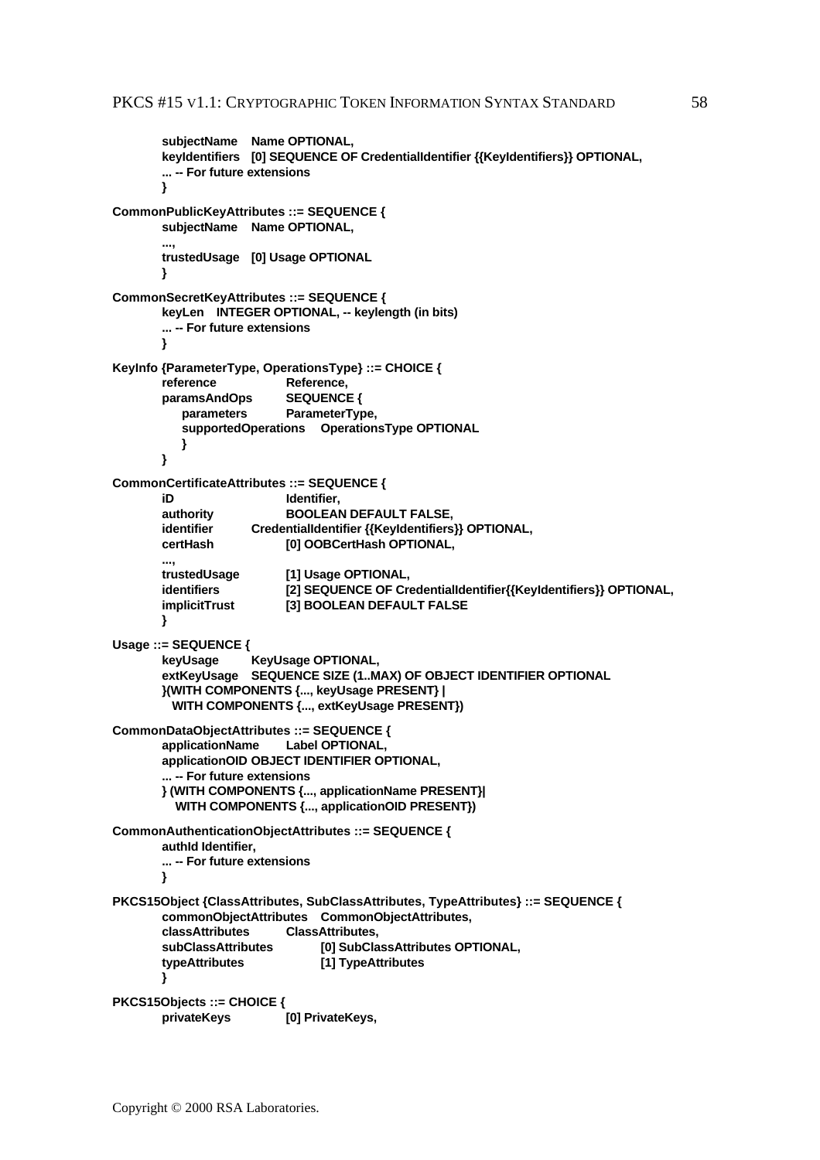```
subjectName Name OPTIONAL,
       keyIdentifiers [0] SEQUENCE OF CredentialIdentifier {{KeyIdentifiers}} OPTIONAL,
       ... -- For future extensions
       }
CommonPublicKeyAttributes ::= SEQUENCE {
       subjectName Name OPTIONAL,
       ...,
       trustedUsage [0] Usage OPTIONAL
       }
CommonSecretKeyAttributes ::= SEQUENCE {
       keyLen INTEGER OPTIONAL, -- keylength (in bits)
       ... -- For future extensions
       }
KeyInfo {ParameterType, OperationsType} ::= CHOICE {
       reference Reference,
       paramsAndOps SEQUENCE {
          parameters ParameterType,
          supportedOperations OperationsType OPTIONAL
          }
       }
CommonCertificateAttributes ::= SEQUENCE {
       iD Identifier.
       authority BOOLEAN DEFAULT FALSE,
       identifier CredentialIdentifier {{KeyIdentifiers}} OPTIONAL,
       certHash [0] OOBCertHash OPTIONAL,
       ...,
       trustedUsage [1] Usage OPTIONAL,
                         [2] SEQUENCE OF CredentialIdentifier{{KeyIdentifiers}} OPTIONAL,
       implicitTrust [3] BOOLEAN DEFAULT FALSE
       }
Usage ::= SEQUENCE {
       keyUsage KeyUsage OPTIONAL,
       extKeyUsage SEQUENCE SIZE (1..MAX) OF OBJECT IDENTIFIER OPTIONAL
       }(WITH COMPONENTS {..., keyUsage PRESENT} |
         WITH COMPONENTS {..., extKeyUsage PRESENT})
CommonDataObjectAttributes ::= SEQUENCE {
       applicationName Label OPTIONAL,
       applicationOID OBJECT IDENTIFIER OPTIONAL,
       ... -- For future extensions
       } (WITH COMPONENTS {..., applicationName PRESENT}|
          WITH COMPONENTS {..., applicationOID PRESENT})
CommonAuthenticationObjectAttributes ::= SEQUENCE {
       authId Identifier,
       ... -- For future extensions
       }
PKCS15Object {ClassAttributes, SubClassAttributes, TypeAttributes} ::= SEQUENCE {
       commonObjectAttributes CommonObjectAttributes,
       classAttributes ClassAttributes,
       subClassAttributes [0] SubClassAttributes OPTIONAL,
       typeAttributes [1] TypeAttributes
       }
PKCS15Objects ::= CHOICE {
       privateKeys [0] PrivateKeys,
```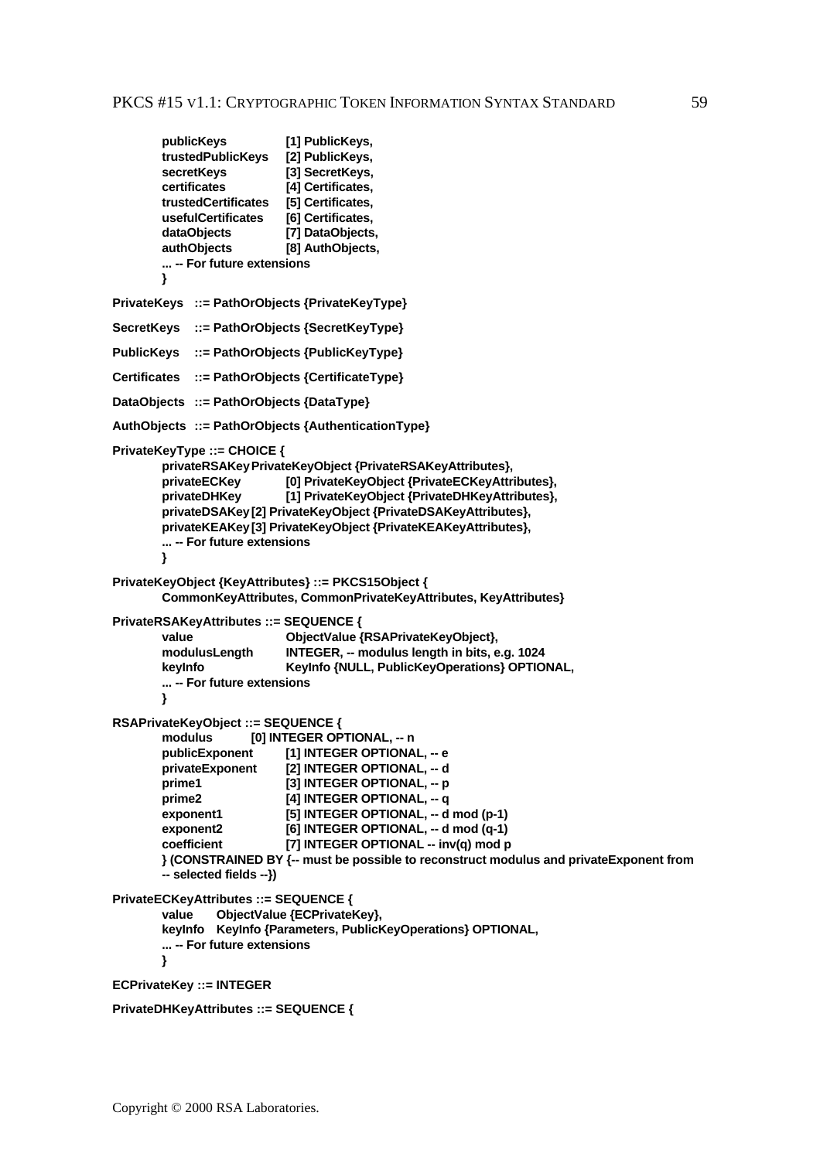```
publicKeys [1] PublicKeys,
       trustedPublicKeys [2] PublicKeys,
       secretKeys [3] SecretKeys,
       certificates [4] Certificates,
       trustedCertificates [5] Certificates,
       usefulCertificates [6] Certificates,
       dataObjects [7] DataObjects,
       authObjects [8] AuthObjects,
       ... -- For future extensions
       }
PrivateKeys ::= PathOrObjects {PrivateKeyType}
SecretKeys ::= PathOrObjects {SecretKeyType}
PublicKeys ::= PathOrObjects {PublicKeyType}
Certificates ::= PathOrObjects {CertificateType}
DataObjects ::= PathOrObjects {DataType}
AuthObjects ::= PathOrObjects {AuthenticationType}
PrivateKeyType ::= CHOICE {
       privateRSAKeyPrivateKeyObject {PrivateRSAKeyAttributes},
       privateECKey [0] PrivateKeyObject {PrivateECKeyAttributes},
       privateDHKey [1] PrivateKeyObject {PrivateDHKeyAttributes},
       privateDSAKey[2] PrivateKeyObject {PrivateDSAKeyAttributes},
       privateKEAKey[3] PrivateKeyObject {PrivateKEAKeyAttributes},
       ... -- For future extensions
       }
PrivateKeyObject {KeyAttributes} ::= PKCS15Object {
       CommonKeyAttributes, CommonPrivateKeyAttributes, KeyAttributes}
PrivateRSAKeyAttributes ::= SEQUENCE {
       value ObjectValue {RSAPrivateKeyObject},
       modulusLength INTEGER, -- modulus length in bits, e.g. 1024<br>Keylnfo INULL, PublicKeyOperations} OPTIO
                          keyInfo KeyInfo {NULL, PublicKeyOperations} OPTIONAL,
       ... -- For future extensions
       }
RSAPrivateKeyObject ::= SEQUENCE {
       modulus [0] INTEGER OPTIONAL, -- n
       publicExponent [1] INTEGER OPTIONAL, -- e
       privateExponent [2] INTEGER OPTIONAL, -- d
       prime1 [3] INTEGER OPTIONAL, -- p
       prime2 [4] INTEGER OPTIONAL, -- q
       exponent1 [5] INTEGER OPTIONAL, -- d mod (p-1)
       exponent2 [6] INTEGER OPTIONAL, -- d mod (q-1)
       coefficient [7] INTEGER OPTIONAL -- inv(q) mod p
       } (CONSTRAINED BY {-- must be possible to reconstruct modulus and privateExponent from
       -- selected fields --})
PrivateECKeyAttributes ::= SEQUENCE {
       value ObjectValue {ECPrivateKey},
       keyInfo KeyInfo {Parameters, PublicKeyOperations} OPTIONAL,
       ... -- For future extensions
       }
ECPrivateKey ::= INTEGER
PrivateDHKeyAttributes ::= SEQUENCE {
```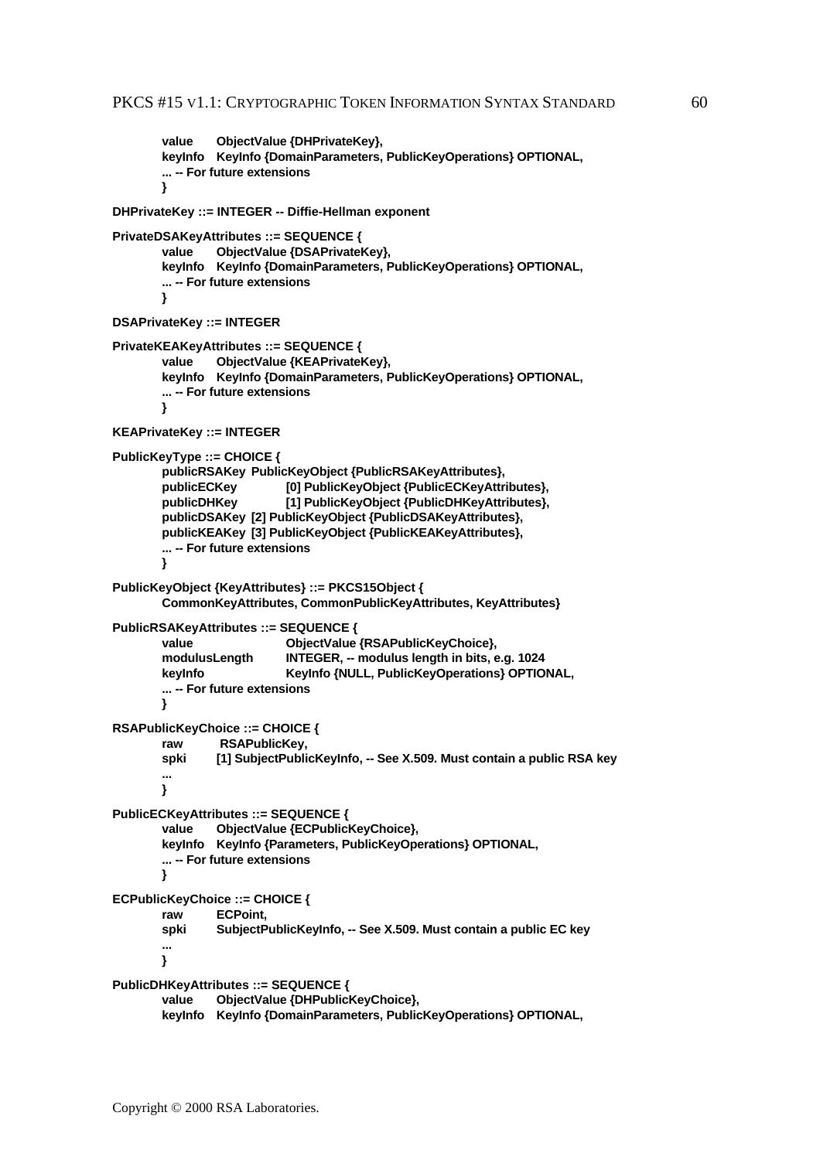```
value ObjectValue {DHPrivateKey},
       keyInfo KeyInfo {DomainParameters, PublicKeyOperations} OPTIONAL,
       ... -- For future extensions
       }
DHPrivateKey ::= INTEGER -- Diffie-Hellman exponent
PrivateDSAKeyAttributes ::= SEQUENCE {
       value ObjectValue {DSAPrivateKey},
       keyInfo KeyInfo {DomainParameters, PublicKeyOperations} OPTIONAL,
       ... -- For future extensions
       }
DSAPrivateKey ::= INTEGER
PrivateKEAKeyAttributes ::= SEQUENCE {
       value ObjectValue {KEAPrivateKey},
       keyInfo KeyInfo {DomainParameters, PublicKeyOperations} OPTIONAL,
       ... -- For future extensions
       }
KEAPrivateKey ::= INTEGER
PublicKeyType ::= CHOICE {
       publicRSAKey PublicKeyObject {PublicRSAKeyAttributes},
       publicECKey [0] PublicKeyObject {PublicECKeyAttributes},
       publicDHKey [1] PublicKeyObject {PublicDHKeyAttributes},
       publicDSAKey [2] PublicKeyObject {PublicDSAKeyAttributes},
       publicKEAKey [3] PublicKeyObject {PublicKEAKeyAttributes},
       ... -- For future extensions
       }
PublicKeyObject {KeyAttributes} ::= PKCS15Object {
       CommonKeyAttributes, CommonPublicKeyAttributes, KeyAttributes}
PublicRSAKeyAttributes ::= SEQUENCE {
       value ObjectValue {RSAPublicKeyChoice},
       modulusLength INTEGER, -- modulus length in bits, e.g. 1024
       keyInfo KeyInfo {NULL, PublicKeyOperations} OPTIONAL,
       ... -- For future extensions
       }
RSAPublicKeyChoice ::= CHOICE {
       raw RSAPublicKey,
       spki [1] SubjectPublicKeyInfo, -- See X.509. Must contain a public RSA key
       ...
       }
PublicECKeyAttributes ::= SEQUENCE {
       value ObjectValue {ECPublicKeyChoice},
       keyInfo KeyInfo {Parameters, PublicKeyOperations} OPTIONAL,
       ... -- For future extensions
       }
ECPublicKeyChoice ::= CHOICE {
       raw ECPoint,
       spki SubjectPublicKeyInfo, -- See X.509. Must contain a public EC key
       ...
       }
PublicDHKeyAttributes ::= SEQUENCE {
       value ObjectValue {DHPublicKeyChoice},
       keyInfo KeyInfo {DomainParameters, PublicKeyOperations} OPTIONAL,
```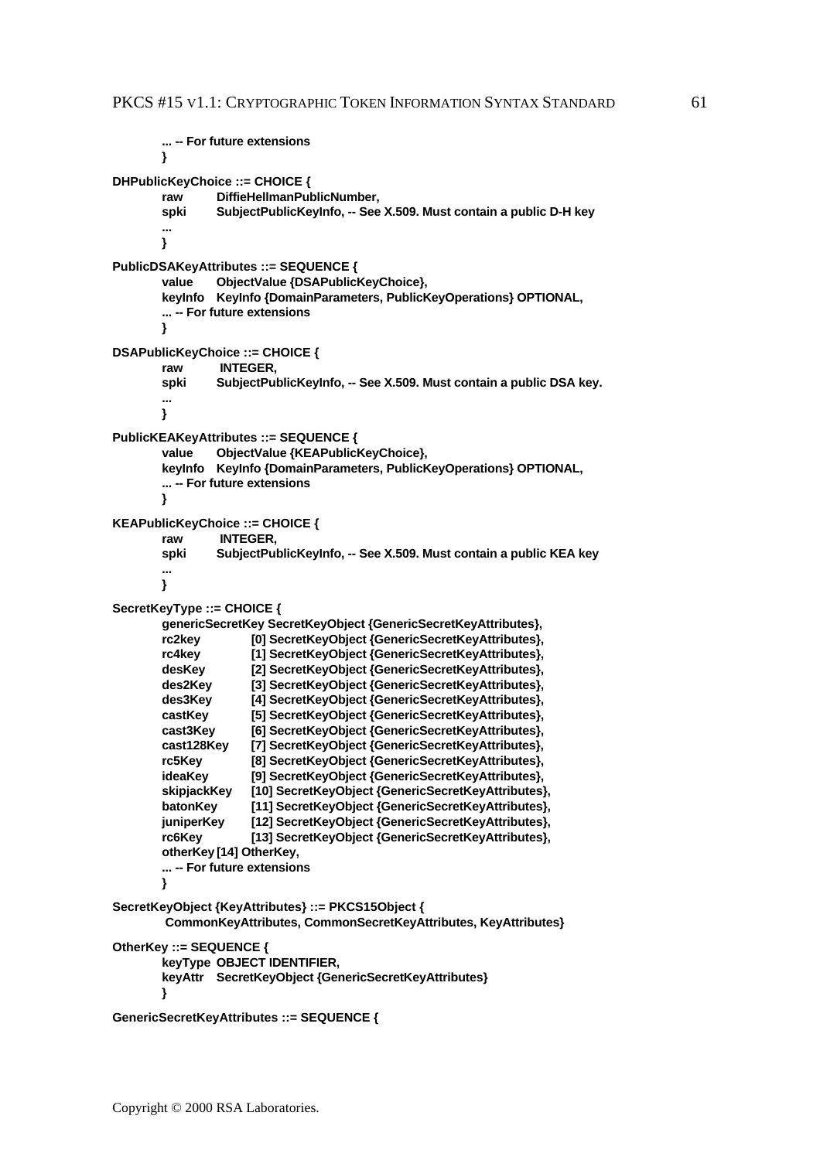```
... -- For future extensions
       }
DHPublicKeyChoice ::= CHOICE {
       raw DiffieHellmanPublicNumber,
       spki SubjectPublicKeyInfo, -- See X.509. Must contain a public D-H key
       ...
       }
PublicDSAKeyAttributes ::= SEQUENCE {
       value ObjectValue {DSAPublicKeyChoice},
       keyInfo KeyInfo {DomainParameters, PublicKeyOperations} OPTIONAL,
       ... -- For future extensions
       }
DSAPublicKeyChoice ::= CHOICE {
       raw INTEGER,
       spki SubjectPublicKeyInfo, -- See X.509. Must contain a public DSA key.
       ...
       }
PublicKEAKeyAttributes ::= SEQUENCE {
       value ObjectValue {KEAPublicKeyChoice},
       keyInfo KeyInfo {DomainParameters, PublicKeyOperations} OPTIONAL,
       ... -- For future extensions
       }
KEAPublicKeyChoice ::= CHOICE {
       raw INTEGER,
       spki SubjectPublicKeyInfo, -- See X.509. Must contain a public KEA key
       ...
       }
SecretKeyType ::= CHOICE {
       genericSecretKey SecretKeyObject {GenericSecretKeyAttributes},
       rc2key [0] SecretKeyObject {GenericSecretKeyAttributes},
       rc4key [1] SecretKeyObject {GenericSecretKeyAttributes},
       desKey [2] SecretKeyObject {GenericSecretKeyAttributes},
       des2Key [3] SecretKeyObject {GenericSecretKeyAttributes},
       des3Key [4] SecretKeyObject {GenericSecretKeyAttributes},
       castKey [5] SecretKeyObject {GenericSecretKeyAttributes},
       cast3Key [6] SecretKeyObject {GenericSecretKeyAttributes},
       cast128Key [7] SecretKeyObject {GenericSecretKeyAttributes},
       rc5Key [8] SecretKeyObject {GenericSecretKeyAttributes},
       ideaKey [9] SecretKeyObject {GenericSecretKeyAttributes},
       skipjackKey [10] SecretKeyObject {GenericSecretKeyAttributes},
       batonKey [11] SecretKeyObject {GenericSecretKeyAttributes},
       juniperKey [12] SecretKeyObject {GenericSecretKeyAttributes},
       rc6Key [13] SecretKeyObject {GenericSecretKeyAttributes},
       otherKey [14] OtherKey,
       ... -- For future extensions
       }
SecretKeyObject {KeyAttributes} ::= PKCS15Object {
         CommonKeyAttributes, CommonSecretKeyAttributes, KeyAttributes}
OtherKey ::= SEQUENCE {
       keyType OBJECT IDENTIFIER,
       keyAttr SecretKeyObject {GenericSecretKeyAttributes}
       }
GenericSecretKeyAttributes ::= SEQUENCE {
```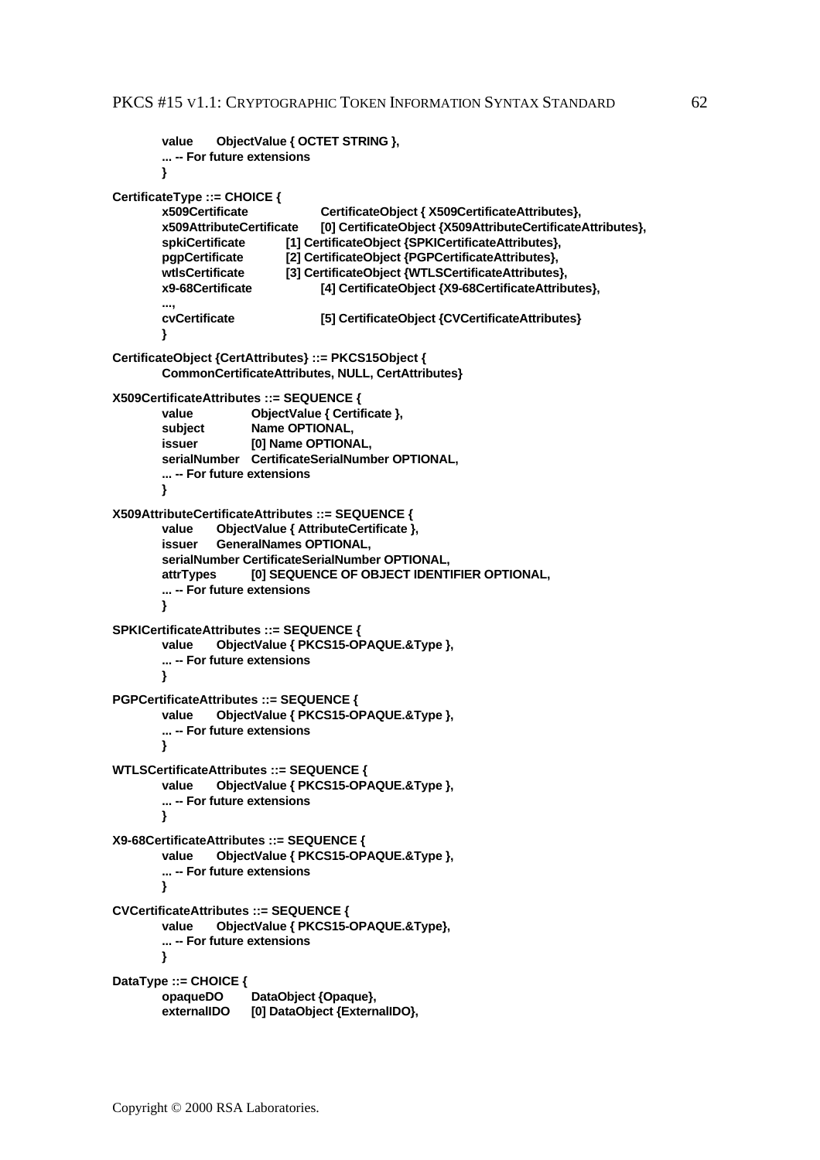```
value ObjectValue { OCTET STRING },
        ... -- For future extensions
       }
CertificateType ::= CHOICE {
       x509Certificate CertificateObject { X509CertificateAttributes},
        x509AttributeCertificate [0] CertificateObject {X509AttributeCertificateAttributes},
        spkiCertificate [1] CertificateObject {SPKICertificateAttributes},
        pgpCertificate [2] CertificateObject {PGPCertificateAttributes},
        wtlsCertificate [3] CertificateObject {WTLSCertificateAttributes},
       x9-68Certificate [4] CertificateObject {X9-68CertificateAttributes},
        ...,
       cvCertificate [5] CertificateObject {CVCertificateAttributes}
       }
CertificateObject {CertAttributes} ::= PKCS15Object {
       CommonCertificateAttributes, NULL, CertAttributes}
X509CertificateAttributes ::= SEQUENCE {
       value ObjectValue { Certificate },
       subject Name OPTIONAL,
       issuer [0] Name OPTIONAL,<br>issuer [0] Name OPTIONAL,
        serialNumber CertificateSerialNumber OPTIONAL,
        ... -- For future extensions
       }
X509AttributeCertificateAttributes ::= SEQUENCE {
        value ObjectValue { AttributeCertificate },
        issuer GeneralNames OPTIONAL,
        serialNumber CertificateSerialNumber OPTIONAL,
        attrTypes [0] SEQUENCE OF OBJECT IDENTIFIER OPTIONAL,
        ... -- For future extensions
       }
SPKICertificateAttributes ::= SEQUENCE {
        value ObjectValue { PKCS15-OPAQUE.&Type },
        ... -- For future extensions
       }
PGPCertificateAttributes ::= SEQUENCE {
        value ObjectValue { PKCS15-OPAQUE.&Type },
        ... -- For future extensions
       }
WTLSCertificateAttributes ::= SEQUENCE {
       value ObjectValue { PKCS15-OPAQUE.&Type },
        ... -- For future extensions
       }
X9-68CertificateAttributes ::= SEQUENCE {
       value ObjectValue { PKCS15-OPAQUE.&Type },
        ... -- For future extensions
       }
CVCertificateAttributes ::= SEQUENCE {
       value ObjectValue { PKCS15-OPAQUE.&Type},
        ... -- For future extensions
       }
DataType ::= CHOICE {
        opaqueDO DataObject {Opaque},
        externalIDO [0] DataObject {ExternalIDO},
```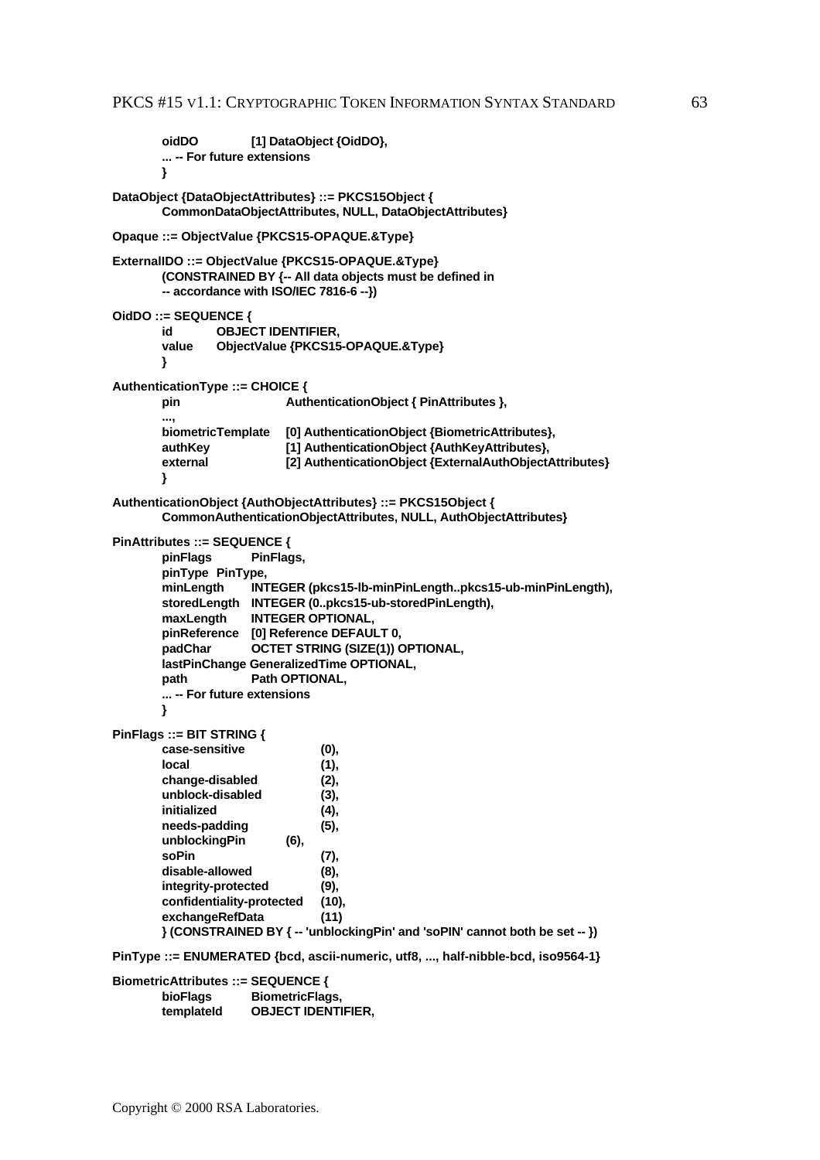```
oidDO [1] DataObject {OidDO},
       ... -- For future extensions
       }
DataObject {DataObjectAttributes} ::= PKCS15Object {
       CommonDataObjectAttributes, NULL, DataObjectAttributes}
Opaque ::= ObjectValue {PKCS15-OPAQUE.&Type}
ExternalIDO ::= ObjectValue {PKCS15-OPAQUE.&Type}
       (CONSTRAINED BY {-- All data objects must be defined in
       -- accordance with ISO/IEC 7816-6 --})
OidDO ::= SEQUENCE {
       id OBJECT IDENTIFIER,
       value ObjectValue {PKCS15-OPAQUE.&Type}
       }
AuthenticationType ::= CHOICE {
       pin AuthenticationObject { PinAttributes },
       ...,
       biometricTemplate [0] AuthenticationObject {BiometricAttributes},
       authKey [1] AuthenticationObject {AuthKeyAttributes},
       external [2] AuthenticationObject {ExternalAuthObjectAttributes}
       }
AuthenticationObject {AuthObjectAttributes} ::= PKCS15Object {
       CommonAuthenticationObjectAttributes, NULL, AuthObjectAttributes}
PinAttributes ::= SEQUENCE {
       pinFlags PinFlags,
       pinType PinType,
       minLength INTEGER (pkcs15-lb-minPinLength..pkcs15-ub-minPinLength),
       storedLength INTEGER (0..pkcs15-ub-storedPinLength),
       maxLength INTEGER OPTIONAL,
       pinReference [0] Reference DEFAULT 0,
       padChar OCTET STRING (SIZE(1)) OPTIONAL,
       lastPinChange GeneralizedTime OPTIONAL,
       path Path OPTIONAL,
       ... -- For future extensions
       }
PinFlags ::= BIT STRING {
       case-sensitive (0),
       local (1),
       change-disabled (2),
       unblock-disabled (3),
       initialized (4),
       needs-padding (5),
       unblockingPin (6),
       soPin (7),
       disable-allowed (8),
       integrity-protected (9),
       confidentiality-protected (10),
       exchangeRefData (11)
       } (CONSTRAINED BY { -- 'unblockingPin' and 'soPIN' cannot both be set -- })
PinType ::= ENUMERATED {bcd, ascii-numeric, utf8, ..., half-nibble-bcd, iso9564-1}
```
**BiometricAttributes ::= SEQUENCE { bioFlags BiometricFlags, templateId OBJECT IDENTIFIER,**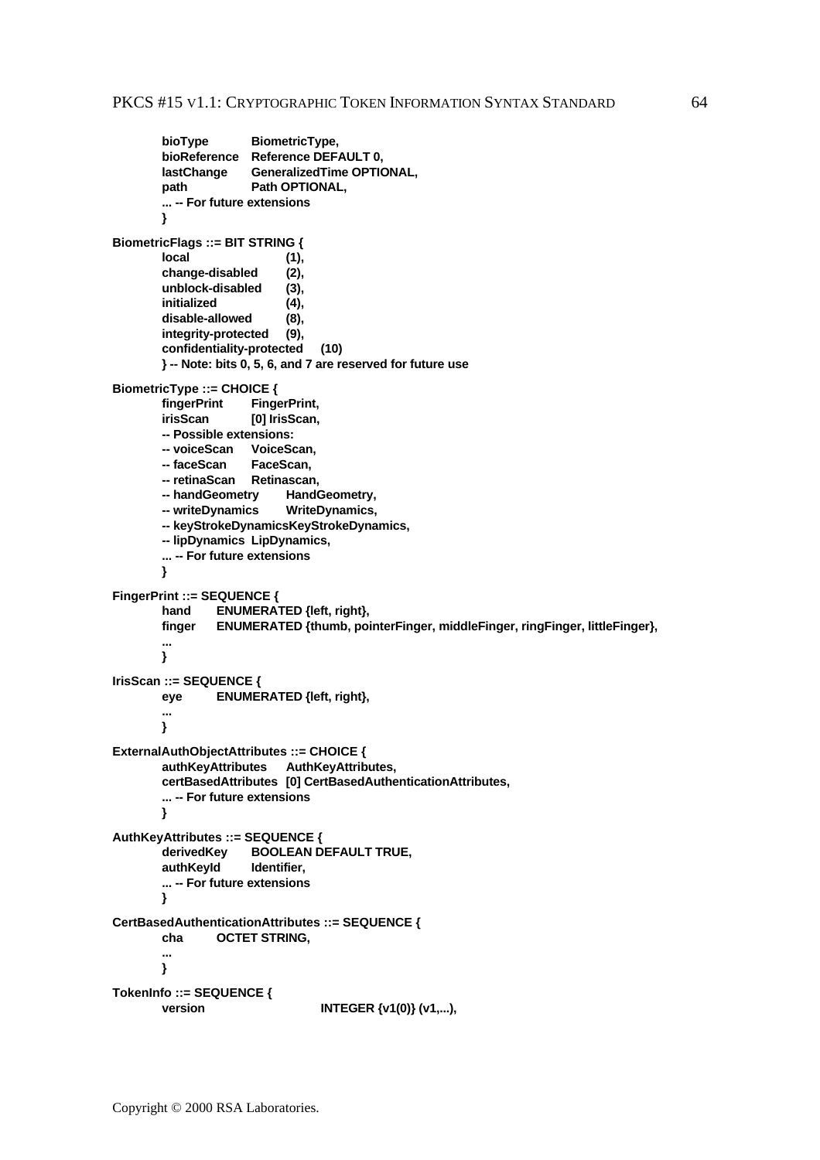```
bioType BiometricType,
       bioReference Reference DEFAULT 0,
       lastChange GeneralizedTime OPTIONAL,
       path Path OPTIONAL,
       ... -- For future extensions
       }
BiometricFlags ::= BIT STRING {
       local (1),
       change-disabled (2),
       unblock-disabled (3),
       initialized (4),<br>disable-allowed (8),
       disable-allowed (8),<br>integrity-protected (9),
       integrity-protected (9),
       confidentiality-protected (10)
       } -- Note: bits 0, 5, 6, and 7 are reserved for future use
BiometricType ::= CHOICE {
       fingerPrint FingerPrint,
       irisScan [0] IrisScan,
       -- Possible extensions:
       -- voiceScan VoiceScan,
        -- faceScan FaceScan,
        -- retinaScan Retinascan,
       -- handGeometry HandGeometry,
       -- writeDynamics WriteDynamics,
       -- keyStrokeDynamicsKeyStrokeDynamics,
       -- lipDynamics LipDynamics,
       ... -- For future extensions
       }
FingerPrint ::= SEQUENCE {
       hand ENUMERATED {left, right},
       finger ENUMERATED {thumb, pointerFinger, middleFinger, ringFinger, littleFinger},
       ...
       }
IrisScan ::= SEQUENCE {
       eye ENUMERATED {left, right},
       ...
       }
ExternalAuthObjectAttributes ::= CHOICE {
       authKeyAttributes AuthKeyAttributes,
       certBasedAttributes [0] CertBasedAuthenticationAttributes,
       ... -- For future extensions
       }
AuthKeyAttributes ::= SEQUENCE {
       derivedKey BOOLEAN DEFAULT TRUE,
       authKeyId Identifier,
       ... -- For future extensions
       }
CertBasedAuthenticationAttributes ::= SEQUENCE {
       cha OCTET STRING,
        ...
       }
TokenInfo ::= SEQUENCE {
       version INTEGER {v1(0)} (v1,...),
```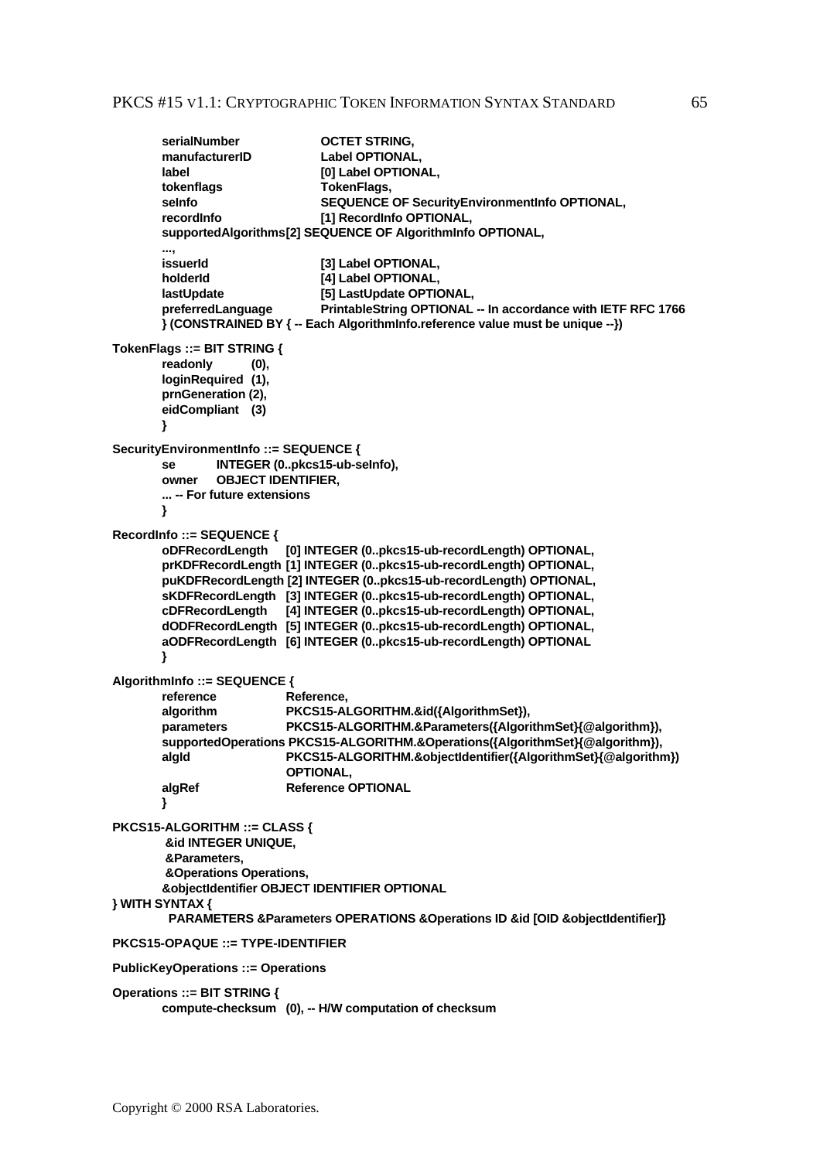```
serialNumber OCTET STRING,
       manufacturerID Label OPTIONAL,
       label [0] Label OPTIONAL,
      tokenflags TokenFlags,
       seInfo SEQUENCE OF SecurityEnvironmentInfo OPTIONAL,
      recordInfo [1] RecordInfo OPTIONAL,
       supportedAlgorithms[2] SEQUENCE OF AlgorithmInfo OPTIONAL,
       ...,
       issuerId [3] Label OPTIONAL,
       holderId [4] Label OPTIONAL,
       lastUpdate [5] LastUpdate OPTIONAL,
       preferredLanguage PrintableString OPTIONAL -- In accordance with IETF RFC 1766
       } (CONSTRAINED BY { -- Each AlgorithmInfo.reference value must be unique --})
TokenFlags ::= BIT STRING {
       readonly (0),
       loginRequired (1),
       prnGeneration (2),
       eidCompliant (3)
       }
SecurityEnvironmentInfo ::= SEQUENCE {
       se INTEGER (0..pkcs15-ub-seInfo),
       owner OBJECT IDENTIFIER,
       ... -- For future extensions
      }
RecordInfo ::= SEQUENCE {
       oDFRecordLength [0] INTEGER (0..pkcs15-ub-recordLength) OPTIONAL,
       prKDFRecordLength [1] INTEGER (0..pkcs15-ub-recordLength) OPTIONAL,
       puKDFRecordLength [2] INTEGER (0..pkcs15-ub-recordLength) OPTIONAL,
       sKDFRecordLength [3] INTEGER (0..pkcs15-ub-recordLength) OPTIONAL,
       cDFRecordLength [4] INTEGER (0..pkcs15-ub-recordLength) OPTIONAL,
       dODFRecordLength [5] INTEGER (0..pkcs15-ub-recordLength) OPTIONAL,
       aODFRecordLength [6] INTEGER (0..pkcs15-ub-recordLength) OPTIONAL
       }
AlgorithmInfo ::= SEQUENCE {
      reference Reference,
       algorithm PKCS15-ALGORITHM.&id({AlgorithmSet}),
       parameters PKCS15-ALGORITHM.&Parameters({AlgorithmSet}{@algorithm}),
       supportedOperations PKCS15-ALGORITHM.&Operations({AlgorithmSet}{@algorithm}),
       algId PKCS15-ALGORITHM.&objectIdentifier({AlgorithmSet}{@algorithm})
                        OPTIONAL,
       algRef Reference OPTIONAL
       }
PKCS15-ALGORITHM ::= CLASS {
        &id INTEGER UNIQUE,
        &Parameters,
        &Operations Operations,
       &objectIdentifier OBJECT IDENTIFIER OPTIONAL
} WITH SYNTAX {
        PARAMETERS &Parameters OPERATIONS &Operations ID &id [OID &objectIdentifier]}
PKCS15-OPAQUE ::= TYPE-IDENTIFIER
PublicKeyOperations ::= Operations
Operations ::= BIT STRING {
      compute-checksum (0), -- H/W computation of checksum
```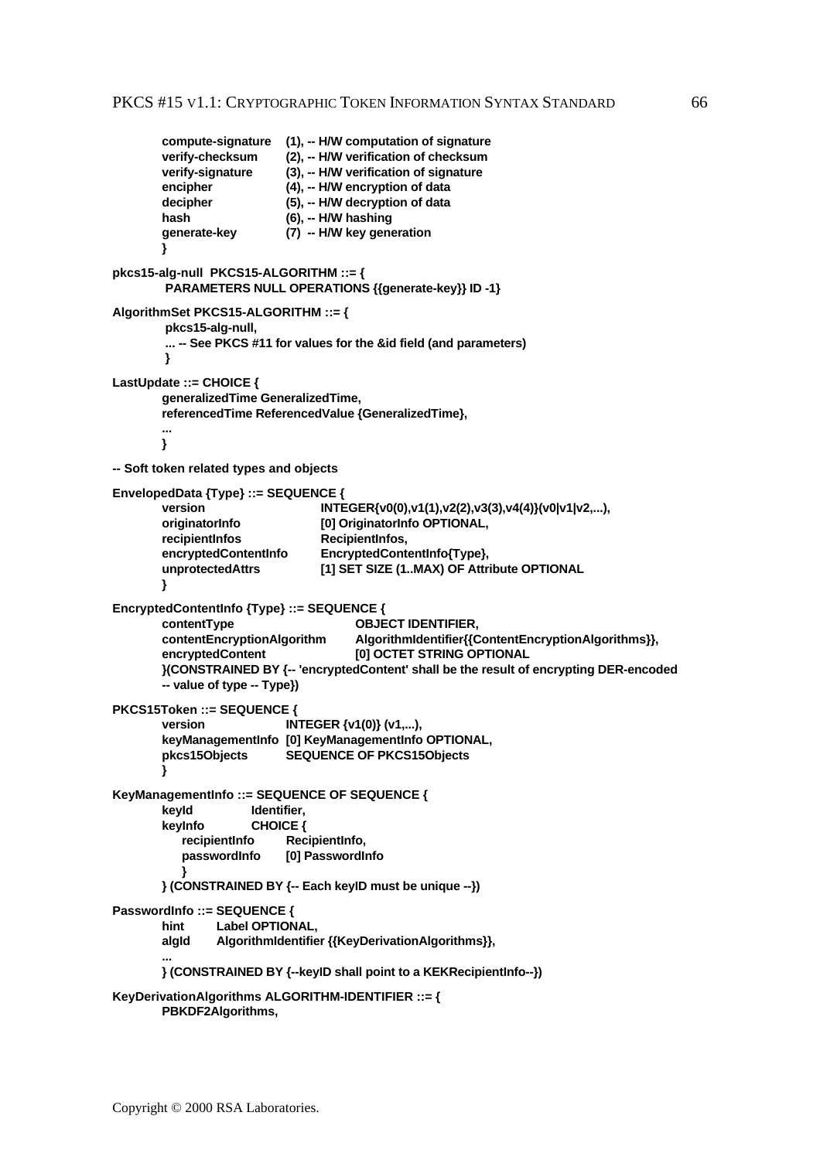```
compute-signature (1), -- H/W computation of signature
       verify-checksum (2), -- H/W verification of checksum
       verify-signature (3), -- H/W verification of signature
       encipher (4), -- H/W encryption of data
       decipher (5), -- H/W decryption of data
       hash (6), -- H/W hashing
       generate-key (7) -- H/W key generation
       }
pkcs15-alg-null PKCS15-ALGORITHM ::= {
        PARAMETERS NULL OPERATIONS {{generate-key}} ID -1}
AlgorithmSet PKCS15-ALGORITHM ::= {
        pkcs15-alg-null,
        ... -- See PKCS #11 for values for the &id field (and parameters)
        }
LastUpdate ::= CHOICE {
       generalizedTime GeneralizedTime,
       referencedTime ReferencedValue {GeneralizedTime},
       ...
       }
-- Soft token related types and objects
EnvelopedData {Type} ::= SEQUENCE {
       version INTEGER{v0(0),v1(1),v2(2),v3(3),v4(4)}(v0|v1|v2,...),
       originatorInfo [0] OriginatorInfo OPTIONAL,
       recipientInfos RecipientInfos,
       encryptedContentInfo EncryptedContentInfo{Type},
       unprotectedAttrs [1] SET SIZE (1..MAX) OF Attribute OPTIONAL
       }
EncryptedContentInfo {Type} ::= SEQUENCE {
       contentType OBJECT IDENTIFIER,
       contentEncryptionAlgorithm AlgorithmIdentifier{{ContentEncryptionAlgorithms}},
       encryptedContent [0] OCTET STRING OPTIONAL
       }(CONSTRAINED BY {-- 'encryptedContent' shall be the result of encrypting DER-encoded
       -- value of type -- Type})
PKCS15Token ::= SEQUENCE {
       version INTEGER {v1(0)} (v1,...),
       keyManagementInfo [0] KeyManagementInfo OPTIONAL,
       pkcs15Objects SEQUENCE OF PKCS15Objects
       }
KeyManagementInfo ::= SEQUENCE OF SEQUENCE {
       keyId Identifier,
       keyInfo CHOICE {
          recipientInfo RecipientInfo,
          passwordInfo [0] PasswordInfo
          }
       } (CONSTRAINED BY {-- Each keyID must be unique --})
PasswordInfo ::= SEQUENCE {
       hint Label OPTIONAL,
       algId AlgorithmIdentifier {{KeyDerivationAlgorithms}},
       ...
       } (CONSTRAINED BY {--keyID shall point to a KEKRecipientInfo--})
KeyDerivationAlgorithms ALGORITHM-IDENTIFIER ::= {
       PBKDF2Algorithms,
```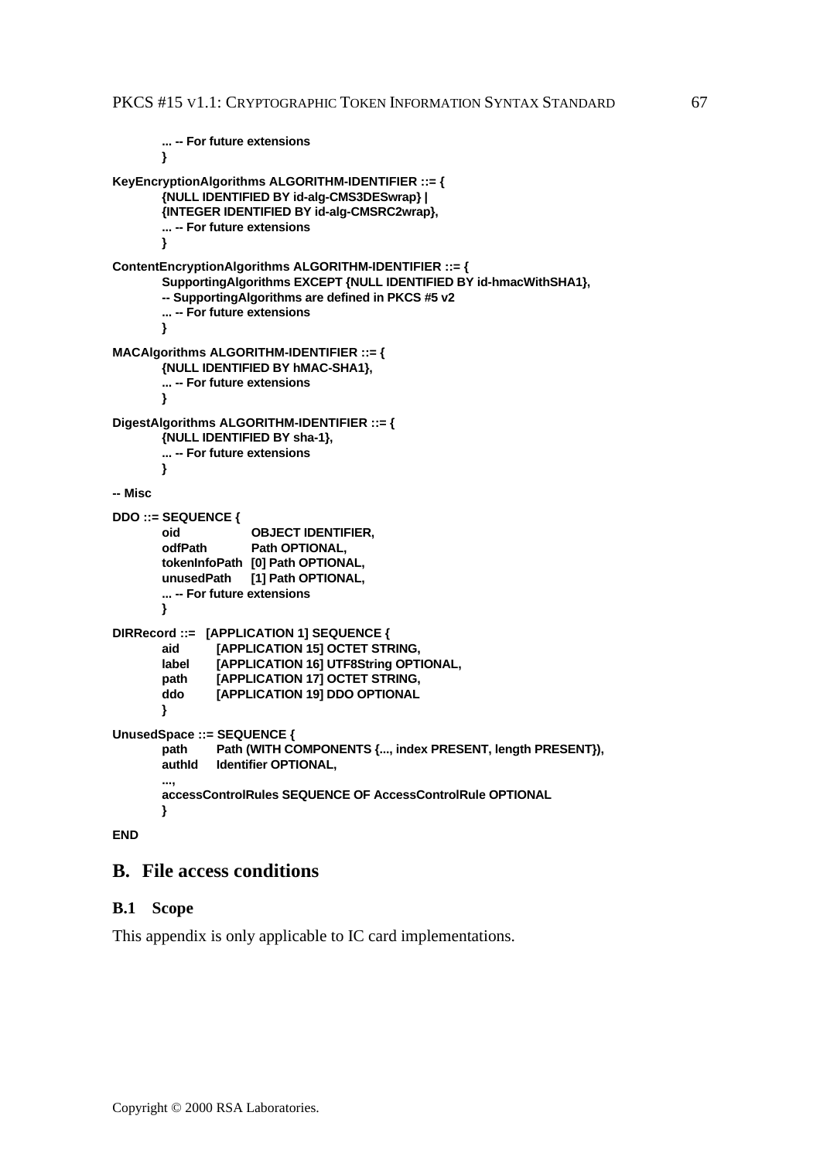```
... -- For future extensions
       }
KeyEncryptionAlgorithms ALGORITHM-IDENTIFIER ::= {
       {NULL IDENTIFIED BY id-alg-CMS3DESwrap} |
       {INTEGER IDENTIFIED BY id-alg-CMSRC2wrap},
       ... -- For future extensions
       }
ContentEncryptionAlgorithms ALGORITHM-IDENTIFIER ::= {
       SupportingAlgorithms EXCEPT {NULL IDENTIFIED BY id-hmacWithSHA1},
       -- SupportingAlgorithms are defined in PKCS #5 v2
       ... -- For future extensions
       }
MACAlgorithms ALGORITHM-IDENTIFIER ::= {
       {NULL IDENTIFIED BY hMAC-SHA1},
       ... -- For future extensions
       }
DigestAlgorithms ALGORITHM-IDENTIFIER ::= {
       {NULL IDENTIFIED BY sha-1},
       ... -- For future extensions
       }
-- Misc
DDO ::= SEQUENCE {
       oid OBJECT IDENTIFIER,
       odfPath Path OPTIONAL,
       tokenInfoPath [0] Path OPTIONAL,
       unusedPath [1] Path OPTIONAL,
       ... -- For future extensions
       }
DIRRecord ::= [APPLICATION 1] SEQUENCE {
       aid [APPLICATION 15] OCTET STRING,
       label [APPLICATION 16] UTF8String OPTIONAL,
       path [APPLICATION 17] OCTET STRING,
       ddo [APPLICATION 19] DDO OPTIONAL
       }
UnusedSpace ::= SEQUENCE {
       path Path (WITH COMPONENTS {..., index PRESENT, length PRESENT}),
       authId Identifier OPTIONAL,
       ...,
       accessControlRules SEQUENCE OF AccessControlRule OPTIONAL
       }
```
**END**

## **B. File access conditions**

#### **B.1 Scope**

This appendix is only applicable to IC card implementations.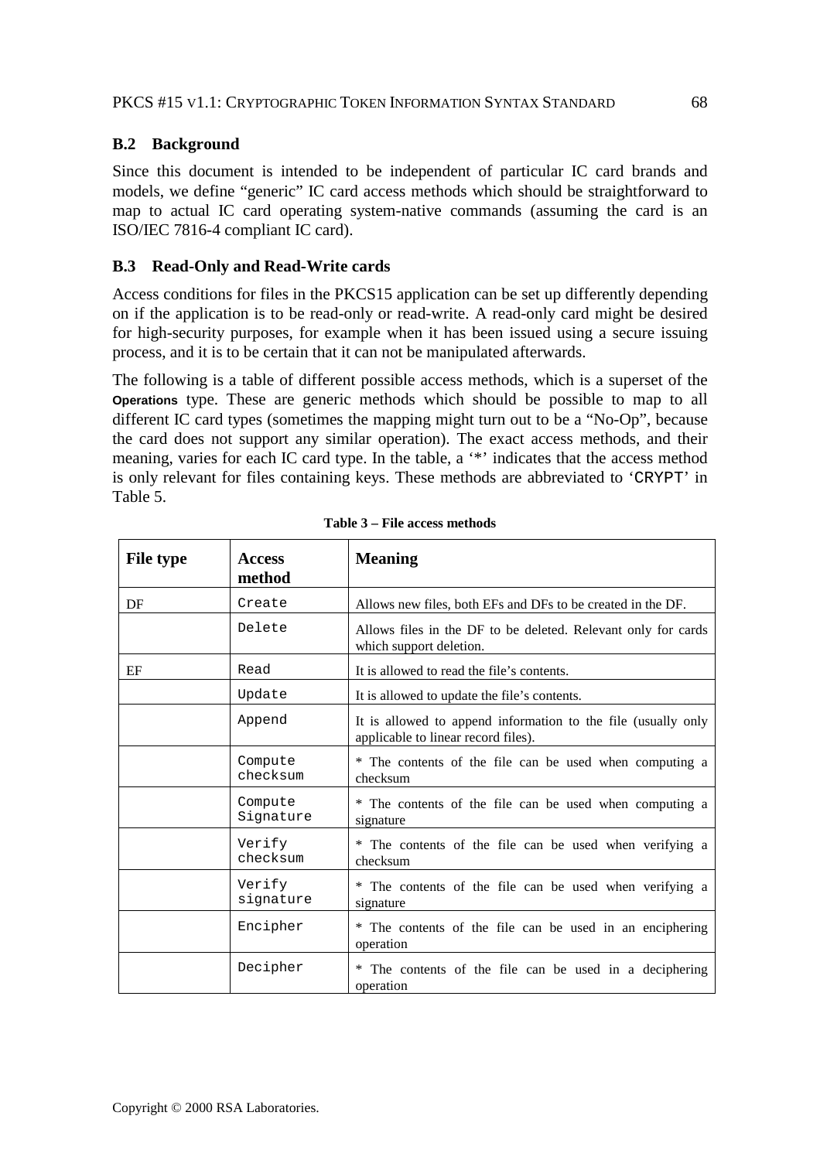## **B.2 Background**

Since this document is intended to be independent of particular IC card brands and models, we define "generic" IC card access methods which should be straightforward to map to actual IC card operating system-native commands (assuming the card is an ISO/IEC 7816-4 compliant IC card).

## **B.3 Read-Only and Read-Write cards**

Access conditions for files in the PKCS15 application can be set up differently depending on if the application is to be read-only or read-write. A read-only card might be desired for high-security purposes, for example when it has been issued using a secure issuing process, and it is to be certain that it can not be manipulated afterwards.

The following is a table of different possible access methods, which is a superset of the **Operations** type. These are generic methods which should be possible to map to all different IC card types (sometimes the mapping might turn out to be a "No-Op", because the card does not support any similar operation). The exact access methods, and their meaning, varies for each IC card type. In the table, a '\*' indicates that the access method is only relevant for files containing keys. These methods are abbreviated to 'CRYPT' in Table 5.

| <b>File type</b> | <b>Access</b><br>method | <b>Meaning</b>                                                                                       |  |  |  |  |
|------------------|-------------------------|------------------------------------------------------------------------------------------------------|--|--|--|--|
| DF               | Create                  | Allows new files, both EFs and DFs to be created in the DF.                                          |  |  |  |  |
|                  | Delete                  | Allows files in the DF to be deleted. Relevant only for cards<br>which support deletion.             |  |  |  |  |
| EF               | Read                    | It is allowed to read the file's contents.                                                           |  |  |  |  |
|                  | Update                  | It is allowed to update the file's contents.                                                         |  |  |  |  |
|                  | Append                  | It is allowed to append information to the file (usually only<br>applicable to linear record files). |  |  |  |  |
|                  | Compute<br>checksum     | * The contents of the file can be used when computing a<br>checksum                                  |  |  |  |  |
|                  | Compute<br>Signature    | * The contents of the file can be used when computing a<br>signature                                 |  |  |  |  |
|                  | Verify<br>checksum      | * The contents of the file can be used when verifying a<br>checksum                                  |  |  |  |  |
|                  | Verify<br>signature     | * The contents of the file can be used when verifying a<br>signature                                 |  |  |  |  |
|                  | Encipher                | * The contents of the file can be used in an enciphering<br>operation                                |  |  |  |  |
|                  | Decipher                | * The contents of the file can be used in a deciphering<br>operation                                 |  |  |  |  |

**Table 3 – File access methods**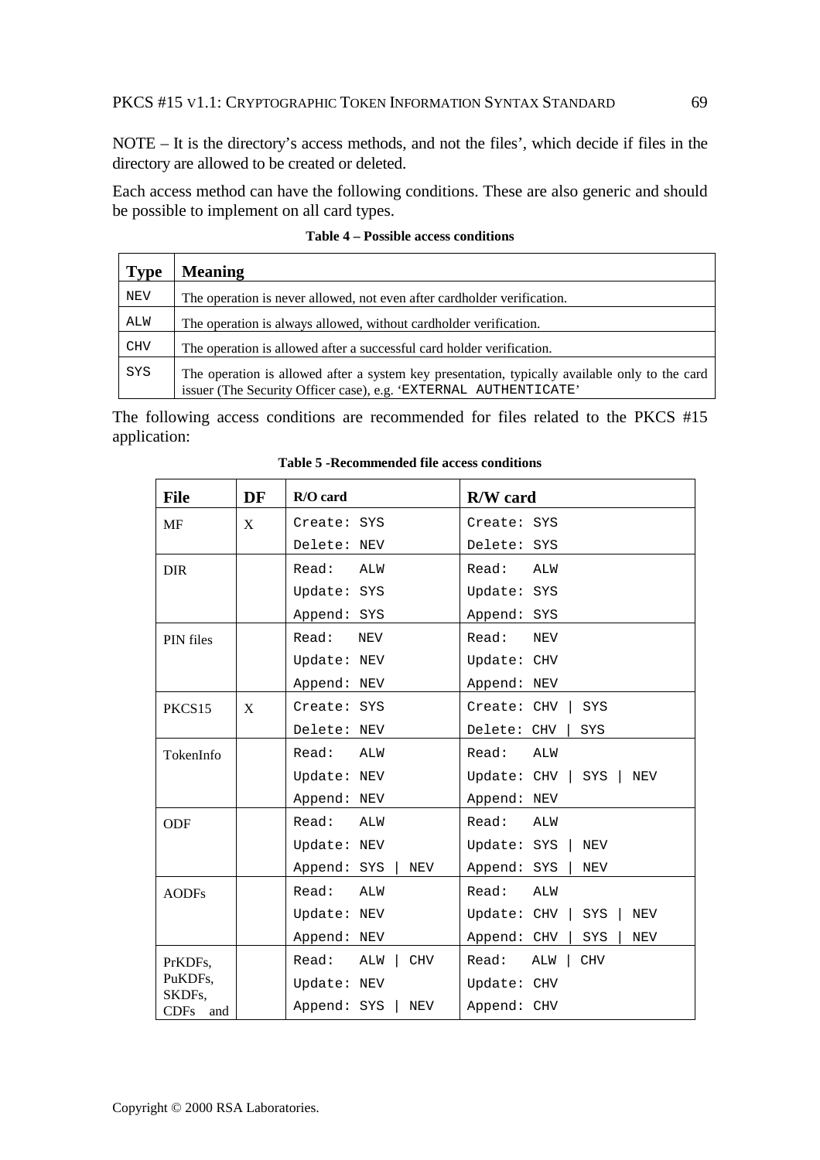NOTE – It is the directory's access methods, and not the files', which decide if files in the directory are allowed to be created or deleted.

Each access method can have the following conditions. These are also generic and should be possible to implement on all card types.

| <b>Type</b> | <b>Meaning</b>                                                                                                                                                     |
|-------------|--------------------------------------------------------------------------------------------------------------------------------------------------------------------|
| NEV         | The operation is never allowed, not even after cardholder verification.                                                                                            |
| ALW         | The operation is always allowed, without cardholder verification.                                                                                                  |
| CHV         | The operation is allowed after a successful card holder verification.                                                                                              |
| SYS         | The operation is allowed after a system key presentation, typically available only to the card<br>issuer (The Security Officer case), e.g. 'EXTERNAL AUTHENTICATE' |

**Table 4 – Possible access conditions**

The following access conditions are recommended for files related to the PKCS #15 application:

| <b>File</b>                  | <b>DF</b> | $R/O$ card                 | <b>R/W</b> card                     |
|------------------------------|-----------|----------------------------|-------------------------------------|
| <b>MF</b>                    | X         | Create: SYS                | Create: SYS                         |
|                              |           | Delete: NEV                | Delete: SYS                         |
| <b>DIR</b>                   |           | Read:<br>ALW               | Read:<br>ALW                        |
|                              |           | Update: SYS                | Update: SYS                         |
|                              |           | Append: SYS                | Append: SYS                         |
| PIN files                    |           | Read:<br>NEV               | Read:<br><b>NEV</b>                 |
|                              |           | Update: NEV                | Update: CHV                         |
|                              |           | Append: NEV                | Append: NEV                         |
| PKCS15                       | X         | Create: SYS                | Create: CHV<br>SYS                  |
|                              |           | Delete: NEV                | Delete: CHV<br>SYS                  |
| TokenInfo                    |           | Read:<br>ALW               | Read:<br>ALW                        |
|                              |           | Update: NEV                | Update: $CHV$   SYS  <br><b>NEV</b> |
|                              |           | Append: NEV                | Append: NEV                         |
| ODF                          |           | Read:<br>ALW               | Read:<br>ALW                        |
|                              |           | Update: NEV                | Update: SYS<br>NEV                  |
|                              |           | Append: SYS<br>NEV         | Append: SYS<br>NEV                  |
| <b>AODFs</b>                 |           | Read:<br>ALW               | Read:<br>ALW                        |
|                              |           | Update: NEV                | Update: CHV<br>SYS<br>NEV           |
|                              |           | Append: NEV                | SYS<br>Append: CHV<br>NEV           |
| PrKDFs,                      |           | Read:<br>ALW<br><b>CHV</b> | Read:<br>ALW<br><b>CHV</b>          |
| PuKDFs,                      |           | Update: NEV                | Update: CHV                         |
| SKDFs.<br><b>CDFs</b><br>and |           | Append: SYS<br>NEV         | Append: CHV                         |

**Table 5 -Recommended file access conditions**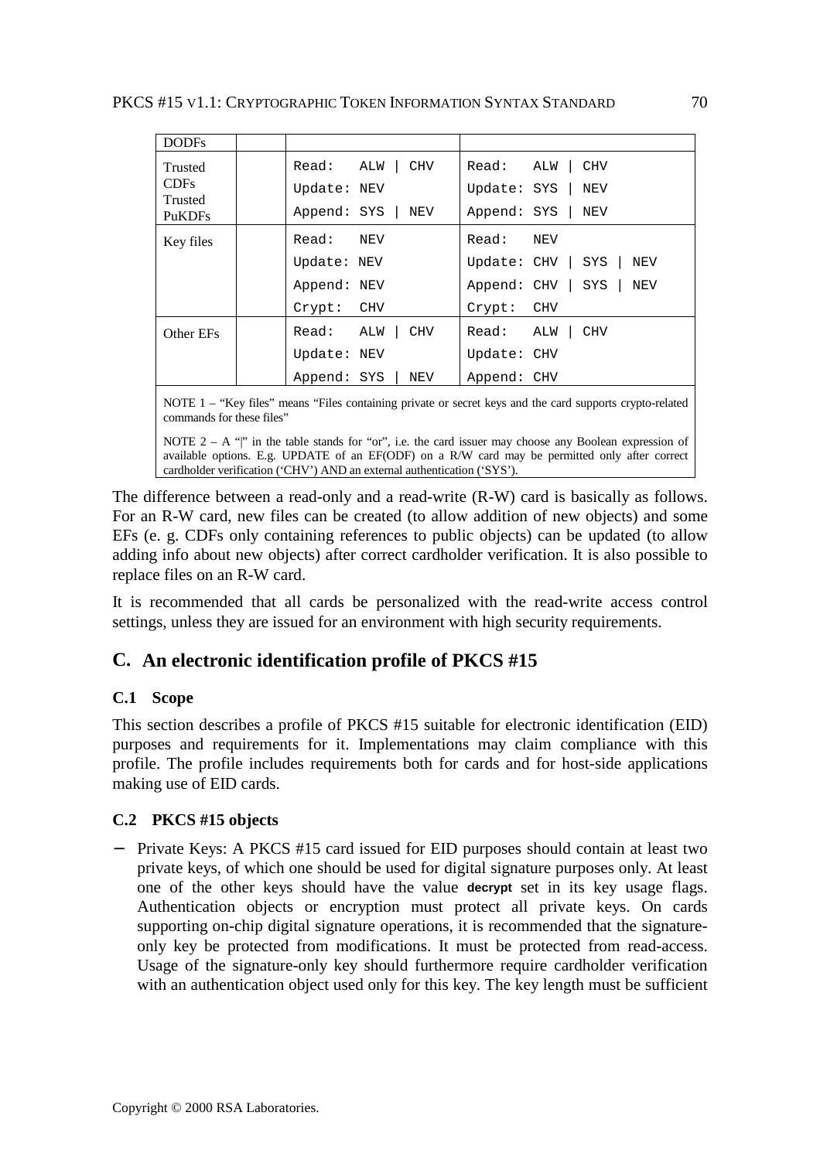| <b>DODFs</b>      |             |                   |               |                   |
|-------------------|-------------|-------------------|---------------|-------------------|
| Trusted           | Read:       | ALW<br>CHV        | Read:         | ALW<br><b>CHV</b> |
| <b>CDFs</b>       | Update: NEV |                   | Update: SYS   | NEV               |
| Trusted<br>PuKDFs | Append: SYS | NEV               | Append: SYS   | NEV               |
| Key files         | Read:       | NEV               | Read:         | NEV               |
|                   | Update: NEV |                   | Update: $CHV$ | SYS<br>NEV        |
|                   | Append: NEV |                   | Append: CHV   | SYS<br><b>NEV</b> |
|                   | Crypt:      | CHV               | Crypt:        | <b>CHV</b>        |
| Other EFs         | Read:       | ALW<br><b>CHV</b> | Read:         | ALW<br><b>CHV</b> |
|                   | Update: NEV |                   | Update: CHV   |                   |
|                   | Append: SYS | NEV               | Append: CHV   |                   |

NOTE 1 – "Key files" means "Files containing private or secret keys and the card supports crypto-related commands for these files"

NOTE  $2 - A$  "" in the table stands for "or", i.e. the card issuer may choose any Boolean expression of available options. E.g. UPDATE of an EF(ODF) on a R/W card may be permitted only after correct cardholder verification ('CHV') AND an external authentication ('SYS').

The difference between a read-only and a read-write (R-W) card is basically as follows. For an R-W card, new files can be created (to allow addition of new objects) and some EFs (e. g. CDFs only containing references to public objects) can be updated (to allow adding info about new objects) after correct cardholder verification. It is also possible to replace files on an R-W card.

It is recommended that all cards be personalized with the read-write access control settings, unless they are issued for an environment with high security requirements.

# **C. An electronic identification profile of PKCS #15**

# **C.1 Scope**

This section describes a profile of PKCS #15 suitable for electronic identification (EID) purposes and requirements for it. Implementations may claim compliance with this profile. The profile includes requirements both for cards and for host-side applications making use of EID cards.

## **C.2 PKCS #15 objects**

− Private Keys: A PKCS #15 card issued for EID purposes should contain at least two private keys, of which one should be used for digital signature purposes only. At least one of the other keys should have the value **decrypt** set in its key usage flags. Authentication objects or encryption must protect all private keys. On cards supporting on-chip digital signature operations, it is recommended that the signatureonly key be protected from modifications. It must be protected from read-access. Usage of the signature-only key should furthermore require cardholder verification with an authentication object used only for this key. The key length must be sufficient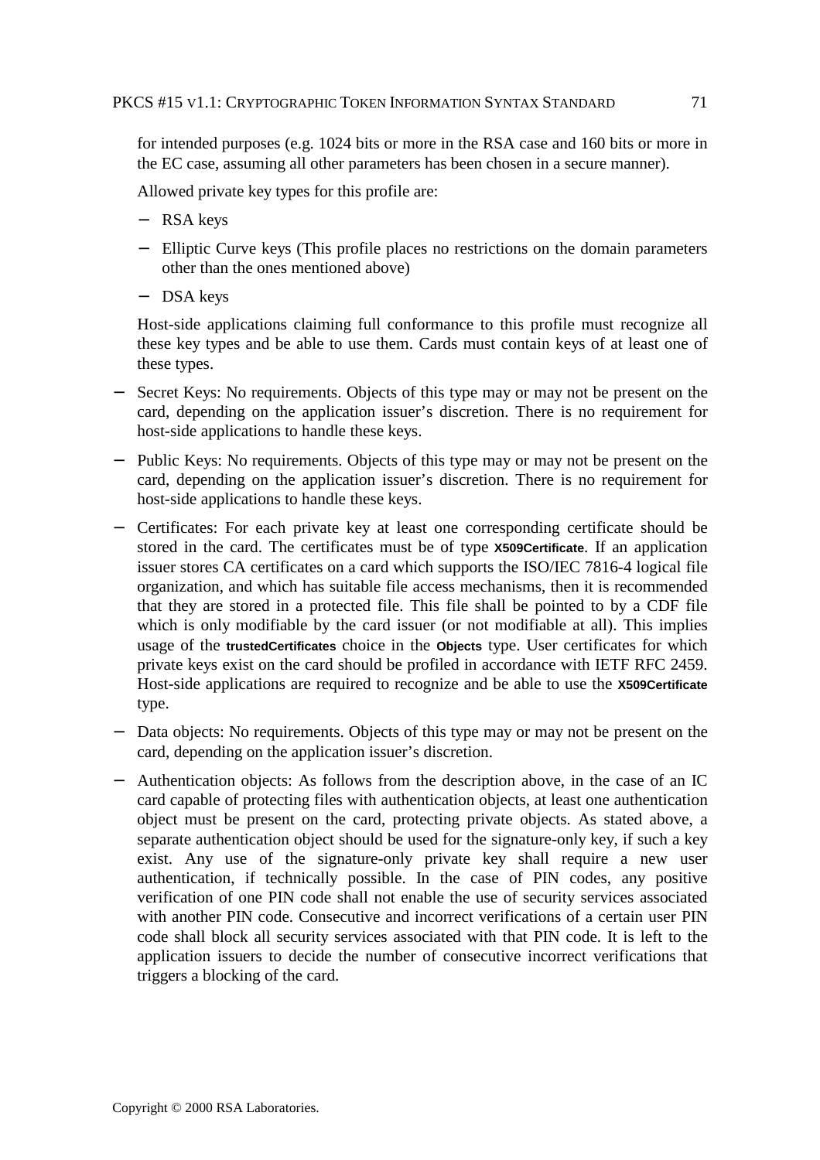for intended purposes (e.g. 1024 bits or more in the RSA case and 160 bits or more in the EC case, assuming all other parameters has been chosen in a secure manner).

Allowed private key types for this profile are:

- − RSA keys
- − Elliptic Curve keys (This profile places no restrictions on the domain parameters other than the ones mentioned above)
- − DSA keys

Host-side applications claiming full conformance to this profile must recognize all these key types and be able to use them. Cards must contain keys of at least one of these types.

- − Secret Keys: No requirements. Objects of this type may or may not be present on the card, depending on the application issuer's discretion. There is no requirement for host-side applications to handle these keys.
- − Public Keys: No requirements. Objects of this type may or may not be present on the card, depending on the application issuer's discretion. There is no requirement for host-side applications to handle these keys.
- − Certificates: For each private key at least one corresponding certificate should be stored in the card. The certificates must be of type **X509Certificate**. If an application issuer stores CA certificates on a card which supports the ISO/IEC 7816-4 logical file organization, and which has suitable file access mechanisms, then it is recommended that they are stored in a protected file. This file shall be pointed to by a CDF file which is only modifiable by the card issuer (or not modifiable at all). This implies usage of the **trustedCertificates** choice in the **Objects** type. User certificates for which private keys exist on the card should be profiled in accordance with IETF RFC 2459. Host-side applications are required to recognize and be able to use the **X509Certificate** type.
- − Data objects: No requirements. Objects of this type may or may not be present on the card, depending on the application issuer's discretion.
- − Authentication objects: As follows from the description above, in the case of an IC card capable of protecting files with authentication objects, at least one authentication object must be present on the card, protecting private objects. As stated above, a separate authentication object should be used for the signature-only key, if such a key exist. Any use of the signature-only private key shall require a new user authentication, if technically possible. In the case of PIN codes, any positive verification of one PIN code shall not enable the use of security services associated with another PIN code. Consecutive and incorrect verifications of a certain user PIN code shall block all security services associated with that PIN code. It is left to the application issuers to decide the number of consecutive incorrect verifications that triggers a blocking of the card.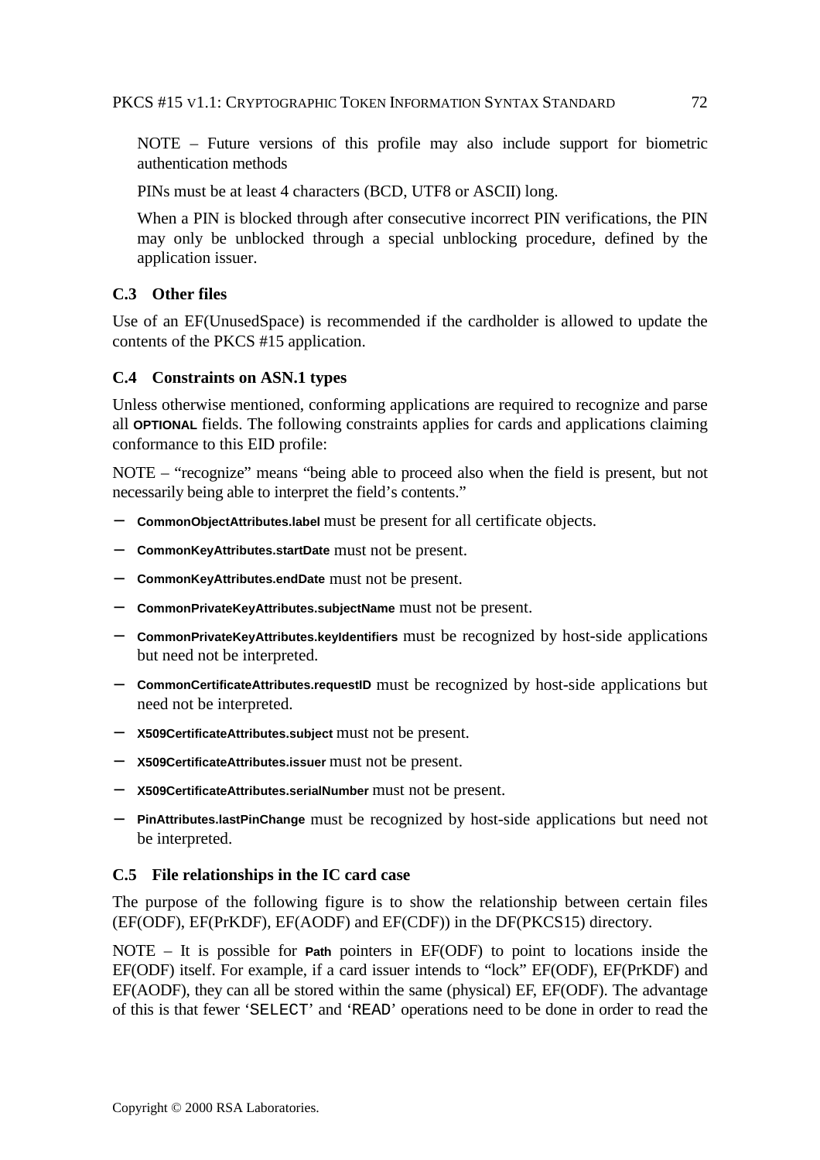NOTE – Future versions of this profile may also include support for biometric authentication methods

PINs must be at least 4 characters (BCD, UTF8 or ASCII) long.

When a PIN is blocked through after consecutive incorrect PIN verifications, the PIN may only be unblocked through a special unblocking procedure, defined by the application issuer.

# **C.3 Other files**

Use of an EF(UnusedSpace) is recommended if the cardholder is allowed to update the contents of the PKCS #15 application.

## **C.4 Constraints on ASN.1 types**

Unless otherwise mentioned, conforming applications are required to recognize and parse all **OPTIONAL** fields. The following constraints applies for cards and applications claiming conformance to this EID profile:

NOTE – "recognize" means "being able to proceed also when the field is present, but not necessarily being able to interpret the field's contents."

- **CommonObjectAttributes.label must be present for all certificate objects.**
- − **CommonKeyAttributes.startDate** must not be present.
- − **CommonKeyAttributes.endDate** must not be present.
- − **CommonPrivateKeyAttributes.subjectName** must not be present.
- − **CommonPrivateKeyAttributes.keyIdentifiers** must be recognized by host-side applications but need not be interpreted.
- − **CommonCertificateAttributes.requestID** must be recognized by host-side applications but need not be interpreted.
- − **X509CertificateAttributes.subject** must not be present.
- − **X509CertificateAttributes.issuer** must not be present.
- − **X509CertificateAttributes.serialNumber** must not be present.
- − **PinAttributes.lastPinChange** must be recognized by host-side applications but need not be interpreted.

## **C.5 File relationships in the IC card case**

The purpose of the following figure is to show the relationship between certain files (EF(ODF), EF(PrKDF), EF(AODF) and EF(CDF)) in the DF(PKCS15) directory.

NOTE – It is possible for **Path** pointers in EF(ODF) to point to locations inside the EF(ODF) itself. For example, if a card issuer intends to "lock" EF(ODF), EF(PrKDF) and EF(AODF), they can all be stored within the same (physical) EF, EF(ODF). The advantage of this is that fewer 'SELECT' and 'READ' operations need to be done in order to read the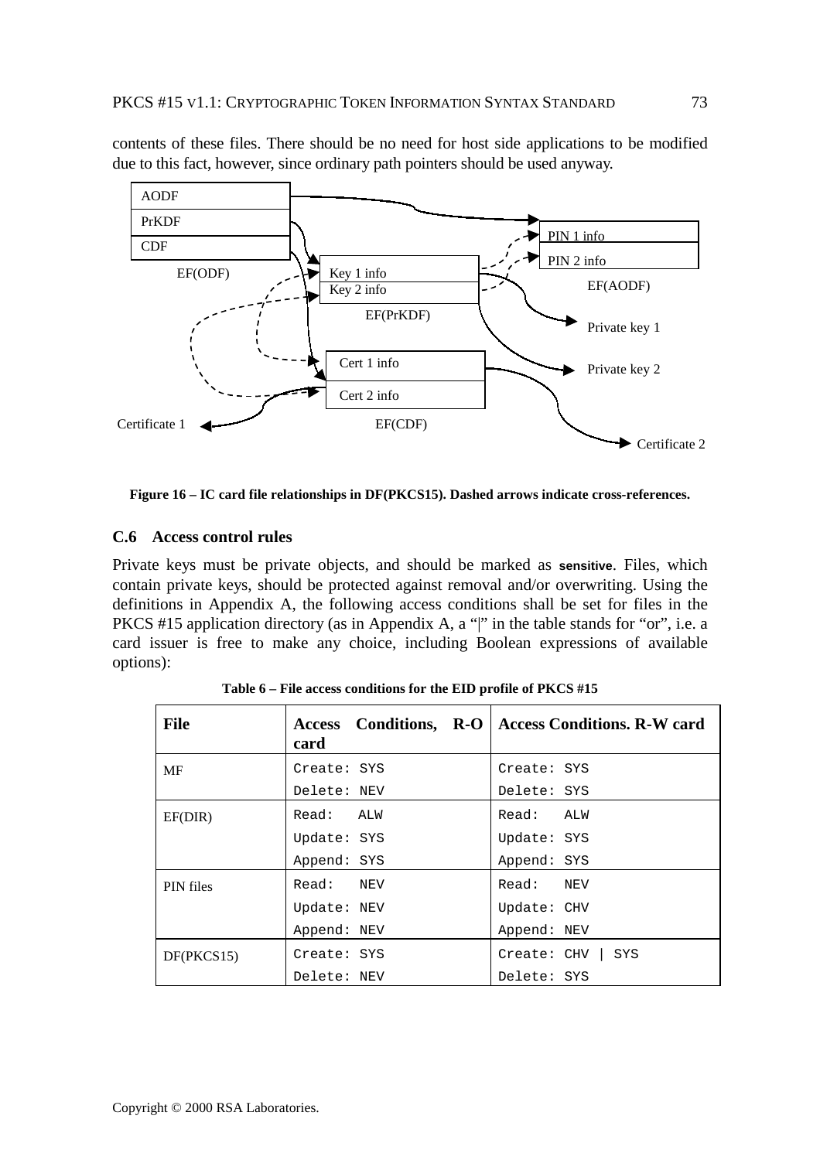

contents of these files. There should be no need for host side applications to be modified due to this fact, however, since ordinary path pointers should be used anyway.

**Figure 16 – IC card file relationships in DF(PKCS15). Dashed arrows indicate cross-references.**

#### **C.6 Access control rules**

Private keys must be private objects, and should be marked as **sensitive**. Files, which contain private keys, should be protected against removal and/or overwriting. Using the definitions in Appendix A, the following access conditions shall be set for files in the PKCS #15 application directory (as in Appendix A, a "|" in the table stands for "or", i.e. a card issuer is free to make any choice, including Boolean expressions of available options):

| <b>File</b> | card        |     | Access Conditions, R-O   Access Conditions. R-W card |
|-------------|-------------|-----|------------------------------------------------------|
| MF          | Create: SYS |     | Create: SYS                                          |
|             | Delete: NEV |     | Delete: SYS                                          |
| EF(DIR)     | Read: ALW   |     | Read: ALW                                            |
|             | Update: SYS |     | Update: SYS                                          |
|             | Append: SYS |     | Append: SYS                                          |
| PIN files   | Read:       | NEV | Read:<br>NEV                                         |
|             | Update: NEV |     | Update: CHV                                          |
|             | Append: NEV |     | Append: NEV                                          |
| DF(PKCS15)  | Create: SYS |     | Create: CHV<br>SYS                                   |
|             | Delete: NEV |     | Delete: SYS                                          |

**Table 6 – File access conditions for the EID profile of PKCS #15**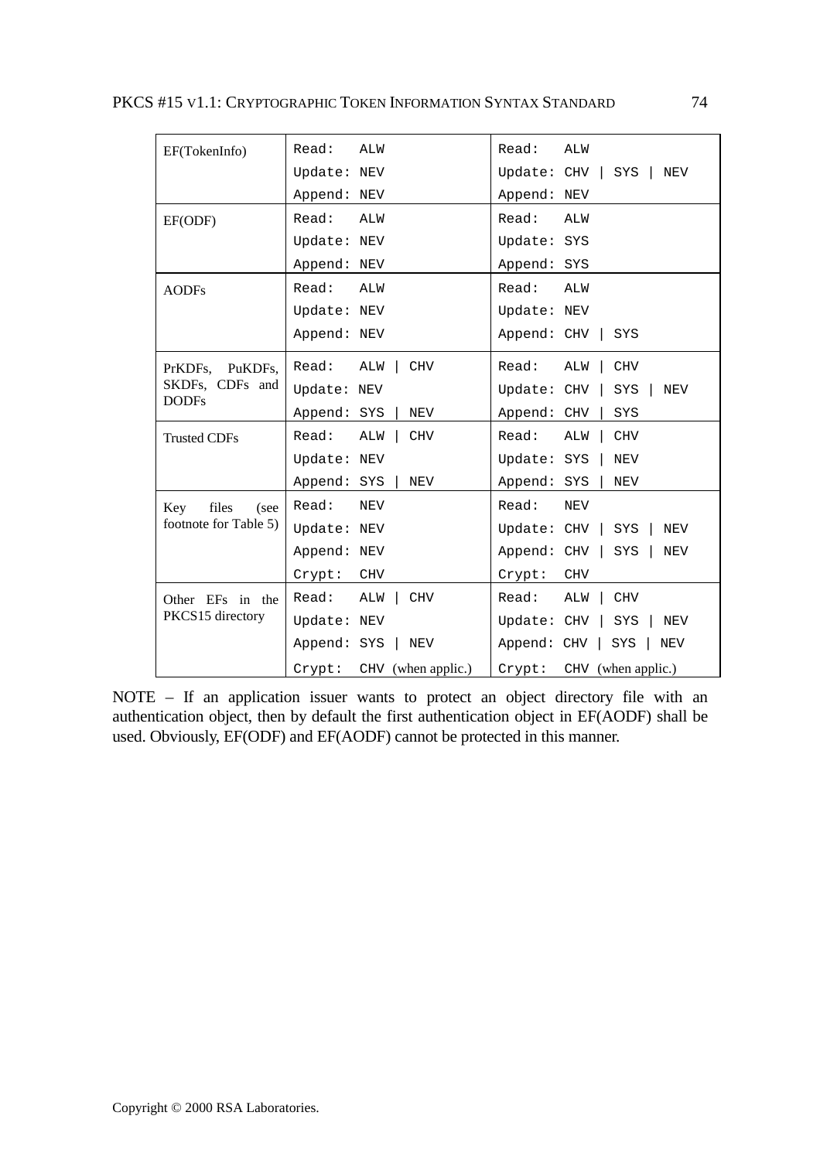| EF(TokenInfo)                                         | Read:<br>ALW                 | Read:<br>ALW                    |
|-------------------------------------------------------|------------------------------|---------------------------------|
|                                                       | Update: NEV                  | Update: $CHV$  <br>SYS  <br>NEV |
|                                                       | Append: NEV                  | Append: NEV                     |
| EF(ODF)                                               | Read:<br>ALW                 | Read:<br>ALW                    |
|                                                       | Update: NEV                  | Update: SYS                     |
|                                                       | Append: NEV                  | Append: SYS                     |
| <b>AODFs</b>                                          | Read:<br>ALW                 | Read:<br>ALW                    |
|                                                       | Update: NEV                  | Update: NEV                     |
|                                                       | Append: NEV                  | Append: CHV<br>SYS              |
| PrKDFs,<br>PuKDFs,<br>SKDFs, CDFs and<br><b>DODFs</b> | Read:<br>ALW<br><b>CHV</b>   | Read:<br>ALW<br><b>CHV</b>      |
|                                                       | Update: NEV                  | Update: CHV<br>SYS<br>NEV       |
|                                                       | Append: SYS<br>NEV           | SYS<br>Append: CHV              |
| <b>Trusted CDFs</b>                                   | Read:<br>ALW<br><b>CHV</b>   | Read:<br>ALW<br><b>CHV</b>      |
|                                                       | Update: NEV                  | Update: SYS<br><b>NEV</b>       |
|                                                       | Append: SYS<br><b>NEV</b>    | Append: SYS<br><b>NEV</b>       |
| files<br>Key<br>(see<br>footnote for Table 5)         | Read:<br><b>NEV</b>          | Read:<br><b>NEV</b>             |
|                                                       | Update: NEV                  | Update: CHV<br>SYS<br>NEV       |
|                                                       | Append: NEV                  | Append: CHV<br>SYS<br>NEV       |
|                                                       | <b>CHV</b><br>Crypt:         | <b>CHV</b><br>Crypt:            |
| Other EFs in the<br>PKCS15 directory                  | <b>CHV</b><br>Read:<br>ALW   | Read:<br>ALW<br><b>CHV</b>      |
|                                                       | Update: NEV                  | Update: CHV<br>SYS<br>NEV       |
|                                                       | <b>NEV</b><br>Append: SYS    | SYS<br>NEV<br>Append: CHV       |
|                                                       | CHV (when applic.)<br>Crypt: | CHV (when applic.)<br>Crypt:    |

NOTE – If an application issuer wants to protect an object directory file with an authentication object, then by default the first authentication object in EF(AODF) shall be used. Obviously, EF(ODF) and EF(AODF) cannot be protected in this manner.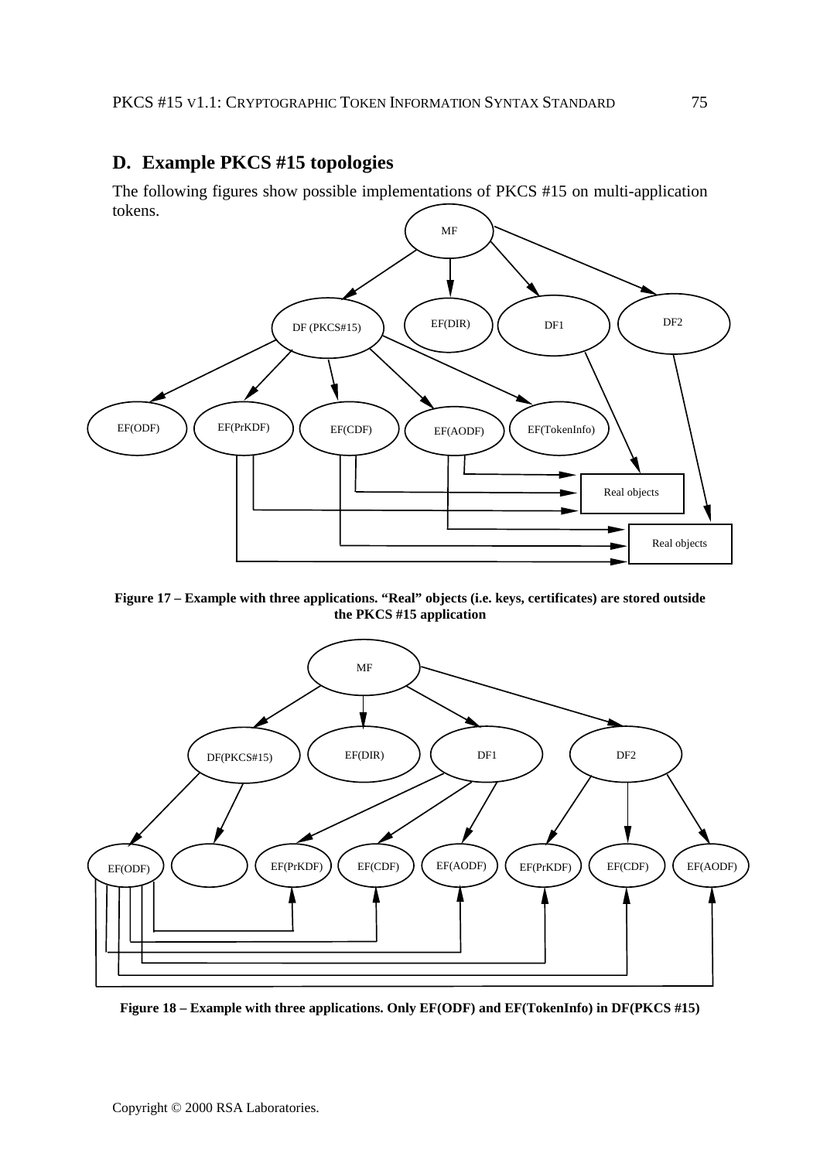# **D. Example PKCS #15 topologies**

The following figures show possible implementations of PKCS #15 on multi-application tokens.



**Figure 17 – Example with three applications. "Real" objects (i.e. keys, certificates) are stored outside the PKCS #15 application**



**Figure 18 – Example with three applications. Only EF(ODF) and EF(TokenInfo) in DF(PKCS #15)**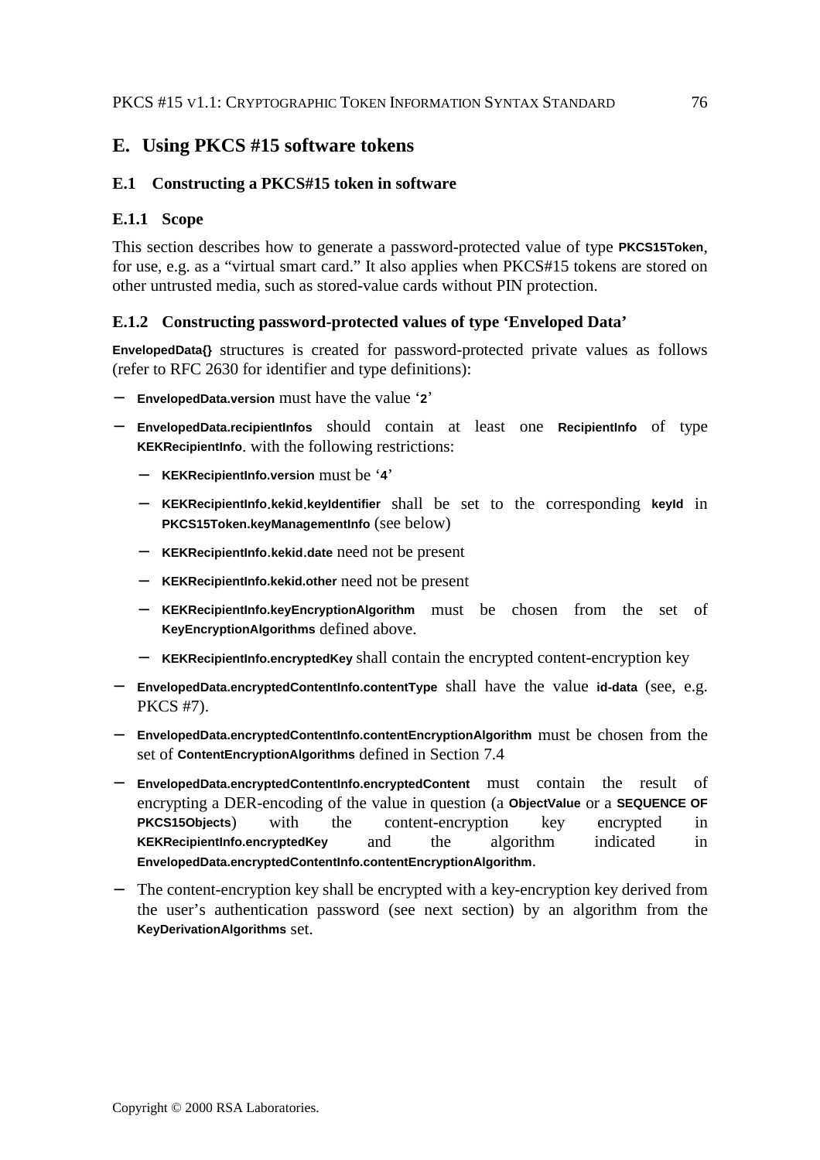## **E. Using PKCS #15 software tokens**

#### **E.1 Constructing a PKCS#15 token in software**

#### **E.1.1 Scope**

This section describes how to generate a password-protected value of type **PKCS15Token**, for use, e.g. as a "virtual smart card." It also applies when PKCS#15 tokens are stored on other untrusted media, such as stored-value cards without PIN protection.

#### **E.1.2 Constructing password-protected values of type 'Enveloped Data'**

**EnvelopedData{}** structures is created for password-protected private values as follows (refer to RFC 2630 for identifier and type definitions):

- − **EnvelopedData.version** must have the value '**2**'
- − **EnvelopedData.recipientInfos** should contain at least one **RecipientInfo** of type **KEKRecipientInfo**. with the following restrictions:
	- − **KEKRecipientInfo.version** must be '**4**'
	- − **KEKRecipientInfo**.**kekid**.**keyIdentifier** shall be set to the corresponding **keyId** in **PKCS15Token.keyManagementInfo** (see below)
	- − **KEKRecipientInfo**.**kekid**.**date** need not be present
	- − **KEKRecipientInfo.kekid.other** need not be present
	- − **KEKRecipientInfo.keyEncryptionAlgorithm** must be chosen from the set of **KeyEncryptionAlgorithms** defined above.
	- − **KEKRecipientInfo.encryptedKey** shall contain the encrypted content-encryption key
- − **EnvelopedData.encryptedContentInfo.contentType** shall have the value **id-data** (see, e.g. PKCS #7).
- − **EnvelopedData.encryptedContentInfo.contentEncryptionAlgorithm** must be chosen from the set of **ContentEncryptionAlgorithms** defined in Section 7.4
- − **EnvelopedData.encryptedContentInfo.encryptedContent** must contain the result of encrypting a DER-encoding of the value in question (a **ObjectValue** or a **SEQUENCE OF PKCS15Objects**) with the content-encryption key encrypted in **KEKRecipientInfo.encryptedKey** and the algorithm indicated in **EnvelopedData.encryptedContentInfo.contentEncryptionAlgorithm**.
- − The content-encryption key shall be encrypted with a key-encryption key derived from the user's authentication password (see next section) by an algorithm from the **KeyDerivationAlgorithms** set.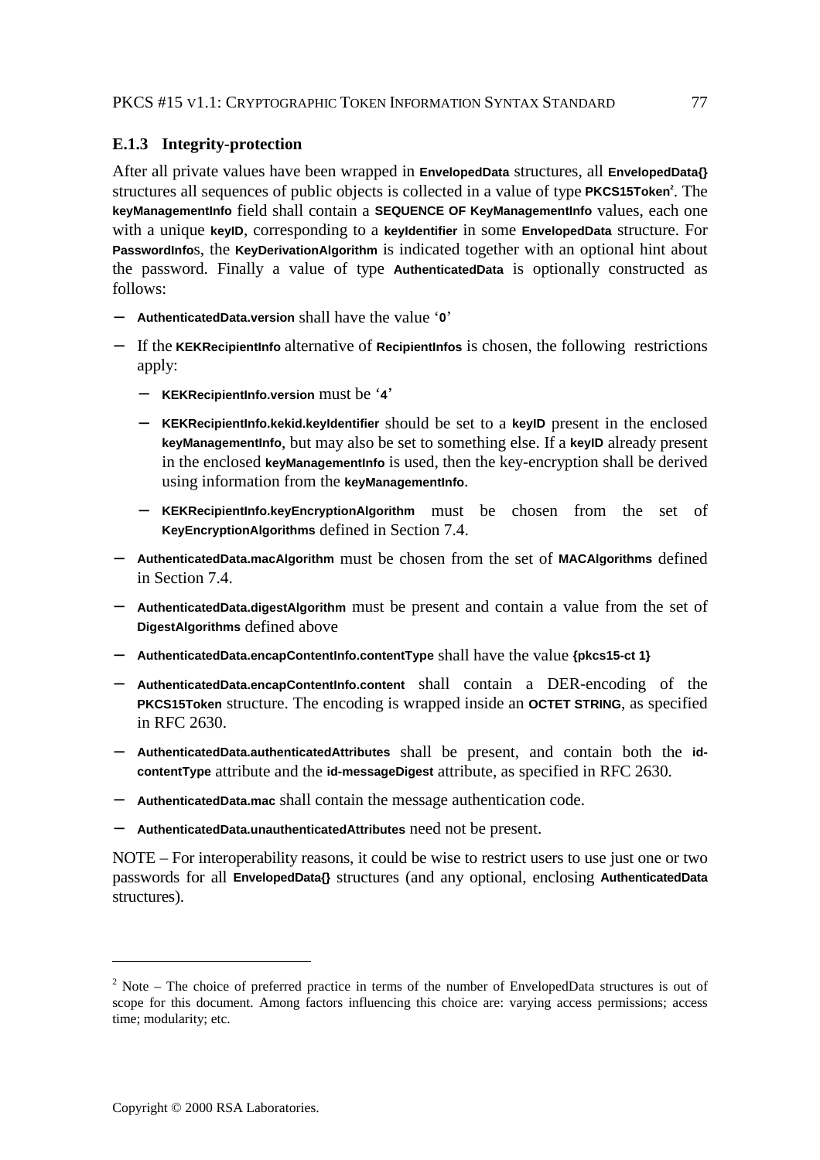### **E.1.3 Integrity-protection**

After all private values have been wrapped in **EnvelopedData** structures, all **EnvelopedData{}** structures all sequences of public objects is collected in a value of type **PKCS15Token**<sup>2</sup>. The **keyManagementInfo** field shall contain a **SEQUENCE OF KeyManagementInfo** values, each one with a unique **keyID**, corresponding to a **keyIdentifier** in some **EnvelopedData** structure. For **PasswordInfo**s, the **KeyDerivationAlgorithm** is indicated together with an optional hint about the password. Finally a value of type **AuthenticatedData** is optionally constructed as follows:

- − **AuthenticatedData.version** shall have the value '**0**'
- − If the **KEKRecipientInfo** alternative of **RecipientInfos** is chosen, the following restrictions apply:
	- − **KEKRecipientInfo.version** must be '**4**'
	- − **KEKRecipientInfo.kekid.keyIdentifier** should be set to a **keyID** present in the enclosed **keyManagementInfo**, but may also be set to something else. If a **keyID** already present in the enclosed **keyManagementInfo** is used, then the key-encryption shall be derived using information from the **keyManagementInfo**.
	- − **KEKRecipientInfo.keyEncryptionAlgorithm** must be chosen from the set of **KeyEncryptionAlgorithms** defined in Section 7.4.
- − **AuthenticatedData.macAlgorithm** must be chosen from the set of **MACAlgorithms** defined in Section 7.4.
- − **AuthenticatedData.digestAlgorithm** must be present and contain a value from the set of **DigestAlgorithms** defined above
- − **AuthenticatedData.encapContentInfo.contentType** shall have the value **{pkcs15-ct 1}**
- − **AuthenticatedData.encapContentInfo.content** shall contain a DER-encoding of the **PKCS15Token** structure. The encoding is wrapped inside an **OCTET STRING**, as specified in RFC 2630.
- − **AuthenticatedData.authenticatedAttributes** shall be present, and contain both the **idcontentType** attribute and the **id-messageDigest** attribute, as specified in RFC 2630.
- − **AuthenticatedData.mac** shall contain the message authentication code.
- − **AuthenticatedData.unauthenticatedAttributes** need not be present.

NOTE – For interoperability reasons, it could be wise to restrict users to use just one or two passwords for all **EnvelopedData{}** structures (and any optional, enclosing **AuthenticatedData** structures).

 $\overline{a}$ 

 $2$  Note – The choice of preferred practice in terms of the number of EnvelopedData structures is out of scope for this document. Among factors influencing this choice are: varying access permissions; access time; modularity; etc.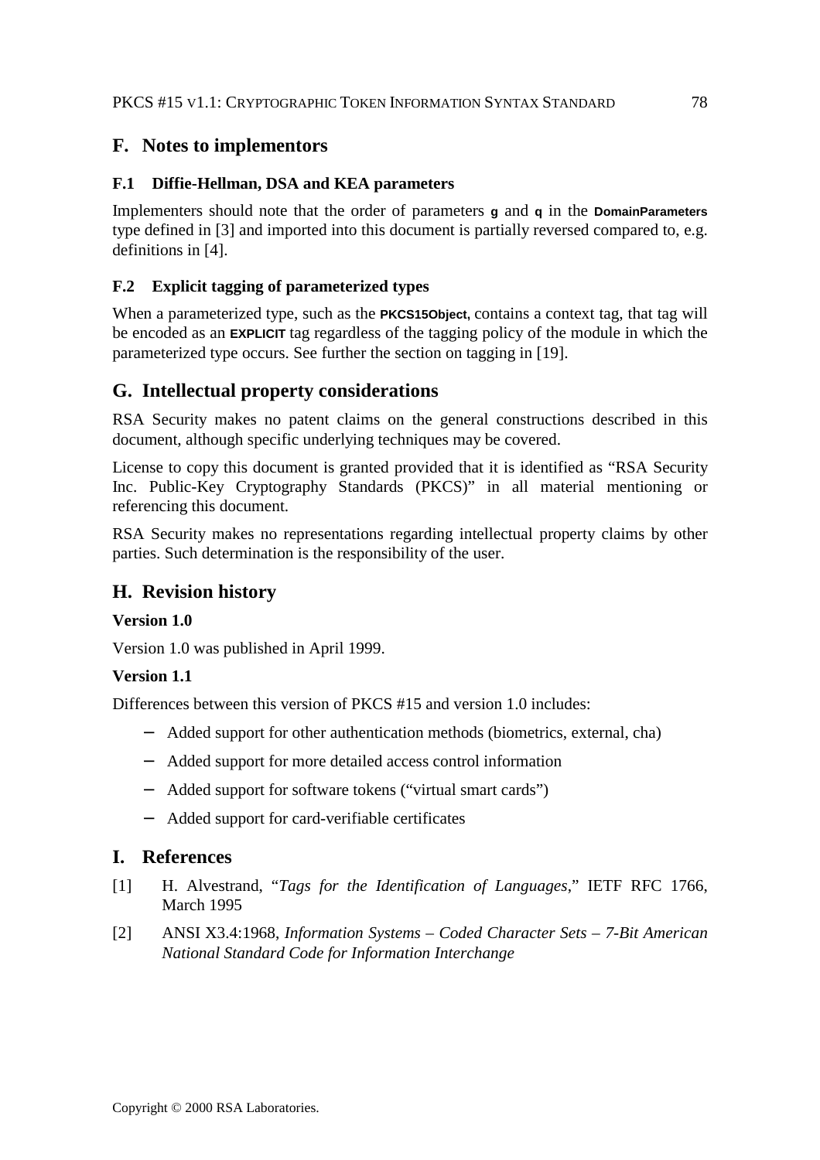# **F. Notes to implementors**

### **F.1 Diffie-Hellman, DSA and KEA parameters**

Implementers should note that the order of parameters **g** and **q** in the **DomainParameters** type defined in [3] and imported into this document is partially reversed compared to, e.g. definitions in [4].

## **F.2 Explicit tagging of parameterized types**

When a parameterized type, such as the **PKCS15Object,** contains a context tag, that tag will be encoded as an **EXPLICIT** tag regardless of the tagging policy of the module in which the parameterized type occurs. See further the section on tagging in [19].

## **G. Intellectual property considerations**

RSA Security makes no patent claims on the general constructions described in this document, although specific underlying techniques may be covered.

License to copy this document is granted provided that it is identified as "RSA Security Inc. Public-Key Cryptography Standards (PKCS)" in all material mentioning or referencing this document.

RSA Security makes no representations regarding intellectual property claims by other parties. Such determination is the responsibility of the user.

# **H. Revision history**

### **Version 1.0**

Version 1.0 was published in April 1999.

### **Version 1.1**

Differences between this version of PKCS #15 and version 1.0 includes:

- − Added support for other authentication methods (biometrics, external, cha)
- − Added support for more detailed access control information
- − Added support for software tokens ("virtual smart cards")
- − Added support for card-verifiable certificates

## **I. References**

- [1] H. Alvestrand, "*Tags for the Identification of Languages*," IETF RFC 1766, March 1995
- [2] ANSI X3.4:1968, *Information Systems Coded Character Sets 7-Bit American National Standard Code for Information Interchange*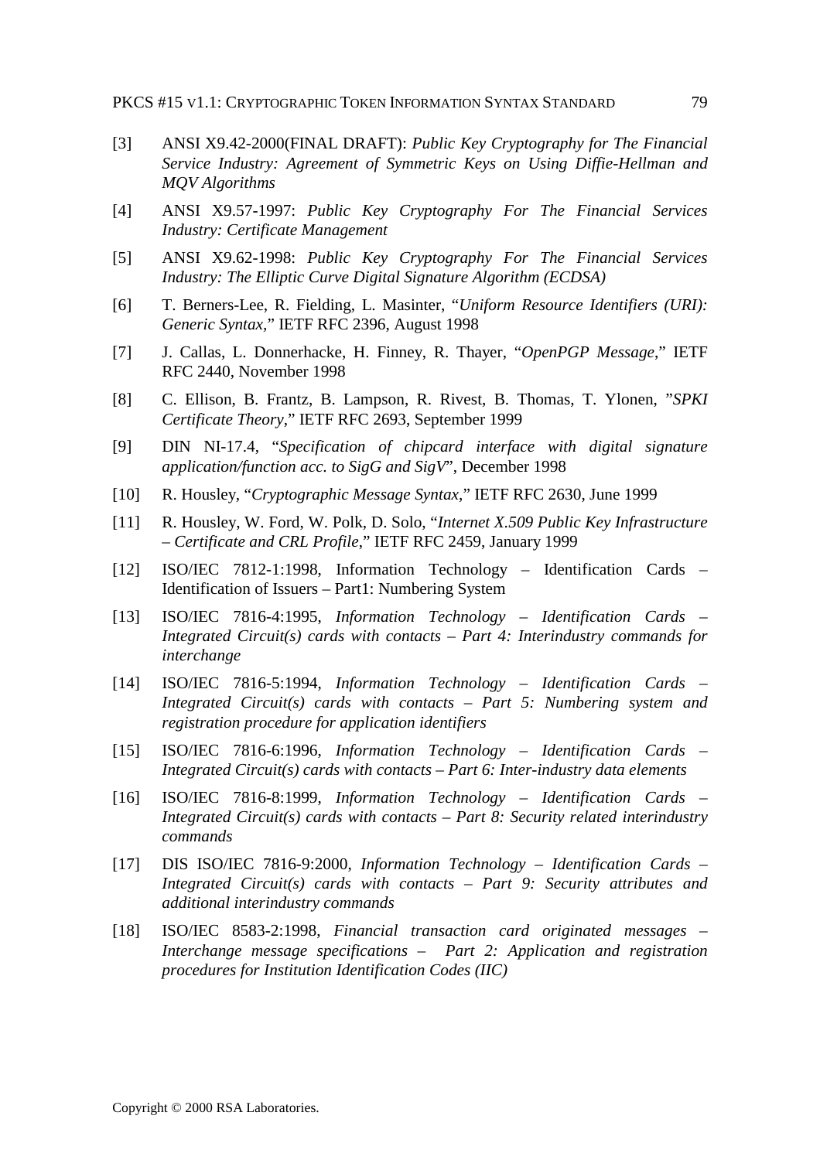- [3] ANSI X9.42-2000(FINAL DRAFT): *Public Key Cryptography for The Financial Service Industry: Agreement of Symmetric Keys on Using Diffie-Hellman and MQV Algorithms*
- [4] ANSI X9.57-1997: *Public Key Cryptography For The Financial Services Industry: Certificate Management*
- [5] ANSI X9.62-1998: *Public Key Cryptography For The Financial Services Industry: The Elliptic Curve Digital Signature Algorithm (ECDSA)*
- [6] T. Berners-Lee, R. Fielding, L. Masinter, "*Uniform Resource Identifiers (URI): Generic Syntax,*" IETF RFC 2396, August 1998
- [7] J. Callas, L. Donnerhacke, H. Finney, R. Thayer, "*OpenPGP Message*," IETF RFC 2440, November 1998
- [8] C. Ellison, B. Frantz, B. Lampson, R. Rivest, B. Thomas, T. Ylonen, "*SPKI Certificate Theory*," IETF RFC 2693, September 1999
- [9] DIN NI-17.4, "*Specification of chipcard interface with digital signature application/function acc. to SigG and SigV*", December 1998
- [10] R. Housley, "*Cryptographic Message Syntax*," IETF RFC 2630, June 1999
- [11] R. Housley, W. Ford, W. Polk, D. Solo, "*Internet X.509 Public Key Infrastructure – Certificate and CRL Profile*," IETF RFC 2459, January 1999
- [12] ISO/IEC 7812-1:1998, Information Technology Identification Cards Identification of Issuers – Part1: Numbering System
- [13] ISO/IEC 7816-4:1995, *Information Technology Identification Cards – Integrated Circuit(s) cards with contacts – Part 4: Interindustry commands for interchange*
- [14] ISO/IEC 7816-5:1994, *Information Technology Identification Cards – Integrated Circuit(s) cards with contacts – Part 5: Numbering system and registration procedure for application identifiers*
- [15] ISO/IEC 7816-6:1996, *Information Technology Identification Cards – Integrated Circuit(s) cards with contacts – Part 6: Inter-industry data elements*
- [16] ISO/IEC 7816-8:1999, *Information Technology Identification Cards – Integrated Circuit(s) cards with contacts – Part 8: Security related interindustry commands*
- [17] DIS ISO/IEC 7816-9:2000, *Information Technology Identification Cards – Integrated Circuit(s) cards with contacts – Part 9: Security attributes and additional interindustry commands*
- [18] ISO/IEC 8583-2:1998, *Financial transaction card originated messages – Interchange message specifications – Part 2: Application and registration procedures for Institution Identification Codes (IIC)*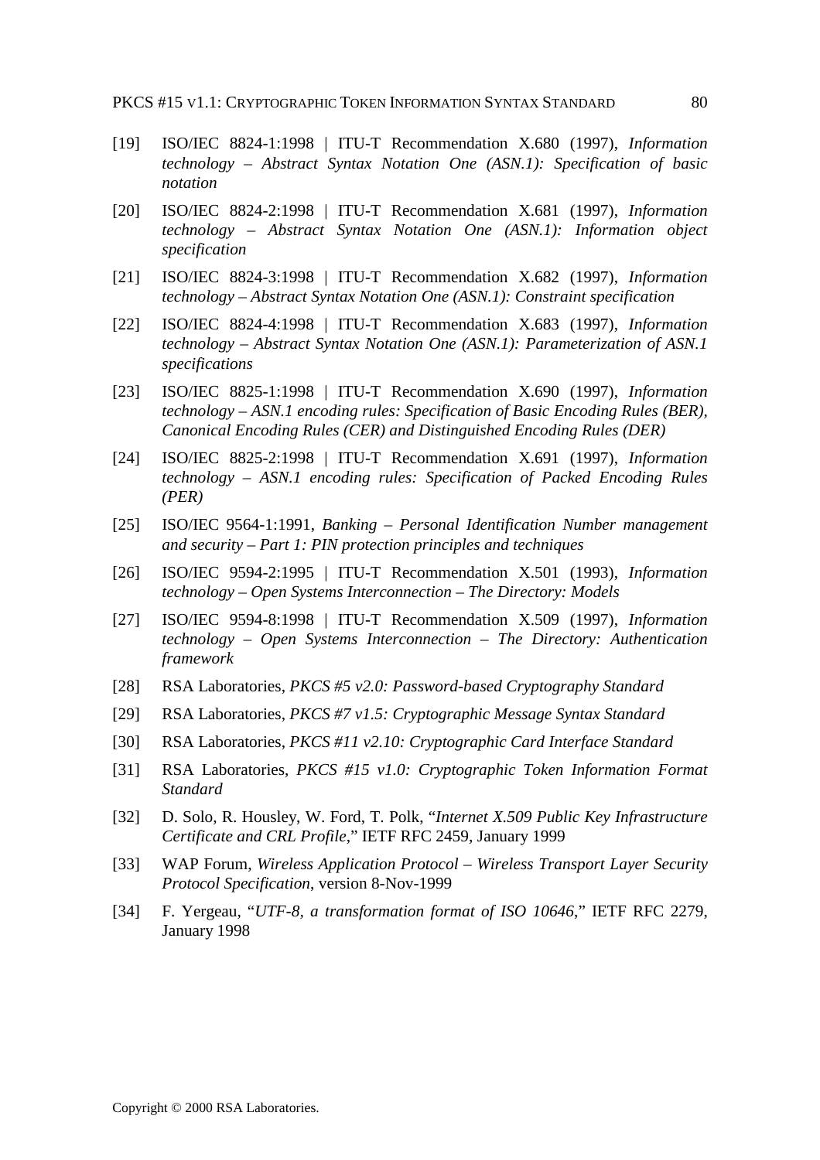- [19] ISO/IEC 8824-1:1998 | ITU-T Recommendation X.680 (1997), *Information technology – Abstract Syntax Notation One (ASN.1): Specification of basic notation*
- [20] ISO/IEC 8824-2:1998 | ITU-T Recommendation X.681 (1997), *Information technology – Abstract Syntax Notation One (ASN.1): Information object specification*
- [21] ISO/IEC 8824-3:1998 | ITU-T Recommendation X.682 (1997), *Information technology – Abstract Syntax Notation One (ASN.1): Constraint specification*
- [22] ISO/IEC 8824-4:1998 | ITU-T Recommendation X.683 (1997), *Information technology – Abstract Syntax Notation One (ASN.1): Parameterization of ASN.1 specifications*
- [23] ISO/IEC 8825-1:1998 | ITU-T Recommendation X.690 (1997), *Information technology – ASN.1 encoding rules: Specification of Basic Encoding Rules (BER), Canonical Encoding Rules (CER) and Distinguished Encoding Rules (DER)*
- [24] ISO/IEC 8825-2:1998 | ITU-T Recommendation X.691 (1997), *Information technology – ASN.1 encoding rules: Specification of Packed Encoding Rules (PER)*
- [25] ISO/IEC 9564-1:1991, *Banking Personal Identification Number management and security – Part 1: PIN protection principles and techniques*
- [26] ISO/IEC 9594-2:1995 | ITU-T Recommendation X.501 (1993), *Information technology – Open Systems Interconnection – The Directory: Models*
- [27] ISO/IEC 9594-8:1998 | ITU-T Recommendation X.509 (1997), *Information technology – Open Systems Interconnection – The Directory: Authentication framework*
- [28] RSA Laboratories, *PKCS #5 v2.0: Password-based Cryptography Standard*
- [29] RSA Laboratories, *PKCS #7 v1.5: Cryptographic Message Syntax Standard*
- [30] RSA Laboratories, *PKCS #11 v2.10: Cryptographic Card Interface Standard*
- [31] RSA Laboratories, *PKCS #15 v1.0: Cryptographic Token Information Format Standard*
- [32] D. Solo, R. Housley, W. Ford, T. Polk, "*Internet X.509 Public Key Infrastructure Certificate and CRL Profile*," IETF RFC 2459, January 1999
- [33] WAP Forum, *Wireless Application Protocol Wireless Transport Layer Security Protocol Specification*, version 8-Nov-1999
- [34] F. Yergeau, "*UTF-8, a transformation format of ISO 10646*," IETF RFC 2279, January 1998